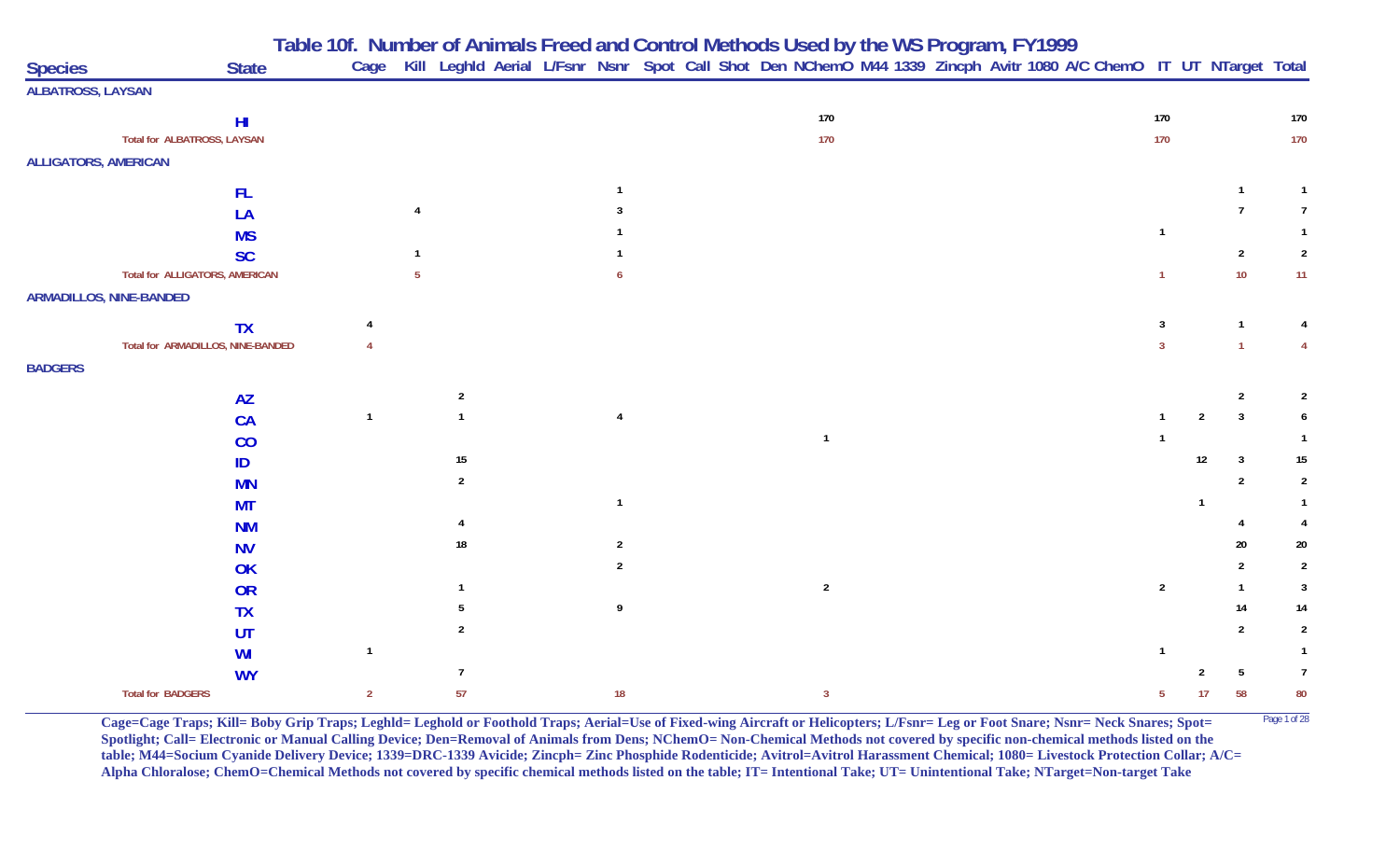**Table 10f. Number of Animals Freed and Control Methods Used by the WS Program, FY 1999**

| <b>Species</b>              | <b>State</b>                          |                |                  |  |                |  |              |  | Cage Kill Leghld Aerial L/Fsnr Nsnr Spot Call Shot Den NChemO M44 1339 Zincph Avitr 1080 A/C ChemO IT UT NTarget Total |                |                |                |                |
|-----------------------------|---------------------------------------|----------------|------------------|--|----------------|--|--------------|--|------------------------------------------------------------------------------------------------------------------------|----------------|----------------|----------------|----------------|
| <b>ALBATROSS, LAYSAN</b>    |                                       |                |                  |  |                |  |              |  |                                                                                                                        |                |                |                |                |
|                             | H <sub>l</sub>                        |                |                  |  |                |  | 170          |  |                                                                                                                        | 170            |                |                | 170            |
|                             | Total for ALBATROSS, LAYSAN           |                |                  |  |                |  | 170          |  |                                                                                                                        | 170            |                |                | 170            |
| <b>ALLIGATORS, AMERICAN</b> |                                       |                |                  |  |                |  |              |  |                                                                                                                        |                |                |                |                |
|                             | <b>FL</b>                             |                |                  |  |                |  |              |  |                                                                                                                        |                |                | $\mathbf 1$    |                |
|                             | LA                                    |                |                  |  |                |  |              |  |                                                                                                                        |                |                |                | 7              |
|                             | <b>MS</b>                             |                |                  |  |                |  |              |  |                                                                                                                        |                |                |                |                |
|                             | <b>SC</b>                             |                |                  |  |                |  |              |  |                                                                                                                        |                |                | 2              | $\overline{2}$ |
|                             | <b>Total for ALLIGATORS, AMERICAN</b> |                |                  |  |                |  |              |  |                                                                                                                        |                |                | $10$           | 11             |
|                             | <b>ARMADILLOS, NINE-BANDED</b>        |                |                  |  |                |  |              |  |                                                                                                                        |                |                |                |                |
|                             | <b>TX</b>                             |                |                  |  |                |  |              |  |                                                                                                                        | 3              |                | -1             |                |
|                             | Total for ARMADILLOS, NINE-BANDED     |                |                  |  |                |  |              |  |                                                                                                                        | $\mathbf{3}$   |                | $\overline{1}$ |                |
| <b>BADGERS</b>              |                                       |                |                  |  |                |  |              |  |                                                                                                                        |                |                |                |                |
|                             | <b>AZ</b>                             |                | $\overline{2}$   |  |                |  |              |  |                                                                                                                        |                |                | $\overline{2}$ |                |
|                             | CA                                    | $\overline{1}$ |                  |  | $\overline{4}$ |  |              |  |                                                                                                                        |                | $\overline{2}$ | $\mathbf{3}$   |                |
|                             | CO                                    |                |                  |  |                |  | $\mathbf{1}$ |  |                                                                                                                        |                |                |                |                |
|                             | ID                                    |                | $15\phantom{.0}$ |  |                |  |              |  |                                                                                                                        |                | 12             | 3              | 15             |
|                             | <b>MN</b>                             |                | $\overline{2}$   |  |                |  |              |  |                                                                                                                        |                |                | 2              | -2             |
|                             | <b>MT</b>                             |                |                  |  |                |  |              |  |                                                                                                                        |                |                |                |                |
|                             | <b>NM</b>                             |                |                  |  |                |  |              |  |                                                                                                                        |                |                |                |                |
|                             | <b>NV</b>                             |                | 18               |  | -2             |  |              |  |                                                                                                                        |                |                | 20             | 20             |
|                             | OK                                    |                |                  |  |                |  |              |  |                                                                                                                        |                |                |                | $\overline{2}$ |
|                             | OR                                    |                |                  |  |                |  | $\sqrt{2}$   |  |                                                                                                                        | $\overline{2}$ |                |                | $\overline{3}$ |
|                             | <b>TX</b>                             |                |                  |  | 9              |  |              |  |                                                                                                                        |                |                | 14             | $14\,$         |
|                             | UT                                    |                |                  |  |                |  |              |  |                                                                                                                        |                |                | 2              | $\overline{2}$ |
|                             | WI                                    | $\mathbf{1}$   |                  |  |                |  |              |  |                                                                                                                        |                |                |                |                |
|                             | <b>WY</b>                             |                | 7                |  |                |  |              |  |                                                                                                                        |                |                | 5              | $\overline{1}$ |
|                             | <b>Total for BADGERS</b>              | $\overline{2}$ | 57               |  | 18             |  | $\mathbf{3}$ |  |                                                                                                                        | 5 <sup>5</sup> | 17             | 58             | 80             |

**Cage=Cage Traps; Kill= Boby Grip Traps; Leghld= Leghold or Foothold Traps; Aerial=Use of Fixed-wing Aircraft or Helicopters; L/Fsnr= Leg or Foot Snare; Nsnr= Neck Snares; Spot=** Page 1 of 28 Spotlight; Call= Electronic or Manual Calling Device; Den=Removal of Animals from Dens; NChemO= Non-Chemical Methods not covered by specific non-chemical methods listed on the **table; M44=Socium Cyanide Delivery Device; 1339=DRC-1339 Avicide; Zincph= Zinc Phosphide Rodenticide; Avitrol=Avitrol Harassment Chemical; 1080= Livestock Protection Collar; A/C= Alpha Chloralose; ChemO=Chemical Methods not covered by specific chemical methods listed on the table; IT= Intentional Take; UT= Unintentional Take; NTarget=Non-target Take**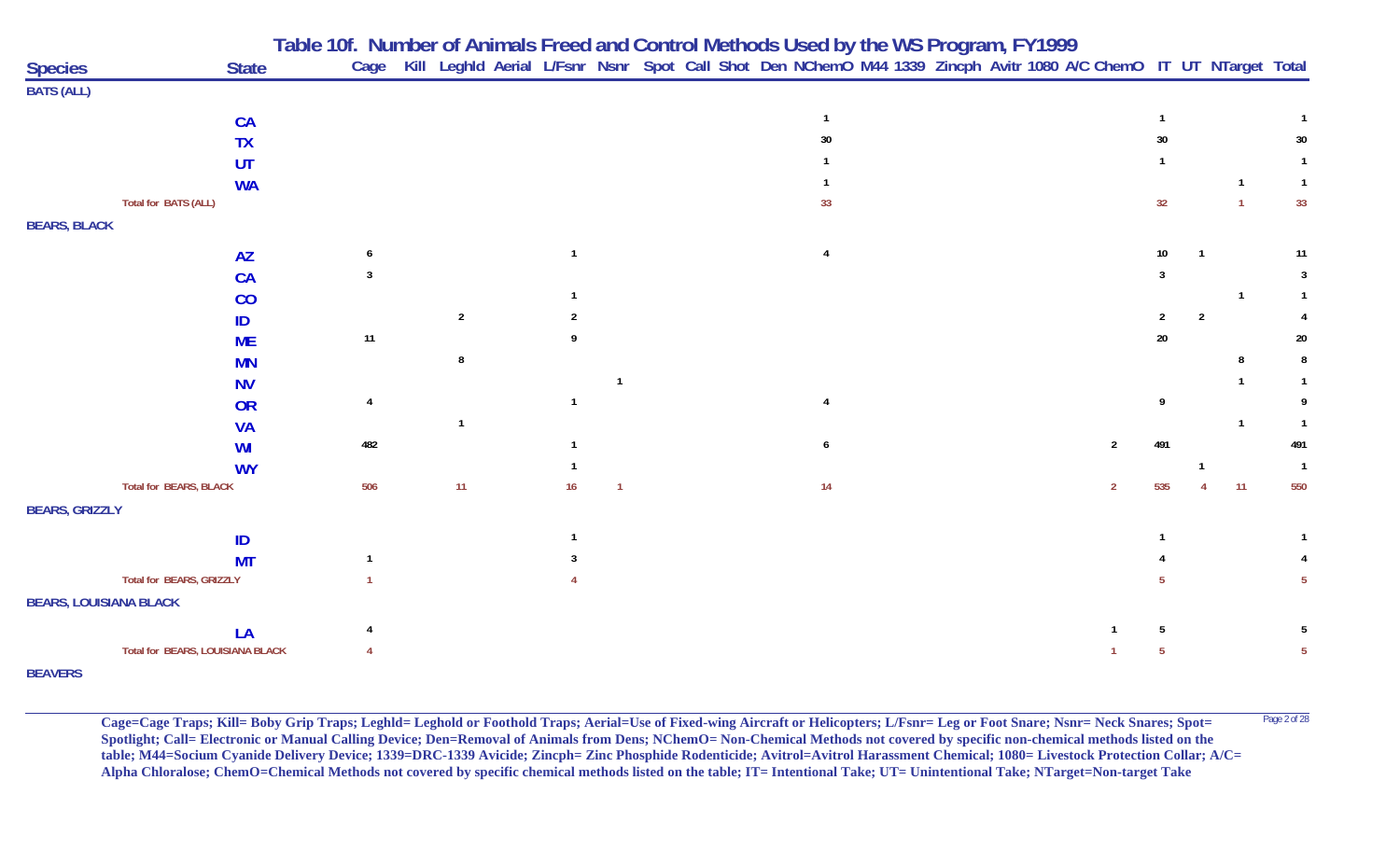|                               |                                  |      |                |          |  | Table 10f. Number of Animals Freed and Control Methods Used by the WS Program, FY1999                                  |  |                |                |                |                |                 |
|-------------------------------|----------------------------------|------|----------------|----------|--|------------------------------------------------------------------------------------------------------------------------|--|----------------|----------------|----------------|----------------|-----------------|
| <b>Species</b>                | <b>State</b>                     |      |                |          |  | Cage Kill Leghld Aerial L/Fsnr Nsnr Spot Call Shot Den NChemO M44 1339 Zincph Avitr 1080 A/C ChemO IT UT NTarget Total |  |                |                |                |                |                 |
| <b>BATS (ALL)</b>             |                                  |      |                |          |  |                                                                                                                        |  |                |                |                |                |                 |
|                               | <b>CA</b>                        |      |                |          |  |                                                                                                                        |  |                |                |                |                |                 |
|                               | <b>TX</b>                        |      |                |          |  | 30                                                                                                                     |  |                | 30             |                |                | 30              |
|                               | UT                               |      |                |          |  |                                                                                                                        |  |                |                |                |                |                 |
|                               | <b>WA</b>                        |      |                |          |  |                                                                                                                        |  |                |                |                |                | $\mathbf{1}$    |
| Total for BATS (ALL)          |                                  |      |                |          |  | 33                                                                                                                     |  |                | 32             |                | $\overline{1}$ | 33              |
| <b>BEARS, BLACK</b>           |                                  |      |                |          |  |                                                                                                                        |  |                |                |                |                |                 |
|                               | <b>AZ</b>                        |      |                |          |  | 4                                                                                                                      |  |                | 10             |                |                | 11              |
|                               | <b>CA</b>                        |      |                |          |  |                                                                                                                        |  |                |                |                |                | 3               |
|                               | CO                               |      |                |          |  |                                                                                                                        |  |                |                |                |                |                 |
|                               | ID                               |      | $\overline{2}$ |          |  |                                                                                                                        |  |                | $\overline{2}$ | $\overline{2}$ |                |                 |
|                               | <b>ME</b>                        | $11$ |                |          |  |                                                                                                                        |  |                | 20             |                |                | 20              |
|                               | <b>MN</b>                        |      | 8              |          |  |                                                                                                                        |  |                |                |                |                | 8               |
|                               | <b>NV</b>                        |      |                |          |  |                                                                                                                        |  |                |                |                |                |                 |
|                               | <b>OR</b>                        | 4    |                |          |  |                                                                                                                        |  |                | q              |                |                |                 |
|                               | <b>VA</b>                        |      | $\mathbf{1}$   |          |  |                                                                                                                        |  |                |                |                | $\overline{1}$ | $\mathbf{1}$    |
|                               | WI                               | 482  |                |          |  | 6                                                                                                                      |  | $\overline{2}$ | 491            |                |                | 491             |
|                               | <b>WY</b>                        |      |                |          |  |                                                                                                                        |  |                |                |                |                | $\overline{1}$  |
| <b>Total for BEARS, BLACK</b> |                                  | 506  | 11             | 16<br>-1 |  | 14                                                                                                                     |  | $\overline{2}$ | 535            |                | 11             | 550             |
| <b>BEARS, GRIZZLY</b>         |                                  |      |                |          |  |                                                                                                                        |  |                |                |                |                |                 |
|                               | ID                               |      |                |          |  |                                                                                                                        |  |                |                |                |                |                 |
|                               | <b>MT</b>                        |      |                |          |  |                                                                                                                        |  |                |                |                |                |                 |
| Total for BEARS, GRIZZLY      |                                  |      |                |          |  |                                                                                                                        |  |                |                |                |                |                 |
| <b>BEARS, LOUISIANA BLACK</b> |                                  |      |                |          |  |                                                                                                                        |  |                |                |                |                |                 |
|                               | LA                               |      |                |          |  |                                                                                                                        |  |                | 5              |                |                |                 |
|                               | Total for BEARS, LOUISIANA BLACK |      |                |          |  |                                                                                                                        |  |                | 5              |                |                | $5\phantom{.0}$ |
| <b>BEAVERS</b>                |                                  |      |                |          |  |                                                                                                                        |  |                |                |                |                |                 |

**Cage=Cage Traps; Kill= Boby Grip Traps; Leghld= Leghold or Foothold Traps; Aerial=Use of Fixed-wing Aircraft or Helicopters; L/Fsnr= Leg or Foot Snare; Nsnr= Neck Snares; Spot=** <sup>Page 2 of 28</sup> **Spotlight; Call= Electronic or Manual Calling Device; Den=Removal of Animals from Dens; NChemO= Non-Chemical Methods not covered by specific non-chemical methods listed on the table; M44=Socium Cyanide Delivery Device; 1339=DRC-1339 Avicide; Zincph= Zinc Phosphide Rodenticide; Avitrol=Avitrol Harassment Chemical; 1080= Livestock Protection Collar; A/C= Alpha Chloralose; ChemO=Chemical Methods not covered by specific chemical methods listed on the table; IT= Intentional Take; UT= Unintentional Take; NTarget=Non-target Take**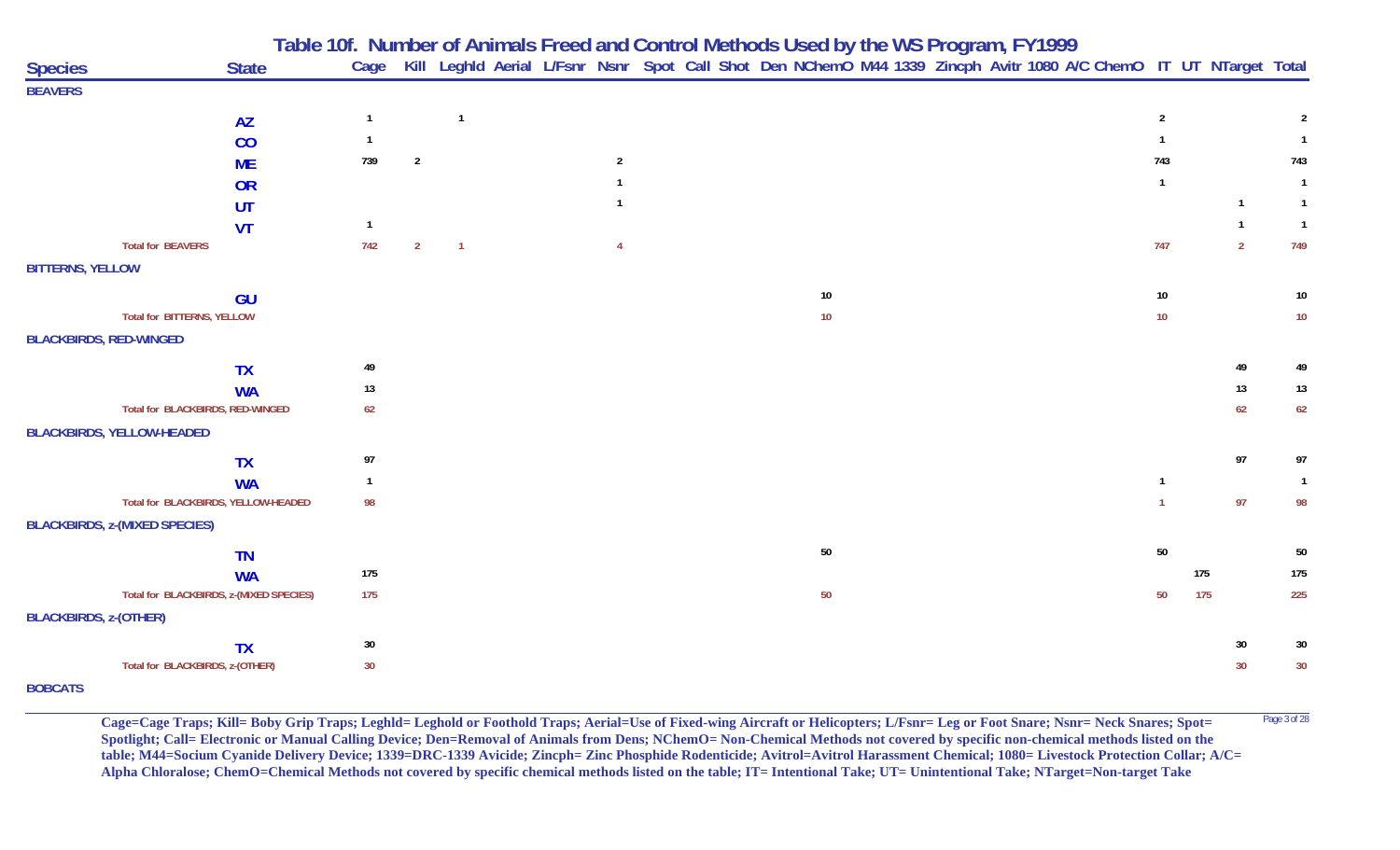|                                         |                        |                |                |                |  |                | Table 10f. Number of Animals Freed and Control Methods Used by the WS Program, FY1999 |        |  |  |                                                                                                                   |                |     |                |                |
|-----------------------------------------|------------------------|----------------|----------------|----------------|--|----------------|---------------------------------------------------------------------------------------|--------|--|--|-------------------------------------------------------------------------------------------------------------------|----------------|-----|----------------|----------------|
| <b>Species</b>                          | <b>State</b>           | Cage           |                |                |  |                |                                                                                       |        |  |  | Kill Leghld Aerial L/Fsnr Nsnr Spot Call Shot Den NChemO M44 1339 Zincph Avitr 1080 A/C ChemO IT UT NTarget Total |                |     |                |                |
| <b>BEAVERS</b>                          |                        |                |                |                |  |                |                                                                                       |        |  |  |                                                                                                                   |                |     |                |                |
|                                         | <b>AZ</b>              | $\overline{1}$ |                | $\overline{1}$ |  |                |                                                                                       |        |  |  |                                                                                                                   | $\overline{2}$ |     |                | 2              |
|                                         | CO                     | $\mathbf{1}$   |                |                |  |                |                                                                                       |        |  |  |                                                                                                                   |                |     |                | $\mathbf{1}$   |
|                                         | <b>ME</b>              | 739            | $\overline{2}$ |                |  | $\overline{2}$ |                                                                                       |        |  |  |                                                                                                                   | 743            |     |                | 743            |
|                                         | OR                     |                |                |                |  | $\mathbf{1}$   |                                                                                       |        |  |  |                                                                                                                   | $\mathbf{1}$   |     |                | $\overline{1}$ |
|                                         | UT                     |                |                |                |  |                |                                                                                       |        |  |  |                                                                                                                   |                |     | $\mathbf{1}$   | $\overline{1}$ |
|                                         | <b>VT</b>              | $\mathbf{1}$   |                |                |  |                |                                                                                       |        |  |  |                                                                                                                   |                |     | $\mathbf{1}$   | $\overline{1}$ |
| <b>Total for BEAVERS</b>                |                        | 742            | $\overline{2}$ | $\overline{1}$ |  | $\overline{4}$ |                                                                                       |        |  |  |                                                                                                                   | 747            |     | $\overline{2}$ | 749            |
| <b>BITTERNS, YELLOW</b>                 |                        |                |                |                |  |                |                                                                                       |        |  |  |                                                                                                                   |                |     |                |                |
|                                         | GU                     |                |                |                |  |                |                                                                                       | 10     |  |  |                                                                                                                   | 10             |     |                | $10\,$         |
| <b>Total for BITTERNS, YELLOW</b>       |                        |                |                |                |  |                |                                                                                       | 10     |  |  |                                                                                                                   | $10$           |     |                | $10\,$         |
| <b>BLACKBIRDS, RED-WINGED</b>           |                        |                |                |                |  |                |                                                                                       |        |  |  |                                                                                                                   |                |     |                |                |
|                                         |                        | 49             |                |                |  |                |                                                                                       |        |  |  |                                                                                                                   |                |     | 49             | 49             |
|                                         | <b>TX</b><br><b>WA</b> | 13             |                |                |  |                |                                                                                       |        |  |  |                                                                                                                   |                |     | 13             | 13             |
| Total for BLACKBIRDS, RED-WINGED        |                        | 62             |                |                |  |                |                                                                                       |        |  |  |                                                                                                                   |                |     | 62             | 62             |
| <b>BLACKBIRDS, YELLOW-HEADED</b>        |                        |                |                |                |  |                |                                                                                       |        |  |  |                                                                                                                   |                |     |                |                |
|                                         |                        |                |                |                |  |                |                                                                                       |        |  |  |                                                                                                                   |                |     |                |                |
|                                         | <b>TX</b>              | 97             |                |                |  |                |                                                                                       |        |  |  |                                                                                                                   |                |     | 97             | 97             |
|                                         | <b>WA</b>              | $\overline{1}$ |                |                |  |                |                                                                                       |        |  |  |                                                                                                                   | $\mathbf{1}$   |     |                | $\overline{1}$ |
| Total for BLACKBIRDS, YELLOW-HEADED     |                        | 98             |                |                |  |                |                                                                                       |        |  |  |                                                                                                                   |                |     | 97             | 98             |
| <b>BLACKBIRDS, z-(MIXED SPECIES)</b>    |                        |                |                |                |  |                |                                                                                       |        |  |  |                                                                                                                   |                |     |                |                |
|                                         | <b>TN</b>              |                |                |                |  |                |                                                                                       | 50     |  |  |                                                                                                                   | $50\,$         |     |                | $50\,$         |
|                                         | <b>WA</b>              | 175            |                |                |  |                |                                                                                       |        |  |  |                                                                                                                   |                | 175 |                | 175            |
| Total for BLACKBIRDS, z-(MIXED SPECIES) |                        | 175            |                |                |  |                |                                                                                       | $50\,$ |  |  |                                                                                                                   | 50             | 175 |                | 225            |
| <b>BLACKBIRDS, z-(OTHER)</b>            |                        |                |                |                |  |                |                                                                                       |        |  |  |                                                                                                                   |                |     |                |                |
|                                         | <b>TX</b>              | $30\,$         |                |                |  |                |                                                                                       |        |  |  |                                                                                                                   |                |     | 30             | 30             |
| Total for BLACKBIRDS, z-(OTHER)         |                        | 30             |                |                |  |                |                                                                                       |        |  |  |                                                                                                                   |                |     | 30             | 30             |
| <b>BOBCATS</b>                          |                        |                |                |                |  |                |                                                                                       |        |  |  |                                                                                                                   |                |     |                |                |

Cage=Cage Traps; Kill= Boby Grip Traps; Leghld= Leghold or Foothold Traps; Aerial=Use of Fixed-wing Aircraft or Helicopters; L/Fsnr= Leg or Foot Snare; Nsnr= Neck Snares; Spot= <sup>Page 3 of 28</sup> **Spotlight; Call= Electronic or Manual Calling Device; Den=Removal of Animals from Dens; NChemO= Non-Chemical Methods not covered by specific non-chemical methods listed on the table; M44=Socium Cyanide Delivery Device; 1339=DRC-1339 Avicide; Zincph= Zinc Phosphide Rodenticide; Avitrol=Avitrol Harassment Chemical; 1080= Livestock Protection Collar; A/C= Alpha Chloralose; ChemO=Chemical Methods not covered by specific chemical methods listed on the table; IT= Intentional Take; UT= Unintentional Take; NTarget=Non-target Take**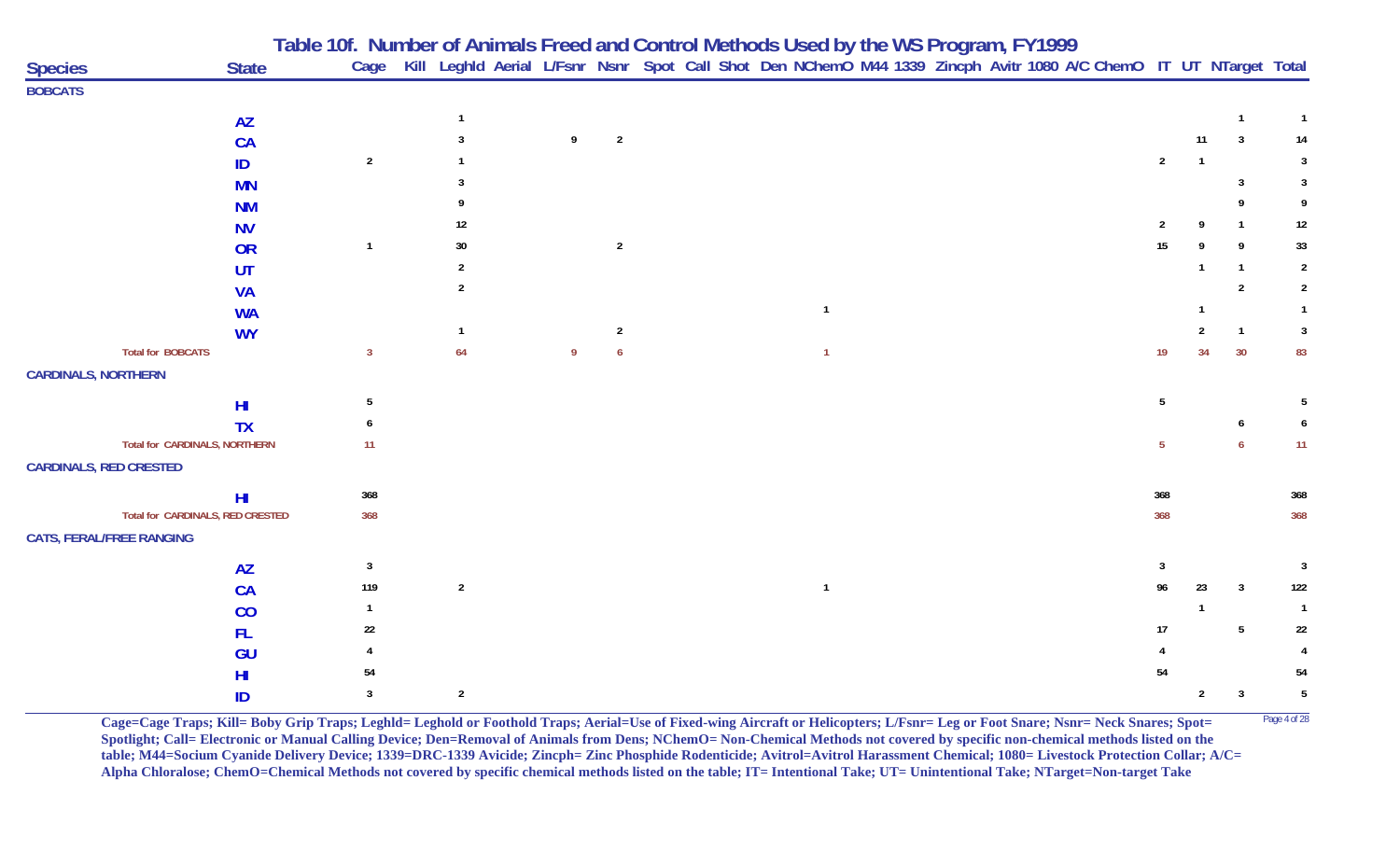|                                  |                |                |                |          |                |  |                |  |  | Table 10f. Number of Animals Freed and Control Methods Used by the WS Program, FY1999<br>Cage Kill Leghld Aerial L/Fsnr Nsnr Spot Call Shot Den NChemO M44 1339 Zincph Avitr 1080 A/C ChemO IT UT NTarget Total |                |                |                 |                |
|----------------------------------|----------------|----------------|----------------|----------|----------------|--|----------------|--|--|-----------------------------------------------------------------------------------------------------------------------------------------------------------------------------------------------------------------|----------------|----------------|-----------------|----------------|
| <b>Species</b>                   | <b>State</b>   |                |                |          |                |  |                |  |  |                                                                                                                                                                                                                 |                |                |                 |                |
| <b>BOBCATS</b>                   |                |                |                |          |                |  |                |  |  |                                                                                                                                                                                                                 |                |                |                 |                |
|                                  | <b>AZ</b>      |                | $\mathbf{1}$   |          |                |  |                |  |  |                                                                                                                                                                                                                 |                |                | $\overline{1}$  |                |
|                                  | <b>CA</b>      |                | 3              | 9        | $\overline{2}$ |  |                |  |  |                                                                                                                                                                                                                 |                | 11             | 3               | 14             |
|                                  | ID             | $\overline{2}$ |                |          |                |  |                |  |  |                                                                                                                                                                                                                 | $\overline{2}$ | $\overline{1}$ |                 | 3              |
|                                  | <b>MN</b>      |                | 3              |          |                |  |                |  |  |                                                                                                                                                                                                                 |                |                | 3               |                |
|                                  | <b>NM</b>      |                |                |          |                |  |                |  |  |                                                                                                                                                                                                                 |                |                |                 |                |
|                                  | <b>NV</b>      |                | 12             |          |                |  |                |  |  |                                                                                                                                                                                                                 |                |                |                 | 12             |
|                                  | OR             | $\mathbf{1}$   | 30             |          | $\overline{2}$ |  |                |  |  |                                                                                                                                                                                                                 | 15             |                |                 | 33             |
|                                  | UT             |                |                |          |                |  |                |  |  |                                                                                                                                                                                                                 |                |                | -1              | $\overline{2}$ |
|                                  | <b>VA</b>      |                | 2              |          |                |  |                |  |  |                                                                                                                                                                                                                 |                |                | $\overline{2}$  | $\overline{2}$ |
|                                  | <b>WA</b>      |                |                |          |                |  | $\mathbf{1}$   |  |  |                                                                                                                                                                                                                 |                |                |                 |                |
|                                  | <b>WY</b>      |                | $\mathbf{1}$   |          | $\overline{2}$ |  |                |  |  |                                                                                                                                                                                                                 |                |                | $\mathbf{1}$    | -3             |
| <b>Total for BOBCATS</b>         |                | $\overline{3}$ | 64             | <b>Q</b> |                |  | $\overline{1}$ |  |  |                                                                                                                                                                                                                 | 19             | 34             | 30              | 83             |
| <b>CARDINALS, NORTHERN</b>       |                |                |                |          |                |  |                |  |  |                                                                                                                                                                                                                 |                |                |                 |                |
|                                  | H <sub>l</sub> | 5              |                |          |                |  |                |  |  |                                                                                                                                                                                                                 | 5              |                |                 |                |
|                                  | <b>TX</b>      | h              |                |          |                |  |                |  |  |                                                                                                                                                                                                                 |                |                | 6               |                |
| Total for CARDINALS, NORTHERN    |                | 11             |                |          |                |  |                |  |  |                                                                                                                                                                                                                 | 5 <sub>5</sub> |                | 6               | 11             |
| <b>CARDINALS, RED CRESTED</b>    |                |                |                |          |                |  |                |  |  |                                                                                                                                                                                                                 |                |                |                 |                |
|                                  | H <sub>l</sub> | 368            |                |          |                |  |                |  |  |                                                                                                                                                                                                                 | 368            |                |                 | 368            |
| Total for CARDINALS, RED CRESTED |                | 368            |                |          |                |  |                |  |  |                                                                                                                                                                                                                 | 368            |                |                 | 368            |
| <b>CATS, FERAL/FREE RANGING</b>  |                |                |                |          |                |  |                |  |  |                                                                                                                                                                                                                 |                |                |                 |                |
|                                  | <b>AZ</b>      | 3              |                |          |                |  |                |  |  |                                                                                                                                                                                                                 | 3              |                |                 | -3             |
|                                  | <b>CA</b>      | 119            | $\overline{2}$ |          |                |  | $\mathbf{1}$   |  |  |                                                                                                                                                                                                                 | 96             | 23             | $\mathbf{3}$    | 122            |
|                                  | CO             | $\mathbf{1}$   |                |          |                |  |                |  |  |                                                                                                                                                                                                                 |                | $\mathbf 1$    |                 | $\overline{1}$ |
|                                  | FL.            | 22             |                |          |                |  |                |  |  |                                                                                                                                                                                                                 | 17             |                | $5\phantom{.0}$ | 22             |
|                                  | GU             |                |                |          |                |  |                |  |  |                                                                                                                                                                                                                 |                |                |                 |                |
|                                  | H <sub>l</sub> | 54             |                |          |                |  |                |  |  |                                                                                                                                                                                                                 | 54             |                |                 | 54             |
|                                  | ID             | 3              | $\overline{2}$ |          |                |  |                |  |  |                                                                                                                                                                                                                 |                | $\overline{2}$ | $\mathbf{3}$    | 5              |

**Cage=Cage Traps; Kill= Boby Grip Traps; Leghld= Leghold or Foothold Traps; Aerial=Use of Fixed-wing Aircraft or Helicopters; L/Fsnr= Leg or Foot Snare; Nsnr= Neck Snares; Spot=** <sup>Page 4 of 28</sup> **Spotlight; Call= Electronic or Manual Calling Device; Den=Removal of Animals from Dens; NChemO= Non-Chemical Methods not covered by specific non-chemical methods listed on the table; M44=Socium Cyanide Delivery Device; 1339=DRC-1339 Avicide; Zincph= Zinc Phosphide Rodenticide; Avitrol=Avitrol Harassment Chemical; 1080= Livestock Protection Collar; A/C= Alpha Chloralose; ChemO=Chemical Methods not covered by specific chemical methods listed on the table; IT= Intentional Take; UT= Unintentional Take; NTarget=Non-target Take**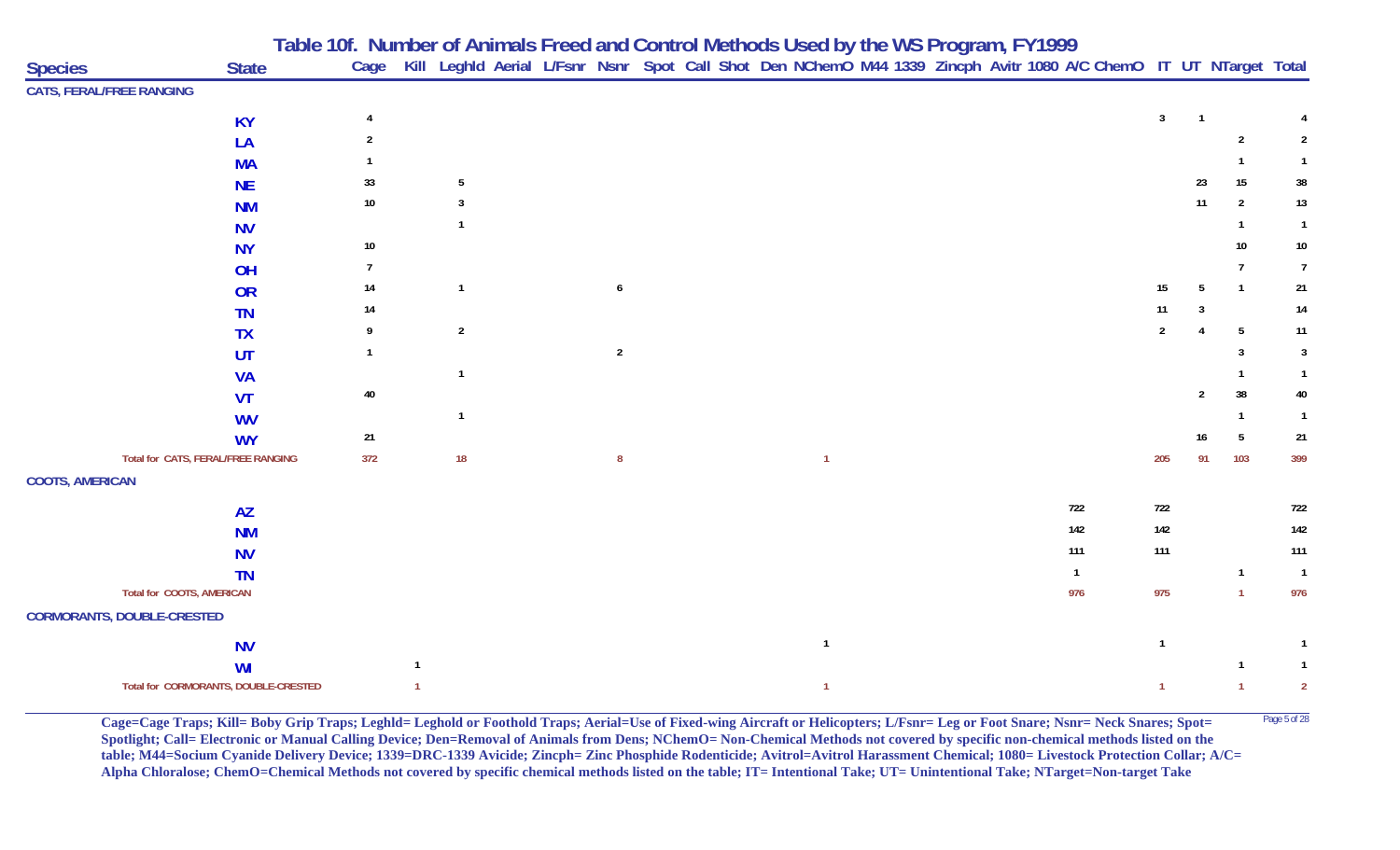|                                   |                                      |                | Table 10f. Number of Animals Freed and Control Methods Used by the WS Program, FY1999<br>Cage Kill Leghld Aerial L/Fsnr Nsnr Spot Call Shot Den NChemO M44 1339 Zincph Avitr 1080 A/C ChemO IT UT NTarget Total |  |                  |  |              |  |  |              |                |                |                 |                |
|-----------------------------------|--------------------------------------|----------------|-----------------------------------------------------------------------------------------------------------------------------------------------------------------------------------------------------------------|--|------------------|--|--------------|--|--|--------------|----------------|----------------|-----------------|----------------|
| <b>Species</b>                    | <b>State</b>                         |                |                                                                                                                                                                                                                 |  |                  |  |              |  |  |              |                |                |                 |                |
| <b>CATS, FERAL/FREE RANGING</b>   |                                      |                |                                                                                                                                                                                                                 |  |                  |  |              |  |  |              |                |                |                 |                |
|                                   | <b>KY</b>                            | 4              |                                                                                                                                                                                                                 |  |                  |  |              |  |  |              | 3 <sup>1</sup> | $\overline{1}$ |                 |                |
|                                   | LA                                   | 2              |                                                                                                                                                                                                                 |  |                  |  |              |  |  |              |                |                | $\overline{2}$  | $\overline{2}$ |
|                                   | <b>MA</b>                            |                |                                                                                                                                                                                                                 |  |                  |  |              |  |  |              |                |                | $\mathbf{1}$    | $\mathbf{1}$   |
|                                   | <b>NE</b>                            | 33             | 5                                                                                                                                                                                                               |  |                  |  |              |  |  |              |                | 23             | 15              | 38             |
|                                   | <b>NM</b>                            | $10\,$         | 3                                                                                                                                                                                                               |  |                  |  |              |  |  |              |                | 11             | $\overline{2}$  | $13$           |
|                                   | <b>NV</b>                            |                | $\mathbf{1}$                                                                                                                                                                                                    |  |                  |  |              |  |  |              |                |                | $\mathbf{1}$    | $\overline{1}$ |
|                                   | <b>NY</b>                            | $10\,$         |                                                                                                                                                                                                                 |  |                  |  |              |  |  |              |                |                | 10              | $10\,$         |
|                                   | OH                                   | $\overline{7}$ |                                                                                                                                                                                                                 |  |                  |  |              |  |  |              |                |                | 7               | $\overline{7}$ |
|                                   | <b>OR</b>                            | 14             | $\mathbf{1}$                                                                                                                                                                                                    |  | $\pmb{6}$        |  |              |  |  |              | 15             | 5              | $\overline{1}$  | 21             |
|                                   | <b>TN</b>                            | 14             |                                                                                                                                                                                                                 |  |                  |  |              |  |  |              | 11             |                |                 | $14$           |
|                                   | <b>TX</b>                            | 9              | $\overline{2}$                                                                                                                                                                                                  |  |                  |  |              |  |  |              | $\overline{2}$ |                | $5\phantom{.0}$ | 11             |
|                                   | UT                                   | $\mathbf{1}$   |                                                                                                                                                                                                                 |  | $\overline{2}$   |  |              |  |  |              |                |                | $\mathbf{3}$    | $\overline{3}$ |
|                                   | <b>VA</b>                            |                | $\overline{1}$                                                                                                                                                                                                  |  |                  |  |              |  |  |              |                |                | 1               | $\mathbf{1}$   |
|                                   | <b>VT</b>                            | 40             |                                                                                                                                                                                                                 |  |                  |  |              |  |  |              |                | $\overline{2}$ | 38              | 40             |
|                                   | <b>WV</b>                            |                | $\mathbf{1}$                                                                                                                                                                                                    |  |                  |  |              |  |  |              |                |                | -1              | $\overline{1}$ |
|                                   | <b>WY</b>                            | 21             |                                                                                                                                                                                                                 |  |                  |  |              |  |  |              |                | 16             | 5               | 21             |
|                                   | Total for CATS, FERAL/FREE RANGING   | 372            | 18                                                                                                                                                                                                              |  | $\boldsymbol{8}$ |  | $\mathbf{1}$ |  |  |              | 205            | 91             | 103             | 399            |
| <b>COOTS, AMERICAN</b>            |                                      |                |                                                                                                                                                                                                                 |  |                  |  |              |  |  |              |                |                |                 |                |
|                                   | <b>AZ</b>                            |                |                                                                                                                                                                                                                 |  |                  |  |              |  |  | 722          | 722            |                |                 | 722            |
|                                   | <b>NM</b>                            |                |                                                                                                                                                                                                                 |  |                  |  |              |  |  | 142          | 142            |                |                 | 142            |
|                                   | <b>NV</b>                            |                |                                                                                                                                                                                                                 |  |                  |  |              |  |  | 111          | 111            |                |                 | 111            |
|                                   | <b>TN</b>                            |                |                                                                                                                                                                                                                 |  |                  |  |              |  |  | $\mathbf{1}$ |                |                | $\mathbf{1}$    | $\overline{1}$ |
|                                   | <b>Total for COOTS, AMERICAN</b>     |                |                                                                                                                                                                                                                 |  |                  |  |              |  |  | 976          | 975            |                | $\mathbf{1}$    | 976            |
| <b>CORMORANTS, DOUBLE-CRESTED</b> |                                      |                |                                                                                                                                                                                                                 |  |                  |  |              |  |  |              |                |                |                 |                |
|                                   | <b>NV</b>                            |                |                                                                                                                                                                                                                 |  |                  |  | $\mathbf{1}$ |  |  |              | $\mathbf{1}$   |                |                 | $\mathbf{1}$   |
|                                   | WI                                   |                | $\mathbf{1}$                                                                                                                                                                                                    |  |                  |  |              |  |  |              |                |                | $\mathbf{1}$    | $\mathbf{1}$   |
|                                   | Total for CORMORANTS, DOUBLE-CRESTED |                | $\mathbf{1}$                                                                                                                                                                                                    |  |                  |  | $\mathbf{1}$ |  |  |              | $\mathbf{1}$   |                | $\mathbf{1}$    | $\overline{2}$ |

**Cage=Cage Traps; Kill= Boby Grip Traps; Leghld= Leghold or Foothold Traps; Aerial=Use of Fixed-wing Aircraft or Helicopters; L/Fsnr= Leg or Foot Snare; Nsnr= Neck Snares; Spot=** <sup>Page 5 of 28</sup> **Spotlight; Call= Electronic or Manual Calling Device; Den=Removal of Animals from Dens; NChemO= Non-Chemical Methods not covered by specific non-chemical methods listed on the table; M44=Socium Cyanide Delivery Device; 1339=DRC-1339 Avicide; Zincph= Zinc Phosphide Rodenticide; Avitrol=Avitrol Harassment Chemical; 1080= Livestock Protection Collar; A/C= Alpha Chloralose; ChemO=Chemical Methods not covered by specific chemical methods listed on the table; IT= Intentional Take; UT= Unintentional Take; NTarget=Non-target Take**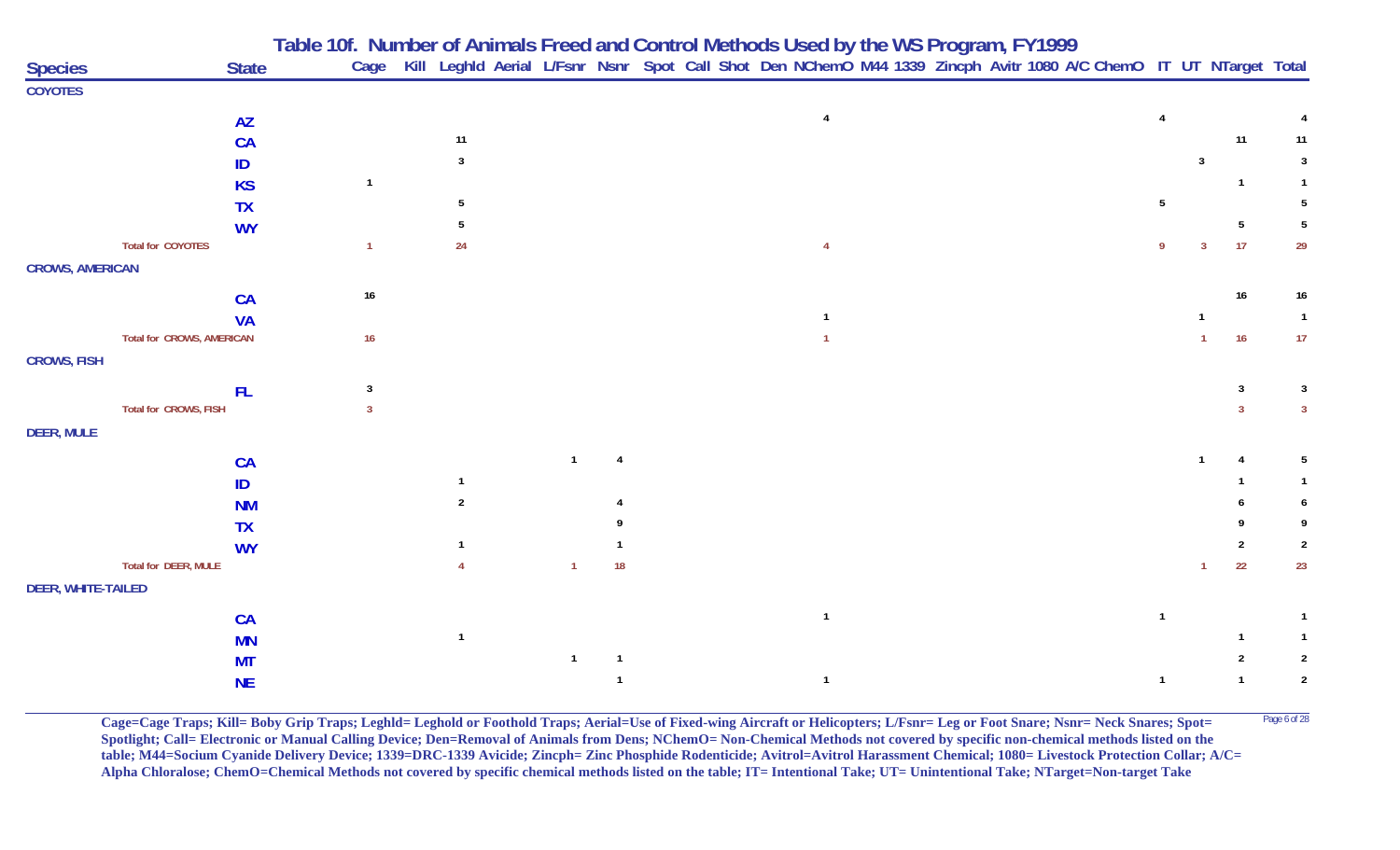|                           |                                  |              | Table 10f. Number of Animals Freed and Control Methods Used by the WS Program, FY1999<br>Cage Kill Leghld Aerial L/Fsnr Nsnr Spot Call Shot Den NChemO M44 1339 Zincph Avitr 1080 A/C ChemO IT UT NTarget Total |                |                |   |    |  |                |  |  |  |                |   |    |                |
|---------------------------|----------------------------------|--------------|-----------------------------------------------------------------------------------------------------------------------------------------------------------------------------------------------------------------|----------------|----------------|---|----|--|----------------|--|--|--|----------------|---|----|----------------|
| <b>Species</b>            |                                  | <b>State</b> |                                                                                                                                                                                                                 |                |                |   |    |  |                |  |  |  |                |   |    |                |
| <b>COYOTES</b>            |                                  |              |                                                                                                                                                                                                                 |                |                |   |    |  |                |  |  |  |                |   |    |                |
|                           |                                  | <b>AZ</b>    |                                                                                                                                                                                                                 |                |                |   |    |  | $\overline{4}$ |  |  |  | $\overline{4}$ |   |    |                |
|                           |                                  | <b>CA</b>    |                                                                                                                                                                                                                 |                | 11             |   |    |  |                |  |  |  |                |   | 11 | 11             |
|                           |                                  | ID           |                                                                                                                                                                                                                 |                | $\mathbf{3}$   |   |    |  |                |  |  |  |                | 3 |    |                |
|                           |                                  | <b>KS</b>    |                                                                                                                                                                                                                 |                |                |   |    |  |                |  |  |  |                |   |    |                |
|                           |                                  | <b>TX</b>    |                                                                                                                                                                                                                 |                | 5              |   |    |  |                |  |  |  | 5              |   |    |                |
|                           |                                  | <b>WY</b>    |                                                                                                                                                                                                                 |                |                |   |    |  |                |  |  |  |                |   | -5 |                |
|                           | <b>Total for COYOTES</b>         |              |                                                                                                                                                                                                                 | $\mathbf{1}$   | 24             |   |    |  |                |  |  |  | 9              | 3 | 17 | 29             |
| <b>CROWS, AMERICAN</b>    |                                  |              |                                                                                                                                                                                                                 |                |                |   |    |  |                |  |  |  |                |   |    |                |
|                           |                                  |              |                                                                                                                                                                                                                 | $16\,$         |                |   |    |  |                |  |  |  |                |   | 16 | 16             |
|                           |                                  | <b>CA</b>    |                                                                                                                                                                                                                 |                |                |   |    |  |                |  |  |  |                |   |    | $\overline{1}$ |
|                           | <b>Total for CROWS, AMERICAN</b> | <b>VA</b>    |                                                                                                                                                                                                                 | 16             |                |   |    |  |                |  |  |  |                |   | 16 | 17             |
| <b>CROWS, FISH</b>        |                                  |              |                                                                                                                                                                                                                 |                |                |   |    |  |                |  |  |  |                |   |    |                |
|                           |                                  |              |                                                                                                                                                                                                                 |                |                |   |    |  |                |  |  |  |                |   |    |                |
|                           |                                  | FL.          |                                                                                                                                                                                                                 | $\overline{3}$ |                |   |    |  |                |  |  |  |                |   | 3  | 3              |
|                           | Total for CROWS, FISH            |              |                                                                                                                                                                                                                 | $\mathbf{3}$   |                |   |    |  |                |  |  |  |                |   |    | -3             |
| <b>DEER, MULE</b>         |                                  |              |                                                                                                                                                                                                                 |                |                |   |    |  |                |  |  |  |                |   |    |                |
|                           |                                  | <b>CA</b>    |                                                                                                                                                                                                                 |                |                |   |    |  |                |  |  |  |                |   |    | .5             |
|                           |                                  | ID           |                                                                                                                                                                                                                 |                |                |   |    |  |                |  |  |  |                |   |    |                |
|                           |                                  | <b>NM</b>    |                                                                                                                                                                                                                 |                | $\overline{2}$ |   |    |  |                |  |  |  |                |   |    |                |
|                           |                                  | <b>TX</b>    |                                                                                                                                                                                                                 |                |                |   |    |  |                |  |  |  |                |   |    |                |
|                           |                                  | <b>WY</b>    |                                                                                                                                                                                                                 |                |                |   |    |  |                |  |  |  |                |   |    | $\overline{2}$ |
|                           | Total for DEER, MULE             |              |                                                                                                                                                                                                                 |                |                | 1 | 18 |  |                |  |  |  |                | 1 | 22 | 23             |
| <b>DEER, WHITE-TAILED</b> |                                  |              |                                                                                                                                                                                                                 |                |                |   |    |  |                |  |  |  |                |   |    |                |
|                           |                                  | <b>CA</b>    |                                                                                                                                                                                                                 |                |                |   |    |  | $\overline{1}$ |  |  |  | $\overline{1}$ |   |    |                |
|                           |                                  | <b>MN</b>    |                                                                                                                                                                                                                 |                | $\overline{1}$ |   |    |  |                |  |  |  |                |   |    |                |
|                           |                                  | <b>MT</b>    |                                                                                                                                                                                                                 |                |                |   |    |  |                |  |  |  |                |   |    | $\overline{2}$ |
|                           |                                  | <b>NE</b>    |                                                                                                                                                                                                                 |                |                |   |    |  | $\overline{1}$ |  |  |  | $\mathbf{1}$   |   |    | $\overline{2}$ |
|                           |                                  |              |                                                                                                                                                                                                                 |                |                |   |    |  |                |  |  |  |                |   |    |                |

**Cage=Cage Traps; Kill= Boby Grip Traps; Leghld= Leghold or Foothold Traps; Aerial=Use of Fixed-wing Aircraft or Helicopters; L/Fsnr= Leg or Foot Snare; Nsnr= Neck Snares; Spot=** Page 6 of 28 **Spotlight; Call= Electronic or Manual Calling Device; Den=Removal of Animals from Dens; NChemO= Non-Chemical Methods not covered by specific non-chemical methods listed on the table; M44=Socium Cyanide Delivery Device; 1339=DRC-1339 Avicide; Zincph= Zinc Phosphide Rodenticide; Avitrol=Avitrol Harassment Chemical; 1080= Livestock Protection Collar; A/C= Alpha Chloralose; ChemO=Chemical Methods not covered by specific chemical methods listed on the table; IT= Intentional Take; UT= Unintentional Take; NTarget=Non-target Take**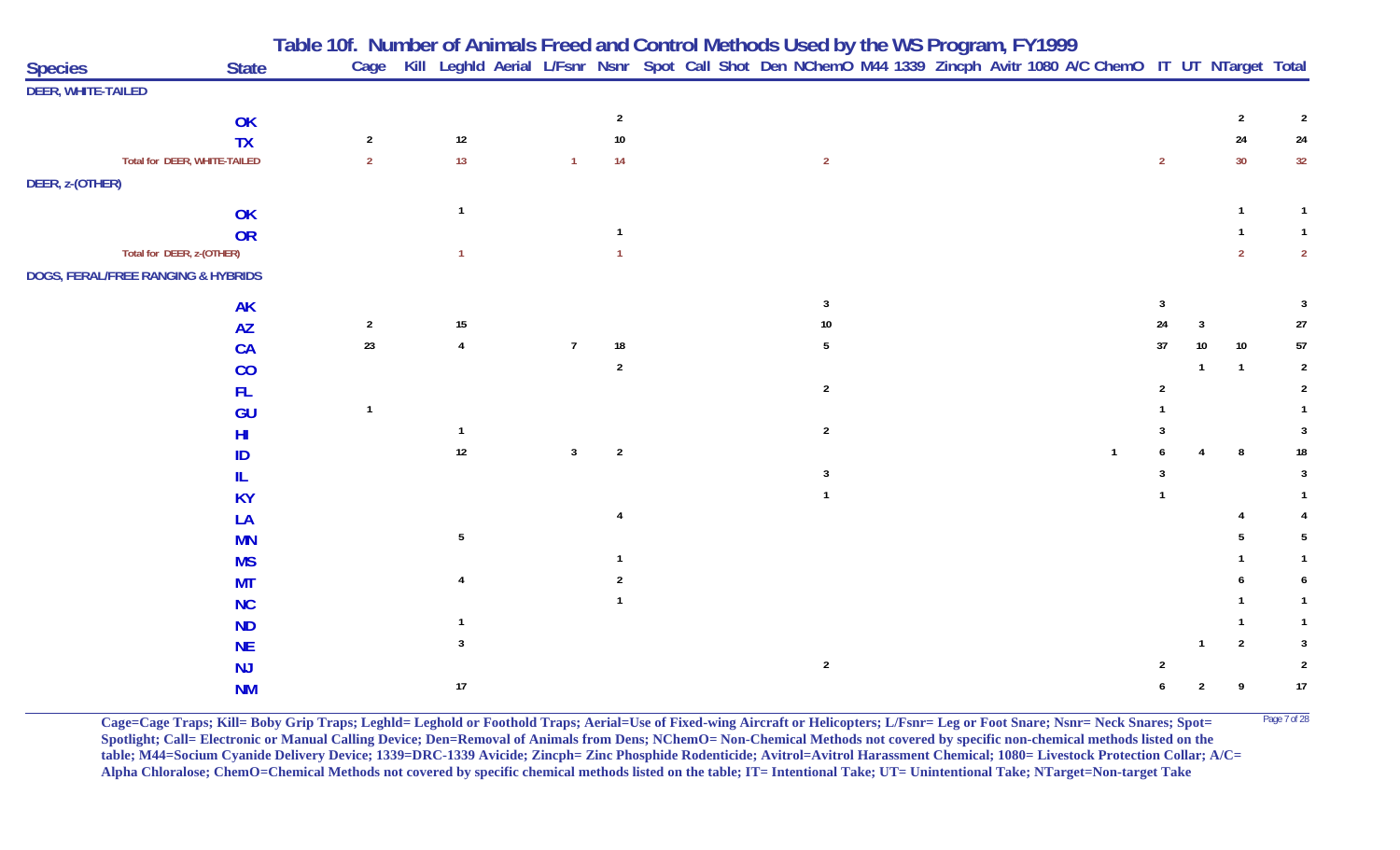| <b>Species</b>                     | <b>State</b>                 |                |                | Table 10f. Number of Animals Freed and Control Methods Used by the WS Program, FY1999<br>Cage Kill Leghld Aerial L/Fsnr Nsnr Spot Call Shot Den NChemO M44 1339 Zincph Avitr 1080 A/C ChemO IT UT NTarget Total |                |  |                |  |  |                |              |                |                |  |
|------------------------------------|------------------------------|----------------|----------------|-----------------------------------------------------------------------------------------------------------------------------------------------------------------------------------------------------------------|----------------|--|----------------|--|--|----------------|--------------|----------------|----------------|--|
| <b>DEER, WHITE-TAILED</b>          |                              |                |                |                                                                                                                                                                                                                 |                |  |                |  |  |                |              |                |                |  |
|                                    | OK                           |                |                |                                                                                                                                                                                                                 |                |  |                |  |  |                |              | $\overline{2}$ | $\overline{2}$ |  |
|                                    | <b>TX</b>                    | $\overline{2}$ | $12\,$         |                                                                                                                                                                                                                 | 10             |  |                |  |  |                |              | 24             | 24             |  |
|                                    | Total for DEER, WHITE-TAILED | $\overline{2}$ | 13             | $\mathbf{1}$                                                                                                                                                                                                    | 14             |  | $\overline{2}$ |  |  | $\overline{2}$ |              | 30             | 32             |  |
| DEER, z-(OTHER)                    |                              |                |                |                                                                                                                                                                                                                 |                |  |                |  |  |                |              |                |                |  |
|                                    |                              |                | $\mathbf{1}$   |                                                                                                                                                                                                                 |                |  |                |  |  |                |              |                | $\mathbf{1}$   |  |
|                                    | OK                           |                |                |                                                                                                                                                                                                                 |                |  |                |  |  |                |              |                |                |  |
| Total for DEER, z-(OTHER)          | OR                           |                | $\mathbf{1}$   |                                                                                                                                                                                                                 |                |  |                |  |  |                |              |                | $\overline{2}$ |  |
| DOGS, FERAL/FREE RANGING & HYBRIDS |                              |                |                |                                                                                                                                                                                                                 |                |  |                |  |  |                |              |                |                |  |
|                                    |                              |                |                |                                                                                                                                                                                                                 |                |  |                |  |  |                |              |                |                |  |
|                                    | <b>AK</b>                    |                |                |                                                                                                                                                                                                                 |                |  | 3              |  |  | 3              |              |                | -3             |  |
|                                    | <b>AZ</b>                    | $\overline{2}$ | 15             |                                                                                                                                                                                                                 |                |  |                |  |  | 24             | $\mathbf{3}$ |                | $27\,$         |  |
|                                    | <b>CA</b>                    | 23             | $\overline{4}$ | $\overline{7}$                                                                                                                                                                                                  | $18\,$         |  | 5              |  |  | $37\,$         | 10           | 10             | $57\,$         |  |
|                                    | CO                           |                |                |                                                                                                                                                                                                                 | $\overline{2}$ |  |                |  |  |                | $\mathbf{1}$ | $\overline{1}$ | $\overline{2}$ |  |
|                                    | <b>FL</b>                    |                |                |                                                                                                                                                                                                                 |                |  | $\overline{2}$ |  |  |                |              |                | $\overline{2}$ |  |
|                                    | GU                           |                |                |                                                                                                                                                                                                                 |                |  |                |  |  |                |              |                |                |  |
|                                    | HI                           |                | $\mathbf{1}$   |                                                                                                                                                                                                                 |                |  | $\overline{2}$ |  |  |                |              |                | 3              |  |
|                                    | ID                           |                | $12\,$         | $\mathbf{3}$                                                                                                                                                                                                    | $\overline{2}$ |  |                |  |  |                |              | 8              | 18             |  |
|                                    | IL                           |                |                |                                                                                                                                                                                                                 |                |  | 3              |  |  |                |              |                | $\overline{3}$ |  |
|                                    | <b>KY</b>                    |                |                |                                                                                                                                                                                                                 |                |  |                |  |  |                |              |                |                |  |
|                                    | LA                           |                |                |                                                                                                                                                                                                                 |                |  |                |  |  |                |              |                |                |  |
|                                    | <b>MN</b>                    |                | 5              |                                                                                                                                                                                                                 |                |  |                |  |  |                |              |                | 5              |  |
|                                    | <b>MS</b>                    |                |                |                                                                                                                                                                                                                 |                |  |                |  |  |                |              |                |                |  |
|                                    | <b>MT</b>                    |                |                |                                                                                                                                                                                                                 |                |  |                |  |  |                |              |                |                |  |
|                                    | <b>NC</b>                    |                |                |                                                                                                                                                                                                                 |                |  |                |  |  |                |              |                |                |  |
|                                    | <b>ND</b>                    |                |                |                                                                                                                                                                                                                 |                |  |                |  |  |                |              |                |                |  |
|                                    | <b>NE</b>                    |                |                |                                                                                                                                                                                                                 |                |  |                |  |  |                |              | 2              | 3              |  |
|                                    | <b>NJ</b>                    |                |                |                                                                                                                                                                                                                 |                |  | $\overline{2}$ |  |  |                |              |                | $\overline{2}$ |  |
|                                    | <b>NM</b>                    |                | $17\,$         |                                                                                                                                                                                                                 |                |  |                |  |  |                |              | 9              | $17\,$         |  |

**Cage=Cage Traps; Kill= Boby Grip Traps; Leghld= Leghold or Foothold Traps; Aerial=Use of Fixed-wing Aircraft or Helicopters; L/Fsnr= Leg or Foot Snare; Nsnr= Neck Snares; Spot=** <sup>Page 7 of 28</sup> **Spotlight; Call= Electronic or Manual Calling Device; Den=Removal of Animals from Dens; NChemO= Non-Chemical Methods not covered by specific non-chemical methods listed on the table; M44=Socium Cyanide Delivery Device; 1339=DRC-1339 Avicide; Zincph= Zinc Phosphide Rodenticide; Avitrol=Avitrol Harassment Chemical; 1080= Livestock Protection Collar; A/C= Alpha Chloralose; ChemO=Chemical Methods not covered by specific chemical methods listed on the table; IT= Intentional Take; UT= Unintentional Take; NTarget=Non-target Take**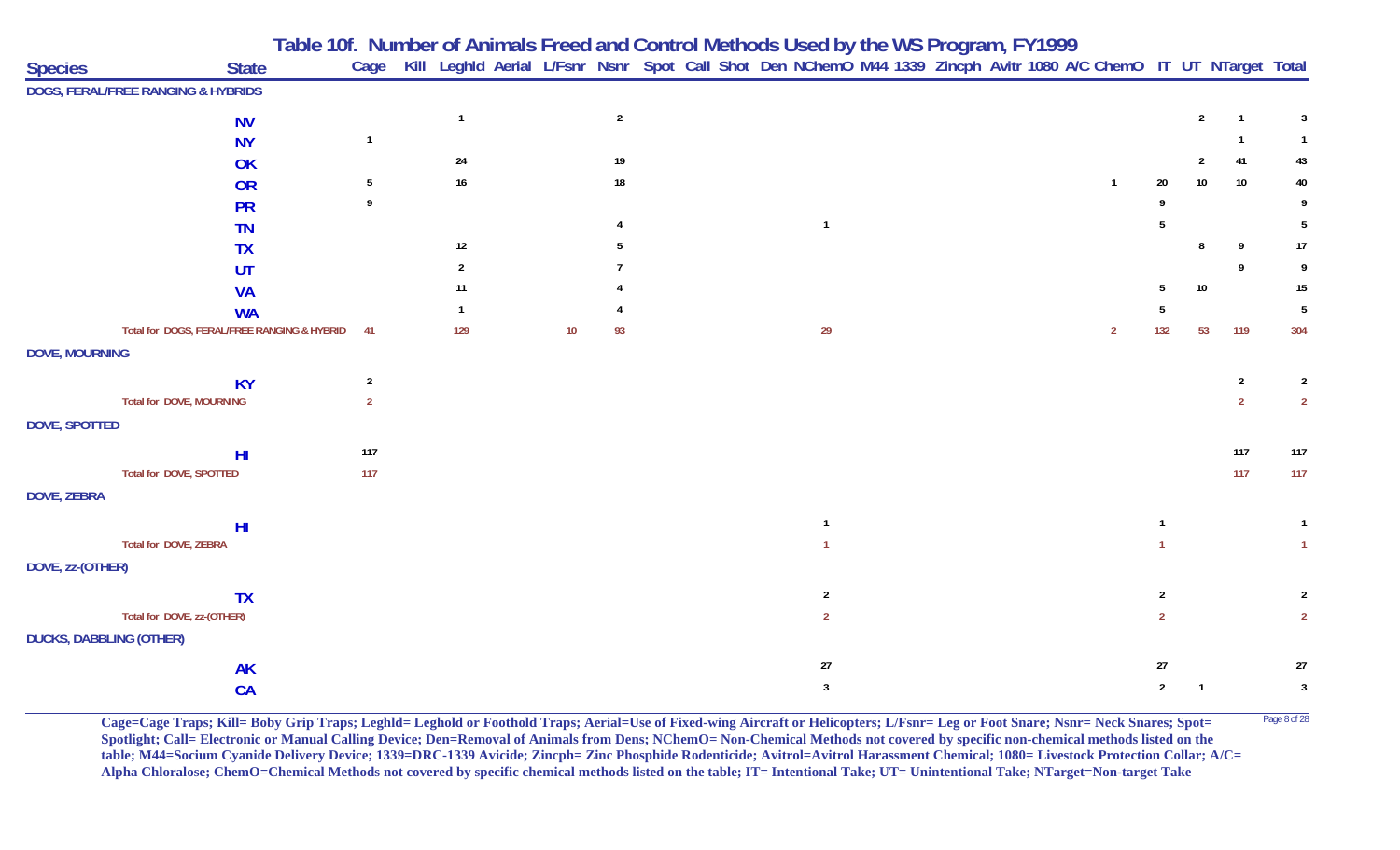|                                |                                             | Table 10f. Number of Animals Freed and Control Methods Used by the WS Program, FY1999 |                |    |                |  |                                                                                                                        |  |  |  |              |                |                 |                |                |
|--------------------------------|---------------------------------------------|---------------------------------------------------------------------------------------|----------------|----|----------------|--|------------------------------------------------------------------------------------------------------------------------|--|--|--|--------------|----------------|-----------------|----------------|----------------|
| <b>Species</b>                 | <b>State</b>                                |                                                                                       |                |    |                |  | Cage Kill Leghld Aerial L/Fsnr Nsnr Spot Call Shot Den NChemO M44 1339 Zincph Avitr 1080 A/C ChemO IT UT NTarget Total |  |  |  |              |                |                 |                |                |
|                                | DOGS, FERAL/FREE RANGING & HYBRIDS          |                                                                                       |                |    |                |  |                                                                                                                        |  |  |  |              |                |                 |                |                |
|                                | <b>NV</b>                                   |                                                                                       | $\overline{1}$ |    | $\overline{2}$ |  |                                                                                                                        |  |  |  |              |                | $\overline{2}$  | $\mathbf{1}$   | -3             |
|                                | <b>NY</b>                                   | $\mathbf{1}$                                                                          |                |    |                |  |                                                                                                                        |  |  |  |              |                |                 |                |                |
|                                | OK                                          |                                                                                       | 24             |    | 19             |  |                                                                                                                        |  |  |  |              |                |                 | 41             | 43             |
|                                | <b>OR</b>                                   | 5                                                                                     | $16\,$         |    | 18             |  |                                                                                                                        |  |  |  | $\mathbf{1}$ | 20             | 10 <sup>°</sup> | 10             | 40             |
|                                | <b>PR</b>                                   | 9                                                                                     |                |    |                |  |                                                                                                                        |  |  |  |              |                |                 |                |                |
|                                | <b>TN</b>                                   |                                                                                       |                |    |                |  | $\mathbf{1}$                                                                                                           |  |  |  |              |                |                 |                | 5              |
|                                | <b>TX</b>                                   |                                                                                       | 12             |    |                |  |                                                                                                                        |  |  |  |              |                | 8               | 9              | 17             |
|                                | UT                                          |                                                                                       | $\overline{2}$ |    |                |  |                                                                                                                        |  |  |  |              |                |                 |                |                |
|                                | <b>VA</b>                                   |                                                                                       | 11             |    |                |  |                                                                                                                        |  |  |  |              |                | $10$            |                | 15             |
|                                | <b>WA</b>                                   |                                                                                       |                |    |                |  |                                                                                                                        |  |  |  |              |                |                 |                | -5             |
|                                | Total for DOGS, FERAL/FREE RANGING & HYBRID | $-41$                                                                                 | 129            | 10 | 93             |  | 29                                                                                                                     |  |  |  | 2            | 132            | 53              | 119            | 304            |
| <b>DOVE, MOURNING</b>          |                                             |                                                                                       |                |    |                |  |                                                                                                                        |  |  |  |              |                |                 |                |                |
|                                | <b>KY</b>                                   | $\overline{2}$                                                                        |                |    |                |  |                                                                                                                        |  |  |  |              |                |                 | $\overline{2}$ | $\overline{2}$ |
|                                | Total for DOVE, MOURNING                    | $\overline{2}$                                                                        |                |    |                |  |                                                                                                                        |  |  |  |              |                |                 | $\overline{2}$ | $\overline{2}$ |
| <b>DOVE, SPOTTED</b>           |                                             |                                                                                       |                |    |                |  |                                                                                                                        |  |  |  |              |                |                 |                |                |
|                                | HI                                          | 117                                                                                   |                |    |                |  |                                                                                                                        |  |  |  |              |                |                 | 117            | 117            |
|                                | Total for DOVE, SPOTTED                     | 117                                                                                   |                |    |                |  |                                                                                                                        |  |  |  |              |                |                 | 117            | 117            |
| <b>DOVE, ZEBRA</b>             |                                             |                                                                                       |                |    |                |  |                                                                                                                        |  |  |  |              |                |                 |                |                |
|                                | HI                                          |                                                                                       |                |    |                |  |                                                                                                                        |  |  |  |              |                |                 |                |                |
|                                | Total for DOVE, ZEBRA                       |                                                                                       |                |    |                |  |                                                                                                                        |  |  |  |              |                |                 |                |                |
| DOVE, zz-(OTHER)               |                                             |                                                                                       |                |    |                |  |                                                                                                                        |  |  |  |              |                |                 |                |                |
|                                | <b>TX</b>                                   |                                                                                       |                |    |                |  | $\overline{2}$                                                                                                         |  |  |  |              |                |                 |                |                |
|                                | Total for DOVE, zz-(OTHER)                  |                                                                                       |                |    |                |  | 2                                                                                                                      |  |  |  |              | $\overline{2}$ |                 |                |                |
| <b>DUCKS, DABBLING (OTHER)</b> |                                             |                                                                                       |                |    |                |  |                                                                                                                        |  |  |  |              |                |                 |                |                |
|                                |                                             |                                                                                       |                |    |                |  | 27                                                                                                                     |  |  |  |              | $27\,$         |                 |                | 27             |
|                                | <b>AK</b>                                   |                                                                                       |                |    |                |  | $\mathbf{3}$                                                                                                           |  |  |  |              | $\overline{2}$ | $\mathbf{1}$    |                | $\overline{3}$ |
|                                | CA                                          |                                                                                       |                |    |                |  |                                                                                                                        |  |  |  |              |                |                 |                |                |

Cage=Cage Traps; Kill= Boby Grip Traps; Leghld= Leghold or Foothold Traps; Aerial=Use of Fixed-wing Aircraft or Helicopters; L/Fsnr= Leg or Foot Snare; Nsnr= Neck Snares; Spot= <sup>Page 8 of 28</sup> **Spotlight; Call= Electronic or Manual Calling Device; Den=Removal of Animals from Dens; NChemO= Non-Chemical Methods not covered by specific non-chemical methods listed on the table; M44=Socium Cyanide Delivery Device; 1339=DRC-1339 Avicide; Zincph= Zinc Phosphide Rodenticide; Avitrol=Avitrol Harassment Chemical; 1080= Livestock Protection Collar; A/C= Alpha Chloralose; ChemO=Chemical Methods not covered by specific chemical methods listed on the table; IT= Intentional Take; UT= Unintentional Take; NTarget=Non-target Take**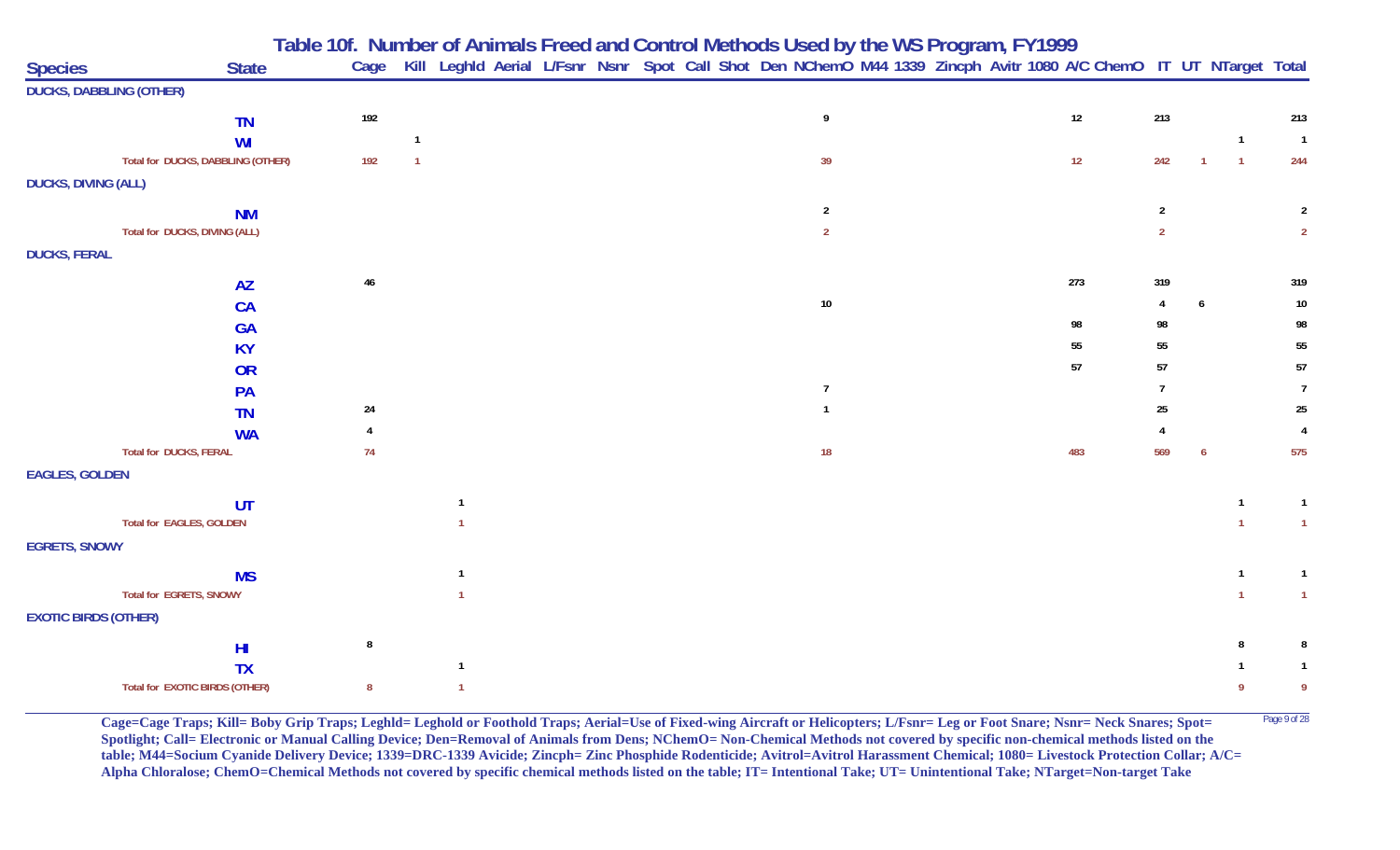|                                |                                   | Table 10f. Number of Animals Freed and Control Methods Used by the WS Program, FY1999 |              |              |  |                                                                                                                   |                |  |     |                |                |                |                |
|--------------------------------|-----------------------------------|---------------------------------------------------------------------------------------|--------------|--------------|--|-------------------------------------------------------------------------------------------------------------------|----------------|--|-----|----------------|----------------|----------------|----------------|
| <b>Species</b>                 | <b>State</b>                      | Cage                                                                                  |              |              |  | Kill Leghld Aerial L/Fsnr Nsnr Spot Call Shot Den NChemO M44 1339 Zincph Avitr 1080 A/C ChemO IT UT NTarget Total |                |  |     |                |                |                |                |
| <b>DUCKS, DABBLING (OTHER)</b> |                                   |                                                                                       |              |              |  |                                                                                                                   |                |  |     |                |                |                |                |
|                                | <b>TN</b>                         | 192                                                                                   |              |              |  |                                                                                                                   | 9              |  | 12  | 213            |                |                | 213            |
|                                | WI                                |                                                                                       |              |              |  |                                                                                                                   |                |  |     |                |                | $\overline{1}$ | $\overline{1}$ |
|                                | Total for DUCKS, DABBLING (OTHER) | 192                                                                                   |              |              |  |                                                                                                                   | 39             |  | 12  | 242            |                | $\overline{1}$ | 244            |
| <b>DUCKS, DIVING (ALL)</b>     |                                   |                                                                                       |              |              |  |                                                                                                                   |                |  |     |                |                |                |                |
|                                | <b>NM</b>                         |                                                                                       |              |              |  |                                                                                                                   | $\overline{2}$ |  |     | $\overline{2}$ |                |                | $\overline{2}$ |
|                                | Total for DUCKS, DIVING (ALL)     |                                                                                       |              |              |  |                                                                                                                   | $\overline{2}$ |  |     | $\overline{2}$ |                |                | $\overline{2}$ |
| <b>DUCKS, FERAL</b>            |                                   |                                                                                       |              |              |  |                                                                                                                   |                |  |     |                |                |                |                |
|                                | <b>AZ</b>                         | $46\,$                                                                                |              |              |  |                                                                                                                   |                |  | 273 | 319            |                |                | 319            |
|                                | <b>CA</b>                         |                                                                                       |              |              |  |                                                                                                                   | 10             |  |     |                | $\mathfrak{h}$ |                | $10\,$         |
|                                | <b>GA</b>                         |                                                                                       |              |              |  |                                                                                                                   |                |  | 98  | 98             |                |                | 98             |
|                                | <b>KY</b>                         |                                                                                       |              |              |  |                                                                                                                   |                |  | 55  | 55             |                |                | 55             |
|                                | OR                                |                                                                                       |              |              |  |                                                                                                                   |                |  | 57  | 57             |                |                | 57             |
|                                | PA                                |                                                                                       |              |              |  |                                                                                                                   | $\overline{7}$ |  |     | $\overline{7}$ |                |                | $\overline{7}$ |
|                                | <b>TN</b>                         | $24\,$                                                                                |              |              |  |                                                                                                                   | $\mathbf 1$    |  |     | $25\,$         |                |                | $25\,$         |
|                                | <b>WA</b>                         | $\overline{4}$                                                                        |              |              |  |                                                                                                                   |                |  |     |                |                |                | 4              |
|                                | <b>Total for DUCKS, FERAL</b>     | 74                                                                                    |              |              |  |                                                                                                                   | 18             |  | 483 | 569            |                |                | 575            |
| <b>EAGLES, GOLDEN</b>          |                                   |                                                                                       |              |              |  |                                                                                                                   |                |  |     |                |                |                |                |
|                                | UT                                |                                                                                       | -1           |              |  |                                                                                                                   |                |  |     |                |                | -1             | $\mathbf{1}$   |
|                                | <b>Total for EAGLES, GOLDEN</b>   |                                                                                       |              |              |  |                                                                                                                   |                |  |     |                |                |                | $\overline{1}$ |
| <b>EGRETS, SNOWY</b>           |                                   |                                                                                       |              |              |  |                                                                                                                   |                |  |     |                |                |                |                |
|                                | <b>MS</b>                         |                                                                                       | $\mathbf{1}$ |              |  |                                                                                                                   |                |  |     |                |                | $\mathbf{1}$   | $\mathbf{1}$   |
|                                | Total for EGRETS, SNOWY           |                                                                                       |              |              |  |                                                                                                                   |                |  |     |                |                |                | $\mathbf{1}$   |
| <b>EXOTIC BIRDS (OTHER)</b>    |                                   |                                                                                       |              |              |  |                                                                                                                   |                |  |     |                |                |                |                |
|                                | H <sub>II</sub>                   | 8                                                                                     |              |              |  |                                                                                                                   |                |  |     |                |                |                | 8              |
|                                | <b>TX</b>                         |                                                                                       | $\mathbf{1}$ |              |  |                                                                                                                   |                |  |     |                |                |                | -1             |
|                                | Total for EXOTIC BIRDS (OTHER)    | 8                                                                                     |              | $\mathbf{1}$ |  |                                                                                                                   |                |  |     |                |                | -9             | 9              |

Cage=Cage Traps; Kill= Boby Grip Traps; Leghld= Leghold or Foothold Traps; Aerial=Use of Fixed-wing Aircraft or Helicopters; L/Fsnr= Leg or Foot Snare; Nsnr= Neck Snares; Spot= <sup>Page 9 of 28</sup> **Spotlight; Call= Electronic or Manual Calling Device; Den=Removal of Animals from Dens; NChemO= Non-Chemical Methods not covered by specific non-chemical methods listed on the table; M44=Socium Cyanide Delivery Device; 1339=DRC-1339 Avicide; Zincph= Zinc Phosphide Rodenticide; Avitrol=Avitrol Harassment Chemical; 1080= Livestock Protection Collar; A/C= Alpha Chloralose; ChemO=Chemical Methods not covered by specific chemical methods listed on the table; IT= Intentional Take; UT= Unintentional Take; NTarget=Non-target Take**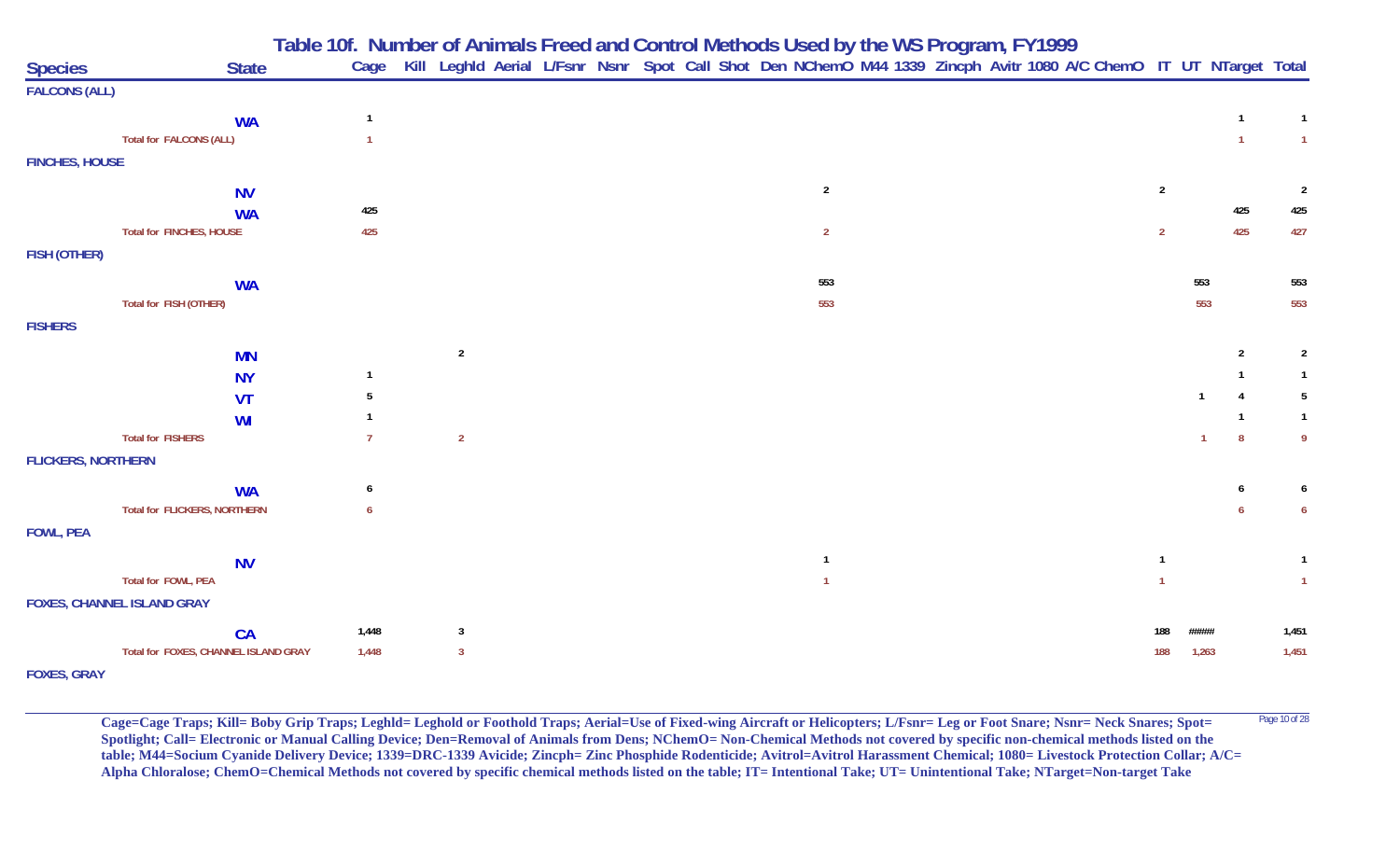|                           |                                                  | Table 10f. Number of Animals Freed and Control Methods Used by the WS Program, FY1999 |                |                                                                                                                   |  |  |                |  |  |                |              |                |                |
|---------------------------|--------------------------------------------------|---------------------------------------------------------------------------------------|----------------|-------------------------------------------------------------------------------------------------------------------|--|--|----------------|--|--|----------------|--------------|----------------|----------------|
| <b>Species</b>            | <b>State</b>                                     |                                                                                       | Cage           | Kill Leghld Aerial L/Fsnr Nsnr Spot Call Shot Den NChemO M44 1339 Zincph Avitr 1080 A/C ChemO IT UT NTarget Total |  |  |                |  |  |                |              |                |                |
| <b>FALCONS (ALL)</b>      |                                                  |                                                                                       |                |                                                                                                                   |  |  |                |  |  |                |              |                |                |
|                           | <b>WA</b>                                        |                                                                                       | $\overline{1}$ |                                                                                                                   |  |  |                |  |  |                |              | $\mathbf{1}$   | $\mathbf{1}$   |
|                           | <b>Total for FALCONS (ALL)</b>                   |                                                                                       |                |                                                                                                                   |  |  |                |  |  |                |              | $\mathbf{1}$   | $\overline{1}$ |
| <b>FINCHES, HOUSE</b>     |                                                  |                                                                                       |                |                                                                                                                   |  |  |                |  |  |                |              |                |                |
|                           | <b>NV</b>                                        |                                                                                       |                |                                                                                                                   |  |  | $\overline{2}$ |  |  | $\overline{2}$ |              |                | $\overline{2}$ |
|                           | <b>WA</b>                                        |                                                                                       | 425            |                                                                                                                   |  |  |                |  |  |                |              | 425            | 425            |
|                           | Total for FINCHES, HOUSE                         |                                                                                       | 425            |                                                                                                                   |  |  | $\overline{2}$ |  |  | $\overline{2}$ |              | 425            | 427            |
| FISH (OTHER)              |                                                  |                                                                                       |                |                                                                                                                   |  |  |                |  |  |                |              |                |                |
|                           |                                                  |                                                                                       |                |                                                                                                                   |  |  | 553            |  |  |                | 553          |                | 553            |
|                           | <b>WA</b><br>Total for FISH (OTHER)              |                                                                                       |                |                                                                                                                   |  |  | 553            |  |  |                | 553          |                | 553            |
| <b>FISHERS</b>            |                                                  |                                                                                       |                |                                                                                                                   |  |  |                |  |  |                |              |                |                |
|                           |                                                  |                                                                                       |                |                                                                                                                   |  |  |                |  |  |                |              |                |                |
|                           | <b>MN</b>                                        |                                                                                       | $\mathbf{1}$   | $\overline{2}$                                                                                                    |  |  |                |  |  |                |              | $\overline{2}$ | $\overline{2}$ |
|                           | <b>NY</b>                                        |                                                                                       | -5             |                                                                                                                   |  |  |                |  |  |                | $\mathbf{1}$ | 4              | -5             |
|                           | <b>VT</b>                                        |                                                                                       |                |                                                                                                                   |  |  |                |  |  |                |              | $\mathbf{1}$   | $\mathbf{1}$   |
|                           | WI<br><b>Total for FISHERS</b>                   |                                                                                       |                | $\overline{2}$                                                                                                    |  |  |                |  |  |                |              | 8              | -9             |
| <b>FLICKERS, NORTHERN</b> |                                                  |                                                                                       |                |                                                                                                                   |  |  |                |  |  |                |              |                |                |
|                           |                                                  |                                                                                       |                |                                                                                                                   |  |  |                |  |  |                |              |                |                |
|                           | <b>WA</b><br><b>Total for FLICKERS, NORTHERN</b> |                                                                                       | 6<br>6         |                                                                                                                   |  |  |                |  |  |                |              | 6              | 6              |
| <b>FOWL, PEA</b>          |                                                  |                                                                                       |                |                                                                                                                   |  |  |                |  |  |                |              |                |                |
|                           |                                                  |                                                                                       |                |                                                                                                                   |  |  |                |  |  |                |              |                |                |
|                           | <b>NV</b>                                        |                                                                                       |                |                                                                                                                   |  |  | $\overline{1}$ |  |  | $\overline{1}$ |              |                | $\mathbf{1}$   |
|                           | Total for FOWL, PEA                              |                                                                                       |                |                                                                                                                   |  |  |                |  |  |                |              |                | $\overline{1}$ |
|                           | <b>FOXES, CHANNEL ISLAND GRAY</b>                |                                                                                       |                |                                                                                                                   |  |  |                |  |  |                |              |                |                |
|                           | CA                                               |                                                                                       | 1,448          | $\overline{\mathbf{3}}$                                                                                           |  |  |                |  |  |                | #####        |                | 1,451          |
|                           | Total for FOXES, CHANNEL ISLAND GRAY             |                                                                                       | 1,448          | $\overline{3}$                                                                                                    |  |  |                |  |  | 188            | 1,263        |                | 1,451          |
| <b>FOXES, GRAY</b>        |                                                  |                                                                                       |                |                                                                                                                   |  |  |                |  |  |                |              |                |                |

Cage=Cage Traps; Kill= Boby Grip Traps; Leghld= Leghold or Foothold Traps; Aerial=Use of Fixed-wing Aircraft or Helicopters; L/Fsnr= Leg or Foot Snare; Nsnr= Neck Snares; Spot= <sup>Page 10 of 28</sup> **Spotlight; Call= Electronic or Manual Calling Device; Den=Removal of Animals from Dens; NChemO= Non-Chemical Methods not covered by specific non-chemical methods listed on the table; M44=Socium Cyanide Delivery Device; 1339=DRC-1339 Avicide; Zincph= Zinc Phosphide Rodenticide; Avitrol=Avitrol Harassment Chemical; 1080= Livestock Protection Collar; A/C= Alpha Chloralose; ChemO=Chemical Methods not covered by specific chemical methods listed on the table; IT= Intentional Take; UT= Unintentional Take; NTarget=Non-target Take**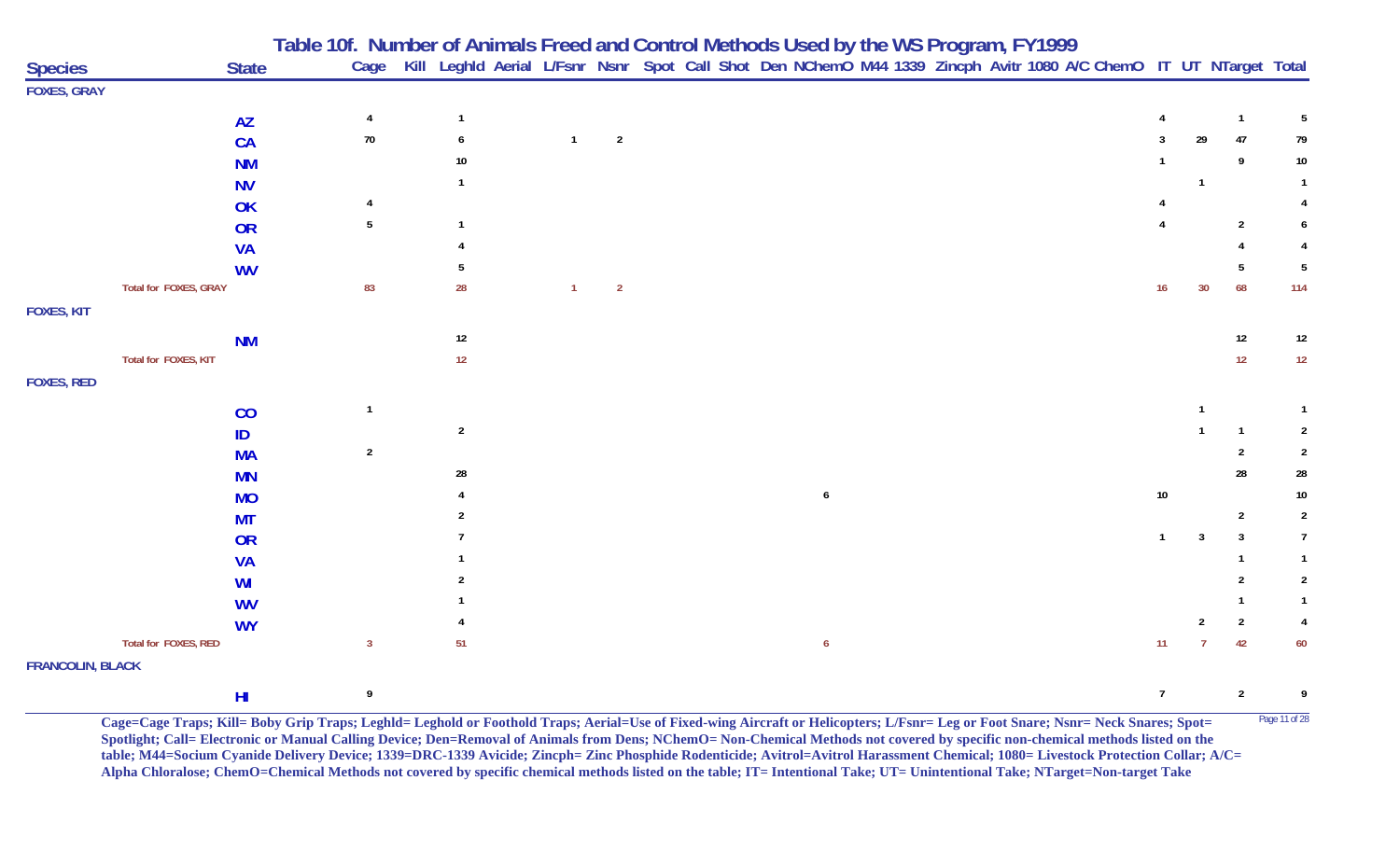| <b>Species</b>          | <b>State</b>          | Table 10f. Number of Animals Freed and Control Methods Used by the WS Program, FY1999<br>Cage Kill Leghld Aerial L/Fsnr Nsnr Spot Call Shot Den NChemO M44 1339 Zincph Avitr 1080 A/C ChemO IT UT NTarget Total |                |                |                |                |  |  |                  |  |  |  |                 |                         |                |                |
|-------------------------|-----------------------|-----------------------------------------------------------------------------------------------------------------------------------------------------------------------------------------------------------------|----------------|----------------|----------------|----------------|--|--|------------------|--|--|--|-----------------|-------------------------|----------------|----------------|
| <b>FOXES, GRAY</b>      |                       |                                                                                                                                                                                                                 |                |                |                |                |  |  |                  |  |  |  |                 |                         |                |                |
|                         | <b>AZ</b>             |                                                                                                                                                                                                                 | $\overline{4}$ | $\overline{1}$ |                |                |  |  |                  |  |  |  | 4               |                         | $\mathbf{1}$   | 5              |
|                         | CA                    |                                                                                                                                                                                                                 | $70\,$         | 6              | $\overline{1}$ | $\overline{2}$ |  |  |                  |  |  |  |                 | 29                      | 47             | 79             |
|                         | <b>NM</b>             |                                                                                                                                                                                                                 |                | 10             |                |                |  |  |                  |  |  |  |                 |                         | 9              | 10             |
|                         | <b>NV</b>             |                                                                                                                                                                                                                 |                |                |                |                |  |  |                  |  |  |  |                 | $\overline{\mathbf{1}}$ |                |                |
|                         | OK                    |                                                                                                                                                                                                                 |                |                |                |                |  |  |                  |  |  |  |                 |                         |                |                |
|                         | OR                    |                                                                                                                                                                                                                 | 5              |                |                |                |  |  |                  |  |  |  |                 |                         | $\overline{2}$ |                |
|                         | <b>VA</b>             |                                                                                                                                                                                                                 |                |                |                |                |  |  |                  |  |  |  |                 |                         |                |                |
|                         | <b>WV</b>             |                                                                                                                                                                                                                 |                |                |                |                |  |  |                  |  |  |  |                 |                         | -5             | 5              |
|                         | Total for FOXES, GRAY |                                                                                                                                                                                                                 | 83             | 28             | $\mathbf{1}$   | $\overline{2}$ |  |  |                  |  |  |  | 16              | 30                      | 68             | 114            |
| <b>FOXES, KIT</b>       |                       |                                                                                                                                                                                                                 |                |                |                |                |  |  |                  |  |  |  |                 |                         |                |                |
|                         | <b>NM</b>             |                                                                                                                                                                                                                 |                | $12\,$         |                |                |  |  |                  |  |  |  |                 |                         | 12             | 12             |
|                         | Total for FOXES, KIT  |                                                                                                                                                                                                                 |                | 12             |                |                |  |  |                  |  |  |  |                 |                         | 12             | $12\,$         |
| <b>FOXES, RED</b>       |                       |                                                                                                                                                                                                                 |                |                |                |                |  |  |                  |  |  |  |                 |                         |                |                |
|                         | CO                    |                                                                                                                                                                                                                 | $\overline{1}$ |                |                |                |  |  |                  |  |  |  |                 | $\mathbf{1}$            |                |                |
|                         | ID                    |                                                                                                                                                                                                                 |                | $\overline{2}$ |                |                |  |  |                  |  |  |  |                 |                         | -1             | $\overline{2}$ |
|                         | <b>MA</b>             |                                                                                                                                                                                                                 | $\sqrt{2}$     |                |                |                |  |  |                  |  |  |  |                 |                         | 2              | $\overline{2}$ |
|                         | <b>MN</b>             |                                                                                                                                                                                                                 |                | 28             |                |                |  |  |                  |  |  |  |                 |                         | 28             | 28             |
|                         | <b>MO</b>             |                                                                                                                                                                                                                 |                |                |                |                |  |  | 6                |  |  |  | 10              |                         |                | 10             |
|                         | МT                    |                                                                                                                                                                                                                 |                |                |                |                |  |  |                  |  |  |  |                 |                         | $\overline{2}$ | $\overline{2}$ |
|                         | OR                    |                                                                                                                                                                                                                 |                |                |                |                |  |  |                  |  |  |  |                 |                         |                | $\overline{7}$ |
|                         | <b>VA</b>             |                                                                                                                                                                                                                 |                |                |                |                |  |  |                  |  |  |  |                 |                         |                |                |
|                         | WI                    |                                                                                                                                                                                                                 |                |                |                |                |  |  |                  |  |  |  |                 |                         |                | $\overline{2}$ |
|                         | <b>WV</b>             |                                                                                                                                                                                                                 |                |                |                |                |  |  |                  |  |  |  |                 |                         |                |                |
|                         | <b>WY</b>             |                                                                                                                                                                                                                 |                |                |                |                |  |  |                  |  |  |  |                 | 2                       | $\overline{2}$ | $\overline{4}$ |
|                         | Total for FOXES, RED  |                                                                                                                                                                                                                 | $\mathbf{3}$   | 51             |                |                |  |  | $\boldsymbol{6}$ |  |  |  | 11              | $\overline{7}$          | 42             | 60             |
| <b>FRANCOLIN, BLACK</b> |                       |                                                                                                                                                                                                                 |                |                |                |                |  |  |                  |  |  |  |                 |                         |                |                |
|                         | H <sub>II</sub>       |                                                                                                                                                                                                                 | 9              |                |                |                |  |  |                  |  |  |  | $7\phantom{.0}$ |                         | $\overline{2}$ | 9              |

**Cage=Cage Traps; Kill= Boby Grip Traps; Leghld= Leghold or Foothold Traps; Aerial=Use of Fixed-wing Aircraft or Helicopters; L/Fsnr= Leg or Foot Snare; Nsnr= Neck Snares; Spot=** Page 11 of 28 **Spotlight; Call= Electronic or Manual Calling Device; Den=Removal of Animals from Dens; NChemO= Non-Chemical Methods not covered by specific non-chemical methods listed on the table; M44=Socium Cyanide Delivery Device; 1339=DRC-1339 Avicide; Zincph= Zinc Phosphide Rodenticide; Avitrol=Avitrol Harassment Chemical; 1080= Livestock Protection Collar; A/C= Alpha Chloralose; ChemO=Chemical Methods not covered by specific chemical methods listed on the table; IT= Intentional Take; UT= Unintentional Take; NTarget=Non-target Take**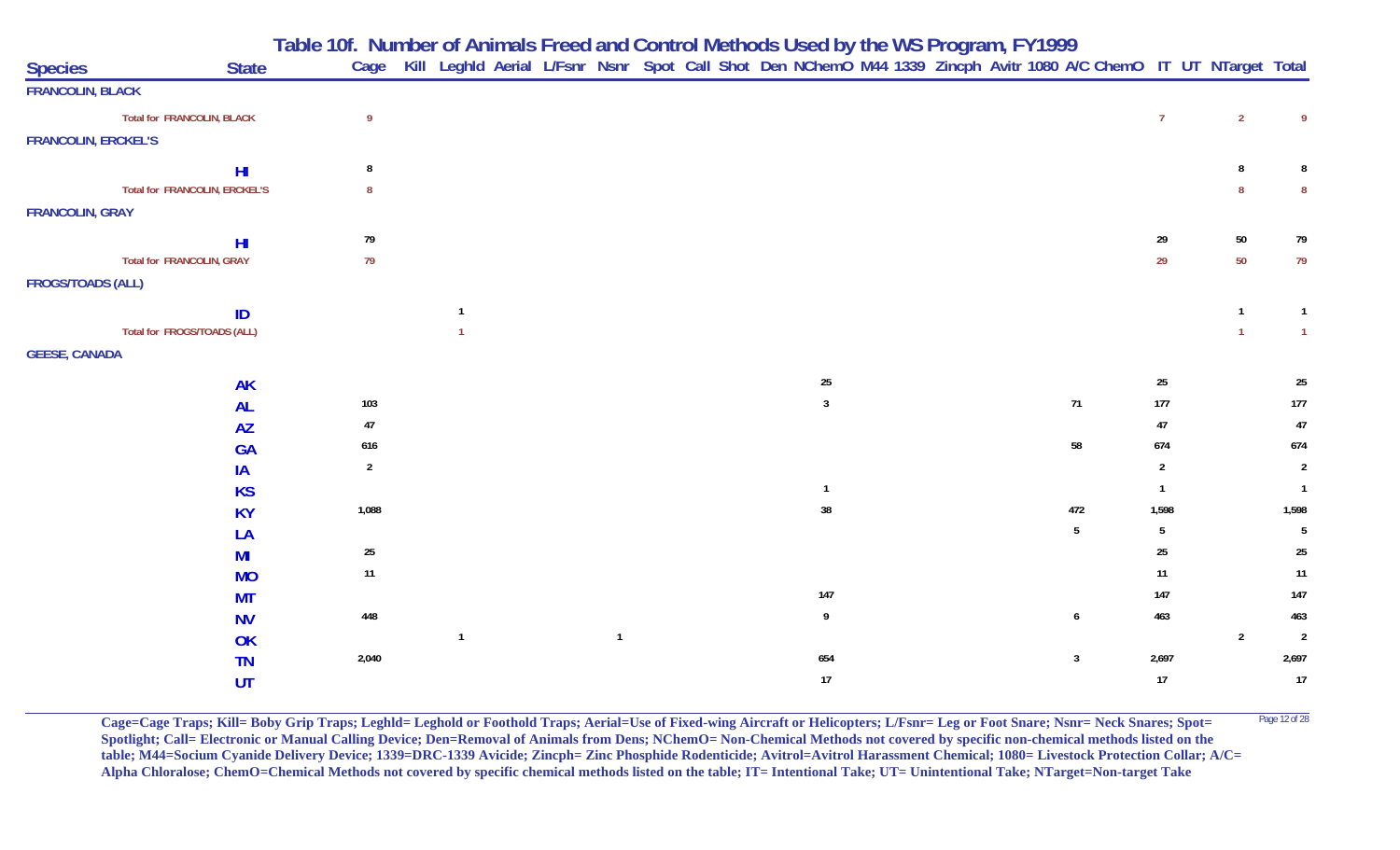**Table 10f. Number of Animals Freed and Control Methods Used by the WS Program, FY 1999**

| <b>Species</b>             | <b>State</b>                  |                |                |  |              |  |                  |  | Cage Kill Leghld Aerial L/Fsnr Nsnr Spot Call Shot Den NChemO M44 1339 Zincph Avitr 1080 A/C ChemO IT UT NTarget Total |                  |                |                  |
|----------------------------|-------------------------------|----------------|----------------|--|--------------|--|------------------|--|------------------------------------------------------------------------------------------------------------------------|------------------|----------------|------------------|
| <b>FRANCOLIN, BLACK</b>    |                               |                |                |  |              |  |                  |  |                                                                                                                        |                  |                |                  |
|                            | Total for FRANCOLIN, BLACK    | $\overline{9}$ |                |  |              |  |                  |  |                                                                                                                        | 7 <sup>7</sup>   | $\overline{2}$ | 9                |
| <b>FRANCOLIN, ERCKEL'S</b> |                               |                |                |  |              |  |                  |  |                                                                                                                        |                  |                |                  |
|                            | H <sub>l</sub>                | 8              |                |  |              |  |                  |  |                                                                                                                        |                  | 8              |                  |
|                            | Total for FRANCOLIN, ERCKEL'S | 8              |                |  |              |  |                  |  |                                                                                                                        |                  | $\mathbf{8}$   | 8                |
| <b>FRANCOLIN, GRAY</b>     |                               |                |                |  |              |  |                  |  |                                                                                                                        |                  |                |                  |
|                            | H <sub>II</sub>               | 79             |                |  |              |  |                  |  |                                                                                                                        | 29               | $50\,$         | 79               |
|                            | Total for FRANCOLIN, GRAY     | 79             |                |  |              |  |                  |  |                                                                                                                        | 29               | 50             | 79               |
| <b>FROGS/TOADS (ALL)</b>   |                               |                |                |  |              |  |                  |  |                                                                                                                        |                  |                |                  |
|                            | ID                            |                | $\overline{1}$ |  |              |  |                  |  |                                                                                                                        |                  | $\mathbf{1}$   | $\overline{1}$   |
|                            | Total for FROGS/TOADS (ALL)   |                |                |  |              |  |                  |  |                                                                                                                        |                  | $\overline{1}$ | $\overline{1}$   |
| <b>GEESE, CANADA</b>       |                               |                |                |  |              |  |                  |  |                                                                                                                        |                  |                |                  |
|                            | <b>AK</b>                     |                |                |  |              |  | 25               |  |                                                                                                                        | $25\phantom{.0}$ |                | $25\phantom{.0}$ |
|                            | <b>AL</b>                     | 103            |                |  |              |  | $\mathbf{3}$     |  | $71$                                                                                                                   | $177$            |                | 177              |
|                            | <b>AZ</b>                     | $47\,$         |                |  |              |  |                  |  |                                                                                                                        | $47\,$           |                | $47\,$           |
|                            | <b>GA</b>                     | 616            |                |  |              |  |                  |  | 58                                                                                                                     | 674              |                | 674              |
|                            | IA                            | $\overline{2}$ |                |  |              |  |                  |  |                                                                                                                        | $\overline{2}$   |                | $\overline{2}$   |
|                            | <b>KS</b>                     |                |                |  |              |  | $\mathbf{1}$     |  |                                                                                                                        | $\mathbf{1}$     |                | $\overline{1}$   |
|                            | <b>KY</b>                     | 1,088          |                |  |              |  | 38               |  | 472                                                                                                                    | 1,598            |                | 1,598            |
|                            | LA                            |                |                |  |              |  |                  |  | $5\phantom{.0}$                                                                                                        | 5 <sub>5</sub>   |                | $5\phantom{.0}$  |
|                            | MI                            | $25\,$         |                |  |              |  |                  |  |                                                                                                                        | $25\,$           |                | $25\,$           |
|                            | <b>MO</b>                     | 11             |                |  |              |  |                  |  |                                                                                                                        | 11               |                | $11$             |
|                            | <b>MT</b>                     |                |                |  |              |  | 147              |  |                                                                                                                        | $147$            |                | 147              |
|                            | <b>NV</b>                     | 448            |                |  |              |  | $\boldsymbol{9}$ |  | $\boldsymbol{6}$                                                                                                       | 463              |                | 463              |
|                            | OK                            |                | $\overline{1}$ |  | $\mathbf{1}$ |  |                  |  |                                                                                                                        |                  | $\overline{2}$ | $\overline{2}$   |
|                            | <b>TN</b>                     | 2,040          |                |  |              |  | 654              |  | $\mathbf{3}$                                                                                                           | 2,697            |                | 2,697            |
|                            | <b>UT</b>                     |                |                |  |              |  | $17$             |  |                                                                                                                        | $17\,$           |                | 17               |

**Cage=Cage Traps; Kill= Boby Grip Traps; Leghld= Leghold or Foothold Traps; Aerial=Use of Fixed-wing Aircraft or Helicopters; L/Fsnr= Leg or Foot Snare; Nsnr= Neck Snares; Spot=** <sup>Page 12 of 28</sup> Spotlight; Call= Electronic or Manual Calling Device; Den=Removal of Animals from Dens; NChemO= Non-Chemical Methods not covered by specific non-chemical methods listed on the **table; M44=Socium Cyanide Delivery Device; 1339=DRC-1339 Avicide; Zincph= Zinc Phosphide Rodenticide; Avitrol=Avitrol Harassment Chemical; 1080= Livestock Protection Collar; A/C= Alpha Chloralose; ChemO=Chemical Methods not covered by specific chemical methods listed on the table; IT= Intentional Take; UT= Unintentional Take; NTarget=Non-target Take**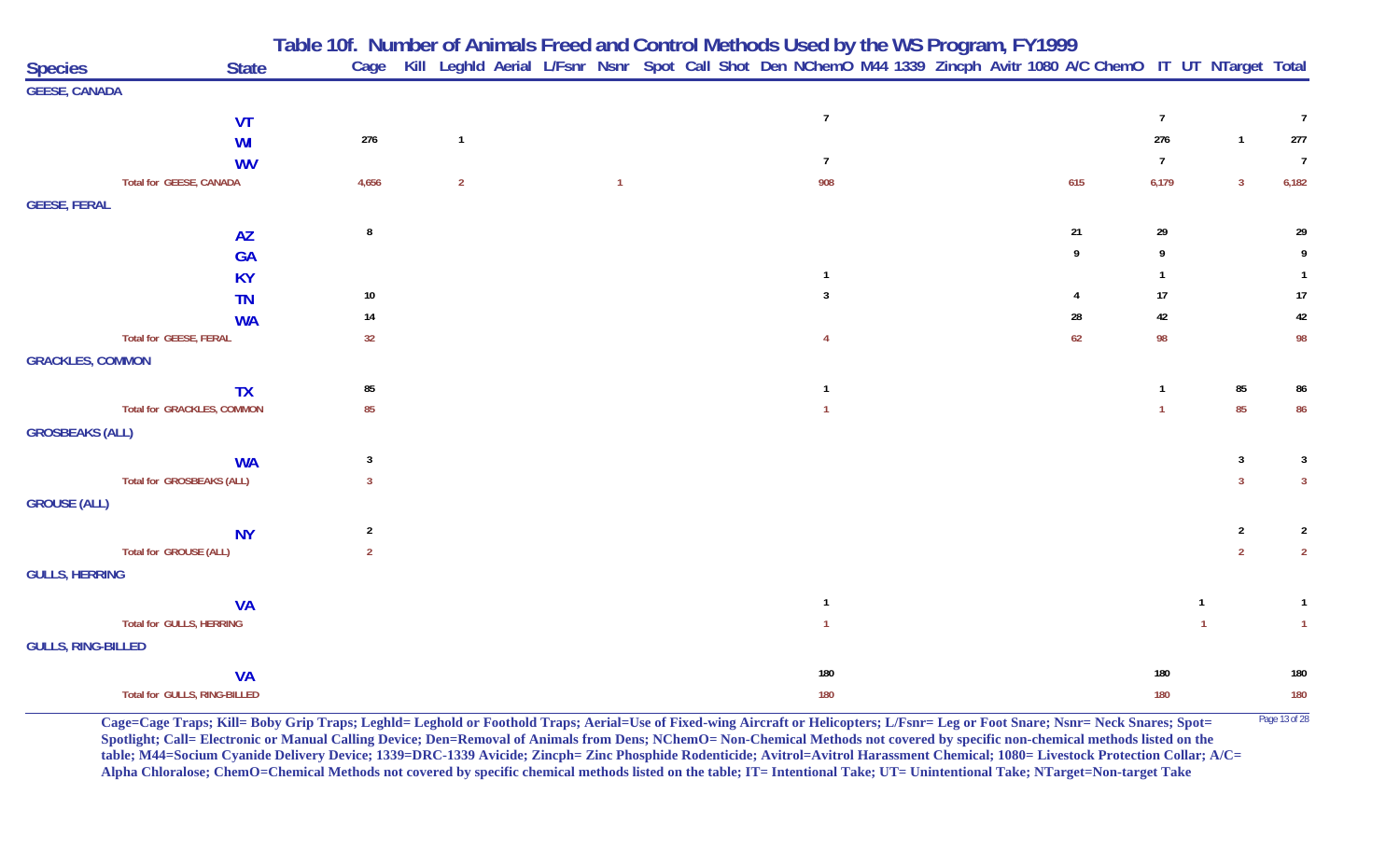|                                   |              |                |                | Table 10f. Number of Animals Freed and Control Methods Used by the WS Program, FY1999                                  |                |                |  |     |                |                |                |
|-----------------------------------|--------------|----------------|----------------|------------------------------------------------------------------------------------------------------------------------|----------------|----------------|--|-----|----------------|----------------|----------------|
| <b>Species</b>                    | <b>State</b> |                |                | Cage Kill Leghld Aerial L/Fsnr Nsnr Spot Call Shot Den NChemO M44 1339 Zincph Avitr 1080 A/C ChemO IT UT NTarget Total |                |                |  |     |                |                |                |
| <b>GEESE, CANADA</b>              |              |                |                |                                                                                                                        |                |                |  |     |                |                |                |
|                                   | <b>VT</b>    |                |                |                                                                                                                        |                | $\overline{1}$ |  |     | $\overline{7}$ |                | $\overline{7}$ |
|                                   | <b>WI</b>    | 276            | $\overline{1}$ |                                                                                                                        |                |                |  |     | 276            | $\mathbf{1}$   | 277            |
|                                   | <b>WV</b>    |                |                |                                                                                                                        |                | $\overline{7}$ |  |     | $\overline{7}$ |                | $\overline{7}$ |
| <b>Total for GEESE, CANADA</b>    |              | 4,656          | $\overline{2}$ |                                                                                                                        | $\overline{1}$ | 908            |  | 615 | 6,179          | $\overline{3}$ | 6,182          |
| <b>GEESE, FERAL</b>               |              |                |                |                                                                                                                        |                |                |  |     |                |                |                |
|                                   | <b>AZ</b>    | 8              |                |                                                                                                                        |                |                |  | 21  | 29             |                | 29             |
|                                   | <b>GA</b>    |                |                |                                                                                                                        |                |                |  | 9   | 9              |                | 9              |
|                                   | <b>KY</b>    |                |                |                                                                                                                        |                | -1             |  |     |                |                |                |
|                                   | <b>TN</b>    | 10             |                |                                                                                                                        |                | 3              |  | 4   | 17             |                | 17             |
|                                   | <b>WA</b>    | 14             |                |                                                                                                                        |                |                |  | 28  | 42             |                | 42             |
| <b>Total for GEESE, FERAL</b>     |              | 32             |                |                                                                                                                        |                | 4              |  | 62  | 98             |                | 98             |
| <b>GRACKLES, COMMON</b>           |              |                |                |                                                                                                                        |                |                |  |     |                |                |                |
|                                   | <b>TX</b>    | 85             |                |                                                                                                                        |                | -1             |  |     | $\mathbf{1}$   | 85             | 86             |
| <b>Total for GRACKLES, COMMON</b> |              | 85             |                |                                                                                                                        |                | $\overline{1}$ |  |     |                | 85             | 86             |
| <b>GROSBEAKS (ALL)</b>            |              |                |                |                                                                                                                        |                |                |  |     |                |                |                |
|                                   | <b>WA</b>    | $\overline{3}$ |                |                                                                                                                        |                |                |  |     |                | 3              | 3              |
| <b>Total for GROSBEAKS (ALL)</b>  |              | $\overline{3}$ |                |                                                                                                                        |                |                |  |     |                | $\overline{3}$ | $\overline{3}$ |
| <b>GROUSE (ALL)</b>               |              |                |                |                                                                                                                        |                |                |  |     |                |                |                |
|                                   | <b>NY</b>    | $\overline{2}$ |                |                                                                                                                        |                |                |  |     |                | $\overline{2}$ | $\overline{2}$ |
| Total for GROUSE (ALL)            |              | $\overline{2}$ |                |                                                                                                                        |                |                |  |     |                | $\overline{2}$ | $\overline{2}$ |
| <b>GULLS, HERRING</b>             |              |                |                |                                                                                                                        |                |                |  |     |                |                |                |
|                                   | <b>VA</b>    |                |                |                                                                                                                        |                | $\overline{1}$ |  |     |                | -1             | $\mathbf{1}$   |
| <b>Total for GULLS, HERRING</b>   |              |                |                |                                                                                                                        |                | $\overline{1}$ |  |     |                |                | $\mathbf{1}$   |
| <b>GULLS, RING-BILLED</b>         |              |                |                |                                                                                                                        |                |                |  |     |                |                |                |
|                                   | <b>VA</b>    |                |                |                                                                                                                        |                | 180            |  |     | 180            |                | 180            |
| Total for GULLS, RING-BILLED      |              |                |                |                                                                                                                        |                | 180            |  |     | 180            |                | 180            |

**Cage=Cage Traps; Kill= Boby Grip Traps; Leghld= Leghold or Foothold Traps; Aerial=Use of Fixed-wing Aircraft or Helicopters; L/Fsnr= Leg or Foot Snare; Nsnr= Neck Snares; Spot=** Page 13 of 28 **Spotlight; Call= Electronic or Manual Calling Device; Den=Removal of Animals from Dens; NChemO= Non-Chemical Methods not covered by specific non-chemical methods listed on the table; M44=Socium Cyanide Delivery Device; 1339=DRC-1339 Avicide; Zincph= Zinc Phosphide Rodenticide; Avitrol=Avitrol Harassment Chemical; 1080= Livestock Protection Collar; A/C= Alpha Chloralose; ChemO=Chemical Methods not covered by specific chemical methods listed on the table; IT= Intentional Take; UT= Unintentional Take; NTarget=Non-target Take**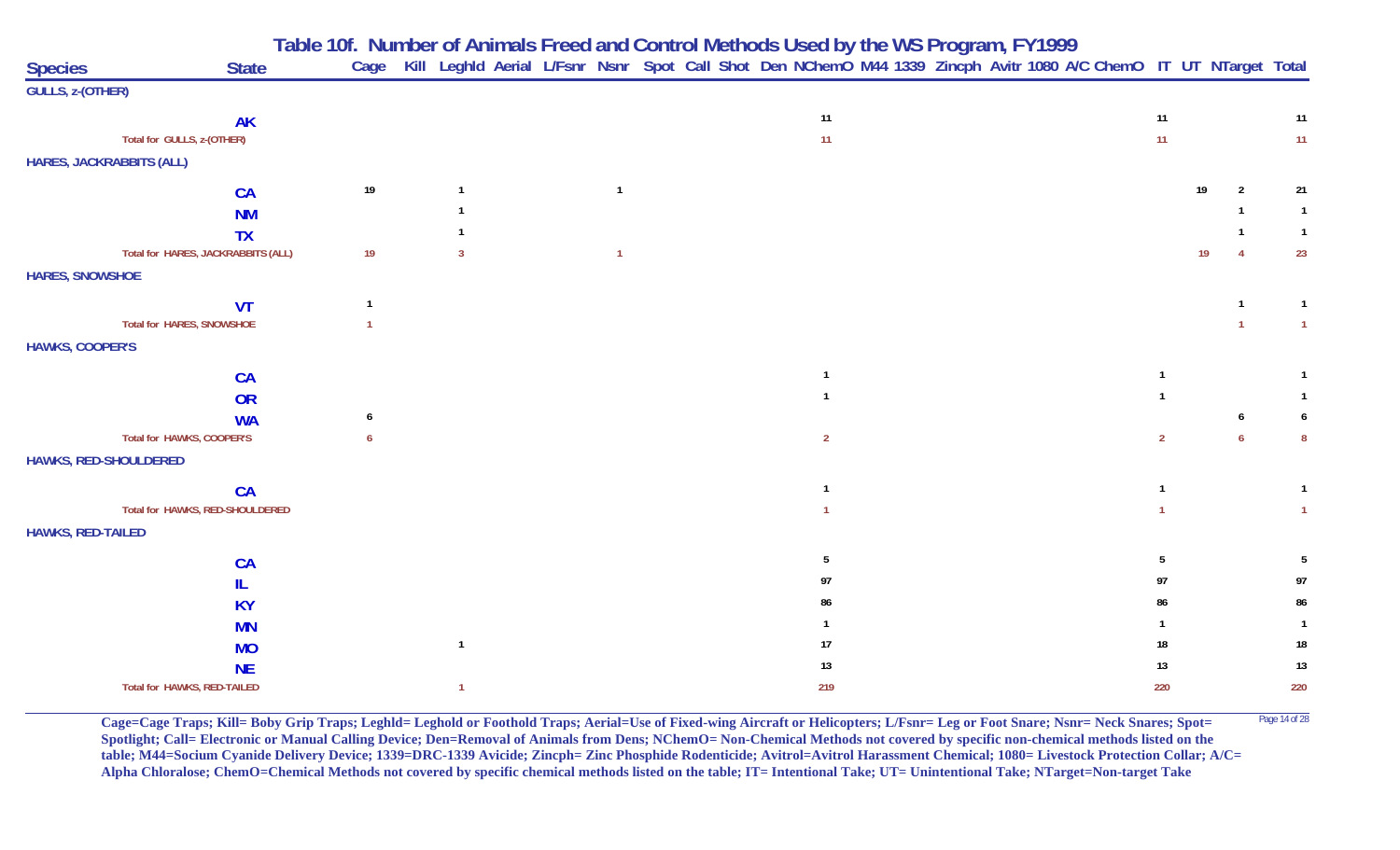| Table 10f. Number of Animals Freed and Control Methods Used by the WS Program, FY1999 |  |
|---------------------------------------------------------------------------------------|--|
|---------------------------------------------------------------------------------------|--|

| <b>Species</b>                  | <b>State</b>                       |      |              |  |                |  | Cage Kill Leghld Aerial L/Fsnr Nsnr Spot Call Shot Den NChemO M44 1339 Zincph Avitr 1080 A/C ChemO IT UT NTarget Total |  |  |                |                 |                |                 |
|---------------------------------|------------------------------------|------|--------------|--|----------------|--|------------------------------------------------------------------------------------------------------------------------|--|--|----------------|-----------------|----------------|-----------------|
| GULLS, z-(OTHER)                |                                    |      |              |  |                |  |                                                                                                                        |  |  |                |                 |                |                 |
|                                 | <b>AK</b>                          |      |              |  |                |  | 11                                                                                                                     |  |  | 11             |                 |                | 11              |
|                                 | Total for GULLS, z-(OTHER)         |      |              |  |                |  | 11                                                                                                                     |  |  | 11             |                 |                | 11 <sub>1</sub> |
| <b>HARES, JACKRABBITS (ALL)</b> |                                    |      |              |  |                |  |                                                                                                                        |  |  |                |                 |                |                 |
|                                 | <b>CA</b>                          | $19$ |              |  | $\mathbf{1}$   |  |                                                                                                                        |  |  |                | 19              | $\overline{2}$ | 21              |
|                                 | <b>NM</b>                          |      |              |  |                |  |                                                                                                                        |  |  |                |                 |                | $\mathbf{1}$    |
|                                 | <b>TX</b>                          |      |              |  |                |  |                                                                                                                        |  |  |                |                 |                | $\mathbf{1}$    |
|                                 | Total for HARES, JACKRABBITS (ALL) | 19   | $\mathbf{3}$ |  | $\overline{1}$ |  |                                                                                                                        |  |  |                | 19 <sup>°</sup> | $\overline{4}$ | 23              |
| <b>HARES, SNOWSHOE</b>          |                                    |      |              |  |                |  |                                                                                                                        |  |  |                |                 |                |                 |
|                                 | <b>VT</b>                          |      |              |  |                |  |                                                                                                                        |  |  |                |                 |                |                 |
|                                 | <b>Total for HARES, SNOWSHOE</b>   |      |              |  |                |  |                                                                                                                        |  |  |                |                 | $\mathbf{1}$   | $\overline{1}$  |
| <b>HAWKS, COOPER'S</b>          |                                    |      |              |  |                |  |                                                                                                                        |  |  |                |                 |                |                 |
|                                 | <b>CA</b>                          |      |              |  |                |  | $\mathbf{1}$                                                                                                           |  |  |                |                 |                |                 |
|                                 | OR                                 |      |              |  |                |  |                                                                                                                        |  |  |                |                 |                |                 |
|                                 | <b>WA</b>                          | 6    |              |  |                |  |                                                                                                                        |  |  |                |                 |                | 6               |
|                                 | Total for HAWKS, COOPER'S          |      |              |  |                |  | $\overline{2}$                                                                                                         |  |  | $\overline{2}$ |                 |                | -8              |
| HAWKS, RED-SHOULDERED           |                                    |      |              |  |                |  |                                                                                                                        |  |  |                |                 |                |                 |
|                                 | CA                                 |      |              |  |                |  | $\overline{1}$                                                                                                         |  |  |                |                 |                |                 |
|                                 | Total for HAWKS, RED-SHOULDERED    |      |              |  |                |  |                                                                                                                        |  |  |                |                 |                | $\overline{1}$  |
| <b>HAWKS, RED-TAILED</b>        |                                    |      |              |  |                |  |                                                                                                                        |  |  |                |                 |                |                 |
|                                 | <b>CA</b>                          |      |              |  |                |  | 5                                                                                                                      |  |  | 5              |                 |                | 5               |
|                                 | IL                                 |      |              |  |                |  | 97                                                                                                                     |  |  | 97             |                 |                | 97              |
|                                 | <b>KY</b>                          |      |              |  |                |  | 86                                                                                                                     |  |  | 86             |                 |                | 86              |
|                                 | <b>MN</b>                          |      |              |  |                |  |                                                                                                                        |  |  |                |                 |                |                 |
|                                 | <b>MO</b>                          |      |              |  |                |  | 17                                                                                                                     |  |  | 18             |                 |                | 18              |
|                                 | <b>NE</b>                          |      |              |  |                |  | 13                                                                                                                     |  |  | 13             |                 |                | 13              |
|                                 | Total for HAWKS, RED-TAILED        |      | $\mathbf{1}$ |  |                |  | 219                                                                                                                    |  |  | 220            |                 |                | 220             |

Cage=Cage Traps; Kill= Boby Grip Traps; Leghld= Leghold or Foothold Traps; Aerial=Use of Fixed-wing Aircraft or Helicopters; L/Fsnr= Leg or Foot Snare; Nsnr= Neck Snares; Spot= <sup>Page 14 of 28</sup> **Spotlight; Call= Electronic or Manual Calling Device; Den=Removal of Animals from Dens; NChemO= Non-Chemical Methods not covered by specific non-chemical methods listed on the table; M44=Socium Cyanide Delivery Device; 1339=DRC-1339 Avicide; Zincph= Zinc Phosphide Rodenticide; Avitrol=Avitrol Harassment Chemical; 1080= Livestock Protection Collar; A/C= Alpha Chloralose; ChemO=Chemical Methods not covered by specific chemical methods listed on the table; IT= Intentional Take; UT= Unintentional Take; NTarget=Non-target Take**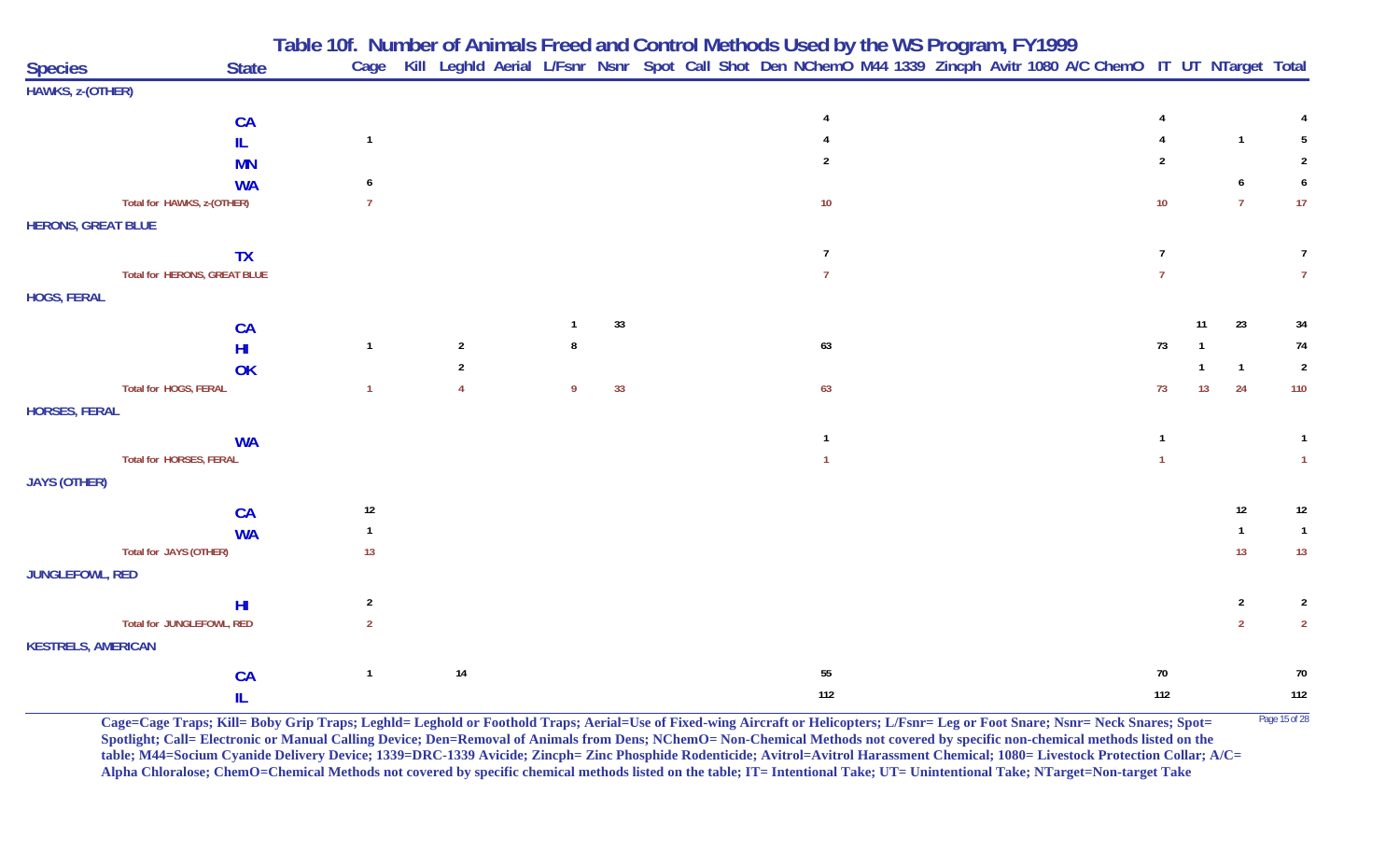|                           |                                             | Table 10f. Number of Animals Freed and Control Methods Used by the WS Program, FY1999 |                                                                                                                        |    |    |  |                |  |  |                 |    |                                  |                                  |
|---------------------------|---------------------------------------------|---------------------------------------------------------------------------------------|------------------------------------------------------------------------------------------------------------------------|----|----|--|----------------|--|--|-----------------|----|----------------------------------|----------------------------------|
| <b>Species</b>            | <b>State</b>                                |                                                                                       | Cage Kill Leghld Aerial L/Fsnr Nsnr Spot Call Shot Den NChemO M44 1339 Zincph Avitr 1080 A/C ChemO IT UT NTarget Total |    |    |  |                |  |  |                 |    |                                  |                                  |
| HAWKS, z-(OTHER)          |                                             |                                                                                       |                                                                                                                        |    |    |  |                |  |  |                 |    |                                  |                                  |
|                           | CA                                          |                                                                                       |                                                                                                                        |    |    |  |                |  |  |                 |    |                                  |                                  |
|                           | IL                                          | $\mathbf{1}$                                                                          |                                                                                                                        |    |    |  |                |  |  |                 |    | $\overline{1}$                   | -5                               |
|                           | <b>MN</b>                                   |                                                                                       |                                                                                                                        |    |    |  | $\mathfrak{p}$ |  |  | $\mathfrak{p}$  |    |                                  | $\overline{2}$                   |
|                           |                                             |                                                                                       |                                                                                                                        |    |    |  |                |  |  |                 |    | 6                                | 6                                |
|                           | <b>WA</b><br>Total for HAWKS, z-(OTHER)     | 7                                                                                     |                                                                                                                        |    |    |  | $10$           |  |  | 10 <sup>°</sup> |    | $\overline{7}$                   | 17                               |
|                           |                                             |                                                                                       |                                                                                                                        |    |    |  |                |  |  |                 |    |                                  |                                  |
| <b>HERONS, GREAT BLUE</b> |                                             |                                                                                       |                                                                                                                        |    |    |  |                |  |  |                 |    |                                  |                                  |
|                           | <b>TX</b>                                   |                                                                                       |                                                                                                                        |    |    |  | $\overline{7}$ |  |  | $\overline{7}$  |    |                                  | $\overline{7}$                   |
|                           | Total for HERONS, GREAT BLUE                |                                                                                       |                                                                                                                        |    |    |  | $\overline{7}$ |  |  |                 |    |                                  | $\overline{7}$                   |
| <b>HOGS, FERAL</b>        |                                             |                                                                                       |                                                                                                                        |    |    |  |                |  |  |                 |    |                                  |                                  |
|                           | CA                                          |                                                                                       |                                                                                                                        |    | 33 |  |                |  |  |                 | 11 | 23                               | 34                               |
|                           | H <sub>II</sub>                             | $\mathbf{1}$                                                                          | $\overline{2}$                                                                                                         |    |    |  | 63             |  |  | 73              |    |                                  | 74                               |
|                           | OK                                          |                                                                                       | $\overline{2}$                                                                                                         |    |    |  |                |  |  |                 |    | $\overline{1}$                   | $\overline{2}$                   |
|                           | Total for HOGS, FERAL                       | $\mathbf{1}$                                                                          |                                                                                                                        | -9 | 33 |  | 63             |  |  | 73              | 13 | 24                               | 110                              |
| <b>HORSES, FERAL</b>      |                                             |                                                                                       |                                                                                                                        |    |    |  |                |  |  |                 |    |                                  |                                  |
|                           |                                             |                                                                                       |                                                                                                                        |    |    |  |                |  |  |                 |    |                                  |                                  |
|                           | <b>WA</b>                                   |                                                                                       |                                                                                                                        |    |    |  |                |  |  |                 |    |                                  |                                  |
|                           | Total for HORSES, FERAL                     |                                                                                       |                                                                                                                        |    |    |  |                |  |  |                 |    |                                  |                                  |
| <b>JAYS (OTHER)</b>       |                                             |                                                                                       |                                                                                                                        |    |    |  |                |  |  |                 |    |                                  |                                  |
|                           | CA                                          | $12\,$                                                                                |                                                                                                                        |    |    |  |                |  |  |                 |    | 12                               | $12 \overline{ }$                |
|                           | <b>WA</b>                                   | $\mathbf{1}$                                                                          |                                                                                                                        |    |    |  |                |  |  |                 |    | $\mathbf{1}$                     | $\overline{1}$                   |
|                           | Total for JAYS (OTHER)                      | 13                                                                                    |                                                                                                                        |    |    |  |                |  |  |                 |    | 13                               | 13                               |
| JUNGLEFOWL, RED           |                                             |                                                                                       |                                                                                                                        |    |    |  |                |  |  |                 |    |                                  |                                  |
|                           |                                             |                                                                                       |                                                                                                                        |    |    |  |                |  |  |                 |    |                                  |                                  |
|                           | H <sub>l</sub><br>Total for JUNGLEFOWL, RED | $\overline{2}$<br>$\overline{2}$                                                      |                                                                                                                        |    |    |  |                |  |  |                 |    | $\overline{2}$<br>$\overline{2}$ | $\overline{2}$<br>$\overline{2}$ |
|                           |                                             |                                                                                       |                                                                                                                        |    |    |  |                |  |  |                 |    |                                  |                                  |
| <b>KESTRELS, AMERICAN</b> |                                             |                                                                                       |                                                                                                                        |    |    |  |                |  |  |                 |    |                                  |                                  |
|                           | CA                                          | $\mathbf{1}$                                                                          | 14                                                                                                                     |    |    |  | 55             |  |  | $70\,$          |    |                                  | 70                               |
|                           | IL                                          |                                                                                       |                                                                                                                        |    |    |  | 112            |  |  | 112             |    |                                  | $112$                            |

**Cage=Cage Traps; Kill= Boby Grip Traps; Leghld= Leghold or Foothold Traps; Aerial=Use of Fixed-wing Aircraft or Helicopters; L/Fsnr= Leg or Foot Snare; Nsnr= Neck Snares; Spot=** Page 15 of 28 **Spotlight; Call= Electronic or Manual Calling Device; Den=Removal of Animals from Dens; NChemO= Non-Chemical Methods not covered by specific non-chemical methods listed on the table; M44=Socium Cyanide Delivery Device; 1339=DRC-1339 Avicide; Zincph= Zinc Phosphide Rodenticide; Avitrol=Avitrol Harassment Chemical; 1080= Livestock Protection Collar; A/C= Alpha Chloralose; ChemO=Chemical Methods not covered by specific chemical methods listed on the table; IT= Intentional Take; UT= Unintentional Take; NTarget=Non-target Take**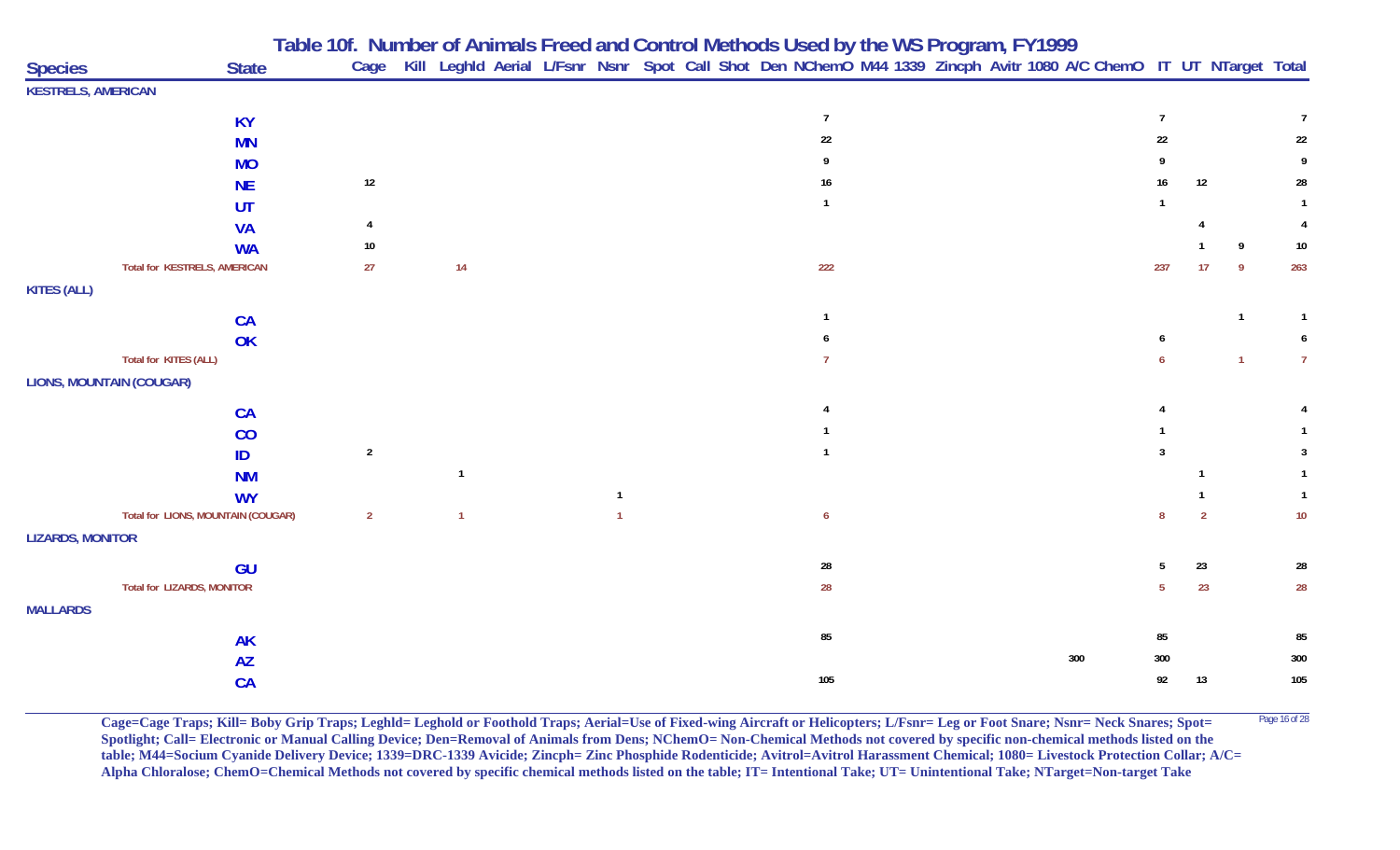| <b>Species</b>                  | <b>State</b>                        |                 |                |              | Table Tul. Number of Animals Freed and Control Methods used by the WS Program, FY 1999<br>Cage Kill Leghld Aerial L/Fsnr Nsnr Spot Call Shot Den NChemO M44 1339 Zincph Avitr 1080 A/C ChemO IT UT NTarget Total |  |     |                 |               |                |                |
|---------------------------------|-------------------------------------|-----------------|----------------|--------------|------------------------------------------------------------------------------------------------------------------------------------------------------------------------------------------------------------------|--|-----|-----------------|---------------|----------------|----------------|
| <b>KESTRELS, AMERICAN</b>       |                                     |                 |                |              |                                                                                                                                                                                                                  |  |     |                 |               |                |                |
|                                 | <b>KY</b>                           |                 |                |              | $\overline{7}$                                                                                                                                                                                                   |  |     | $\overline{7}$  |               |                | $\overline{7}$ |
|                                 | <b>MN</b>                           |                 |                |              | 22                                                                                                                                                                                                               |  |     | 22              |               |                | 22             |
|                                 | <b>MO</b>                           |                 |                |              |                                                                                                                                                                                                                  |  |     |                 |               |                | 9              |
|                                 | <b>NE</b>                           | $12\,$          |                |              | 16                                                                                                                                                                                                               |  |     | 16              | 12            |                | 28             |
|                                 | <b>UT</b>                           |                 |                |              |                                                                                                                                                                                                                  |  |     | $\mathbf{1}$    |               |                | $\mathbf{1}$   |
|                                 | <b>VA</b>                           |                 |                |              |                                                                                                                                                                                                                  |  |     |                 |               |                | 4              |
|                                 | <b>WA</b>                           | 10 <sub>1</sub> |                |              |                                                                                                                                                                                                                  |  |     |                 |               | 9              | $10\,$         |
|                                 | <b>Total for KESTRELS, AMERICAN</b> | 27              | 14             |              | 222                                                                                                                                                                                                              |  |     | 237             | 17            | -9             | 263            |
| <b>KITES (ALL)</b>              |                                     |                 |                |              |                                                                                                                                                                                                                  |  |     |                 |               |                |                |
|                                 | CA                                  |                 |                |              |                                                                                                                                                                                                                  |  |     |                 |               | $\mathbf{1}$   | $\mathbf{1}$   |
|                                 | OK                                  |                 |                |              |                                                                                                                                                                                                                  |  |     |                 |               |                | 6              |
|                                 | Total for KITES (ALL)               |                 |                |              |                                                                                                                                                                                                                  |  |     |                 |               | $\overline{1}$ | 7 <sup>7</sup> |
| <b>LIONS, MOUNTAIN (COUGAR)</b> |                                     |                 |                |              |                                                                                                                                                                                                                  |  |     |                 |               |                |                |
|                                 | CA                                  |                 |                |              |                                                                                                                                                                                                                  |  |     |                 |               |                |                |
|                                 | CO                                  |                 |                |              |                                                                                                                                                                                                                  |  |     |                 |               |                |                |
|                                 | ID                                  | $\overline{2}$  |                |              |                                                                                                                                                                                                                  |  |     | 3               |               |                | 3              |
|                                 | <b>NM</b>                           |                 | $\overline{1}$ |              |                                                                                                                                                                                                                  |  |     |                 |               |                |                |
|                                 | <b>WY</b>                           |                 |                | $\mathbf{1}$ |                                                                                                                                                                                                                  |  |     |                 |               |                | $\mathbf{1}$   |
|                                 | Total for LIONS, MOUNTAIN (COUGAR)  | $\overline{2}$  | $\overline{1}$ |              | 6                                                                                                                                                                                                                |  |     | 8               | $\mathcal{P}$ |                | $10\,$         |
| <b>LIZARDS, MONITOR</b>         |                                     |                 |                |              |                                                                                                                                                                                                                  |  |     |                 |               |                |                |
|                                 | GU                                  |                 |                |              | 28                                                                                                                                                                                                               |  |     | 5               | 23            |                | ${\bf 28}$     |
|                                 | <b>Total for LIZARDS, MONITOR</b>   |                 |                |              | 28                                                                                                                                                                                                               |  |     | $5\phantom{.0}$ | 23            |                | 28             |
| <b>MALLARDS</b>                 |                                     |                 |                |              |                                                                                                                                                                                                                  |  |     |                 |               |                |                |
|                                 | <b>AK</b>                           |                 |                |              | 85                                                                                                                                                                                                               |  |     | 85              |               |                | 85             |
|                                 | <b>AZ</b>                           |                 |                |              |                                                                                                                                                                                                                  |  | 300 | 300             |               |                | 300            |
|                                 | <b>CA</b>                           |                 |                |              | 105                                                                                                                                                                                                              |  |     | 92              | 13            |                | 105            |

**Cage=Cage Traps; Kill= Boby Grip Traps; Leghld= Leghold or Foothold Traps; Aerial=Use of Fixed-wing Aircraft or Helicopters; L/Fsnr= Leg or Foot Snare; Nsnr= Neck Snares; Spot=** Page 16 of 28 **Spotlight; Call= Electronic or Manual Calling Device; Den=Removal of Animals from Dens; NChemO= Non-Chemical Methods not covered by specific non-chemical methods listed on the table; M44=Socium Cyanide Delivery Device; 1339=DRC-1339 Avicide; Zincph= Zinc Phosphide Rodenticide; Avitrol=Avitrol Harassment Chemical; 1080= Livestock Protection Collar; A/C= Alpha Chloralose; ChemO=Chemical Methods not covered by specific chemical methods listed on the table; IT= Intentional Take; UT= Unintentional Take; NTarget=Non-target Take**

**Table 10f. Number of Animals Freed and Control Methods Used by the WS Program, FY 1999**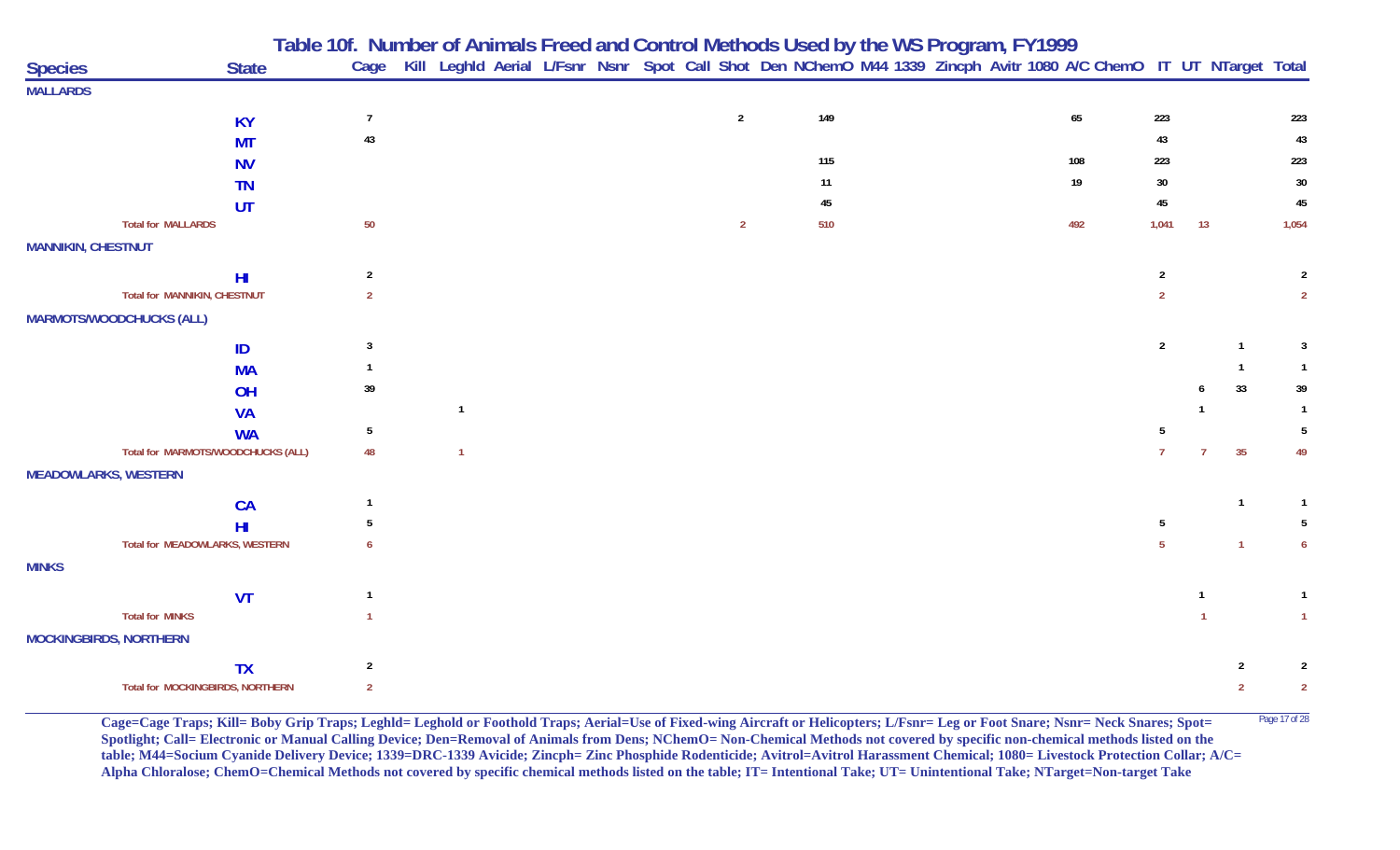| Cage Kill Leghld Aerial L/Fsnr Nsnr Spot Call Shot Den NChemO M44 1339 Zincph Avitr 1080 A/C ChemO IT UT NTarget Total<br><b>State</b><br><b>Species</b><br><b>MALLARDS</b><br>$\overline{2}$<br>149<br>65<br>$\overline{7}$<br>223<br>223<br><b>KY</b><br>$43\,$<br>43<br>43<br><b>MT</b><br>115<br>223<br>223<br>108<br><b>NV</b><br>30<br>19<br>$30\,$<br>11<br><b>TN</b><br>$45\,$<br>$\bf 45$<br>45<br>UT<br>50<br>510<br><b>Total for MALLARDS</b><br>1,054<br>$\overline{2}$<br>492<br>1,041<br>13<br><b>MANNIKIN, CHESTNUT</b><br>$\overline{2}$<br>$\overline{2}$<br>H <sub>l</sub><br>$\overline{2}$<br>Total for MANNIKIN, CHESTNUT<br>$\overline{2}$<br>$\overline{2}$<br>$\overline{2}$<br><b>MARMOTS/WOODCHUCKS (ALL)</b><br>$\overline{2}$<br>3<br>3<br>ID<br><b>MA</b><br>33<br>39<br>39<br>OH<br><b>VA</b><br>$\mathbf{1}$<br><b>WA</b><br>5<br>5<br>Total for MARMOTS/WOODCHUCKS (ALL)<br>35<br>48<br>49<br>$\overline{1}$<br>$\overline{7}$<br>$\overline{7}$<br><b>MEADOWLARKS, WESTERN</b><br><b>CA</b><br>-1<br>5<br>5<br>H <sub>II</sub><br>Total for MEADOWLARKS, WESTERN<br>5<br>$\overline{1}$<br><b>MINKS</b><br><b>VT</b><br><b>Total for MINKS</b><br>$\mathbf{1}$<br>$\mathbf{1}$<br><b>MOCKINGBIRDS, NORTHERN</b><br>$\overline{2}$<br><b>TX</b><br>$\overline{2}$<br>2<br>Total for MOCKINGBIRDS, NORTHERN<br>$\overline{2}$<br>$\overline{2}$<br>$\overline{2}$ |  | Table 10f. Number of Animals Freed and Control Methods Used by the WS Program, FY1999 |  |  |  |  |  |  |  |  |
|--------------------------------------------------------------------------------------------------------------------------------------------------------------------------------------------------------------------------------------------------------------------------------------------------------------------------------------------------------------------------------------------------------------------------------------------------------------------------------------------------------------------------------------------------------------------------------------------------------------------------------------------------------------------------------------------------------------------------------------------------------------------------------------------------------------------------------------------------------------------------------------------------------------------------------------------------------------------------------------------------------------------------------------------------------------------------------------------------------------------------------------------------------------------------------------------------------------------------------------------------------------------------------------------------------------------------------------------------------------------------------------------------|--|---------------------------------------------------------------------------------------|--|--|--|--|--|--|--|--|
|                                                                                                                                                                                                                                                                                                                                                                                                                                                                                                                                                                                                                                                                                                                                                                                                                                                                                                                                                                                                                                                                                                                                                                                                                                                                                                                                                                                                  |  |                                                                                       |  |  |  |  |  |  |  |  |
|                                                                                                                                                                                                                                                                                                                                                                                                                                                                                                                                                                                                                                                                                                                                                                                                                                                                                                                                                                                                                                                                                                                                                                                                                                                                                                                                                                                                  |  |                                                                                       |  |  |  |  |  |  |  |  |
|                                                                                                                                                                                                                                                                                                                                                                                                                                                                                                                                                                                                                                                                                                                                                                                                                                                                                                                                                                                                                                                                                                                                                                                                                                                                                                                                                                                                  |  |                                                                                       |  |  |  |  |  |  |  |  |
|                                                                                                                                                                                                                                                                                                                                                                                                                                                                                                                                                                                                                                                                                                                                                                                                                                                                                                                                                                                                                                                                                                                                                                                                                                                                                                                                                                                                  |  |                                                                                       |  |  |  |  |  |  |  |  |
|                                                                                                                                                                                                                                                                                                                                                                                                                                                                                                                                                                                                                                                                                                                                                                                                                                                                                                                                                                                                                                                                                                                                                                                                                                                                                                                                                                                                  |  |                                                                                       |  |  |  |  |  |  |  |  |
|                                                                                                                                                                                                                                                                                                                                                                                                                                                                                                                                                                                                                                                                                                                                                                                                                                                                                                                                                                                                                                                                                                                                                                                                                                                                                                                                                                                                  |  |                                                                                       |  |  |  |  |  |  |  |  |
|                                                                                                                                                                                                                                                                                                                                                                                                                                                                                                                                                                                                                                                                                                                                                                                                                                                                                                                                                                                                                                                                                                                                                                                                                                                                                                                                                                                                  |  |                                                                                       |  |  |  |  |  |  |  |  |
|                                                                                                                                                                                                                                                                                                                                                                                                                                                                                                                                                                                                                                                                                                                                                                                                                                                                                                                                                                                                                                                                                                                                                                                                                                                                                                                                                                                                  |  |                                                                                       |  |  |  |  |  |  |  |  |
|                                                                                                                                                                                                                                                                                                                                                                                                                                                                                                                                                                                                                                                                                                                                                                                                                                                                                                                                                                                                                                                                                                                                                                                                                                                                                                                                                                                                  |  |                                                                                       |  |  |  |  |  |  |  |  |
|                                                                                                                                                                                                                                                                                                                                                                                                                                                                                                                                                                                                                                                                                                                                                                                                                                                                                                                                                                                                                                                                                                                                                                                                                                                                                                                                                                                                  |  |                                                                                       |  |  |  |  |  |  |  |  |
|                                                                                                                                                                                                                                                                                                                                                                                                                                                                                                                                                                                                                                                                                                                                                                                                                                                                                                                                                                                                                                                                                                                                                                                                                                                                                                                                                                                                  |  |                                                                                       |  |  |  |  |  |  |  |  |
|                                                                                                                                                                                                                                                                                                                                                                                                                                                                                                                                                                                                                                                                                                                                                                                                                                                                                                                                                                                                                                                                                                                                                                                                                                                                                                                                                                                                  |  |                                                                                       |  |  |  |  |  |  |  |  |
|                                                                                                                                                                                                                                                                                                                                                                                                                                                                                                                                                                                                                                                                                                                                                                                                                                                                                                                                                                                                                                                                                                                                                                                                                                                                                                                                                                                                  |  |                                                                                       |  |  |  |  |  |  |  |  |
|                                                                                                                                                                                                                                                                                                                                                                                                                                                                                                                                                                                                                                                                                                                                                                                                                                                                                                                                                                                                                                                                                                                                                                                                                                                                                                                                                                                                  |  |                                                                                       |  |  |  |  |  |  |  |  |
|                                                                                                                                                                                                                                                                                                                                                                                                                                                                                                                                                                                                                                                                                                                                                                                                                                                                                                                                                                                                                                                                                                                                                                                                                                                                                                                                                                                                  |  |                                                                                       |  |  |  |  |  |  |  |  |
|                                                                                                                                                                                                                                                                                                                                                                                                                                                                                                                                                                                                                                                                                                                                                                                                                                                                                                                                                                                                                                                                                                                                                                                                                                                                                                                                                                                                  |  |                                                                                       |  |  |  |  |  |  |  |  |
|                                                                                                                                                                                                                                                                                                                                                                                                                                                                                                                                                                                                                                                                                                                                                                                                                                                                                                                                                                                                                                                                                                                                                                                                                                                                                                                                                                                                  |  |                                                                                       |  |  |  |  |  |  |  |  |
|                                                                                                                                                                                                                                                                                                                                                                                                                                                                                                                                                                                                                                                                                                                                                                                                                                                                                                                                                                                                                                                                                                                                                                                                                                                                                                                                                                                                  |  |                                                                                       |  |  |  |  |  |  |  |  |
|                                                                                                                                                                                                                                                                                                                                                                                                                                                                                                                                                                                                                                                                                                                                                                                                                                                                                                                                                                                                                                                                                                                                                                                                                                                                                                                                                                                                  |  |                                                                                       |  |  |  |  |  |  |  |  |
|                                                                                                                                                                                                                                                                                                                                                                                                                                                                                                                                                                                                                                                                                                                                                                                                                                                                                                                                                                                                                                                                                                                                                                                                                                                                                                                                                                                                  |  |                                                                                       |  |  |  |  |  |  |  |  |
|                                                                                                                                                                                                                                                                                                                                                                                                                                                                                                                                                                                                                                                                                                                                                                                                                                                                                                                                                                                                                                                                                                                                                                                                                                                                                                                                                                                                  |  |                                                                                       |  |  |  |  |  |  |  |  |
|                                                                                                                                                                                                                                                                                                                                                                                                                                                                                                                                                                                                                                                                                                                                                                                                                                                                                                                                                                                                                                                                                                                                                                                                                                                                                                                                                                                                  |  |                                                                                       |  |  |  |  |  |  |  |  |
|                                                                                                                                                                                                                                                                                                                                                                                                                                                                                                                                                                                                                                                                                                                                                                                                                                                                                                                                                                                                                                                                                                                                                                                                                                                                                                                                                                                                  |  |                                                                                       |  |  |  |  |  |  |  |  |
|                                                                                                                                                                                                                                                                                                                                                                                                                                                                                                                                                                                                                                                                                                                                                                                                                                                                                                                                                                                                                                                                                                                                                                                                                                                                                                                                                                                                  |  |                                                                                       |  |  |  |  |  |  |  |  |
|                                                                                                                                                                                                                                                                                                                                                                                                                                                                                                                                                                                                                                                                                                                                                                                                                                                                                                                                                                                                                                                                                                                                                                                                                                                                                                                                                                                                  |  |                                                                                       |  |  |  |  |  |  |  |  |
|                                                                                                                                                                                                                                                                                                                                                                                                                                                                                                                                                                                                                                                                                                                                                                                                                                                                                                                                                                                                                                                                                                                                                                                                                                                                                                                                                                                                  |  |                                                                                       |  |  |  |  |  |  |  |  |
|                                                                                                                                                                                                                                                                                                                                                                                                                                                                                                                                                                                                                                                                                                                                                                                                                                                                                                                                                                                                                                                                                                                                                                                                                                                                                                                                                                                                  |  |                                                                                       |  |  |  |  |  |  |  |  |
|                                                                                                                                                                                                                                                                                                                                                                                                                                                                                                                                                                                                                                                                                                                                                                                                                                                                                                                                                                                                                                                                                                                                                                                                                                                                                                                                                                                                  |  |                                                                                       |  |  |  |  |  |  |  |  |
|                                                                                                                                                                                                                                                                                                                                                                                                                                                                                                                                                                                                                                                                                                                                                                                                                                                                                                                                                                                                                                                                                                                                                                                                                                                                                                                                                                                                  |  |                                                                                       |  |  |  |  |  |  |  |  |

**Cage=Cage Traps; Kill= Boby Grip Traps; Leghld= Leghold or Foothold Traps; Aerial=Use of Fixed-wing Aircraft or Helicopters; L/Fsnr= Leg or Foot Snare; Nsnr= Neck Snares; Spot=** Page 17 of 28 **Spotlight; Call= Electronic or Manual Calling Device; Den=Removal of Animals from Dens; NChemO= Non-Chemical Methods not covered by specific non-chemical methods listed on the table; M44=Socium Cyanide Delivery Device; 1339=DRC-1339 Avicide; Zincph= Zinc Phosphide Rodenticide; Avitrol=Avitrol Harassment Chemical; 1080= Livestock Protection Collar; A/C= Alpha Chloralose; ChemO=Chemical Methods not covered by specific chemical methods listed on the table; IT= Intentional Take; UT= Unintentional Take; NTarget=Non-target Take**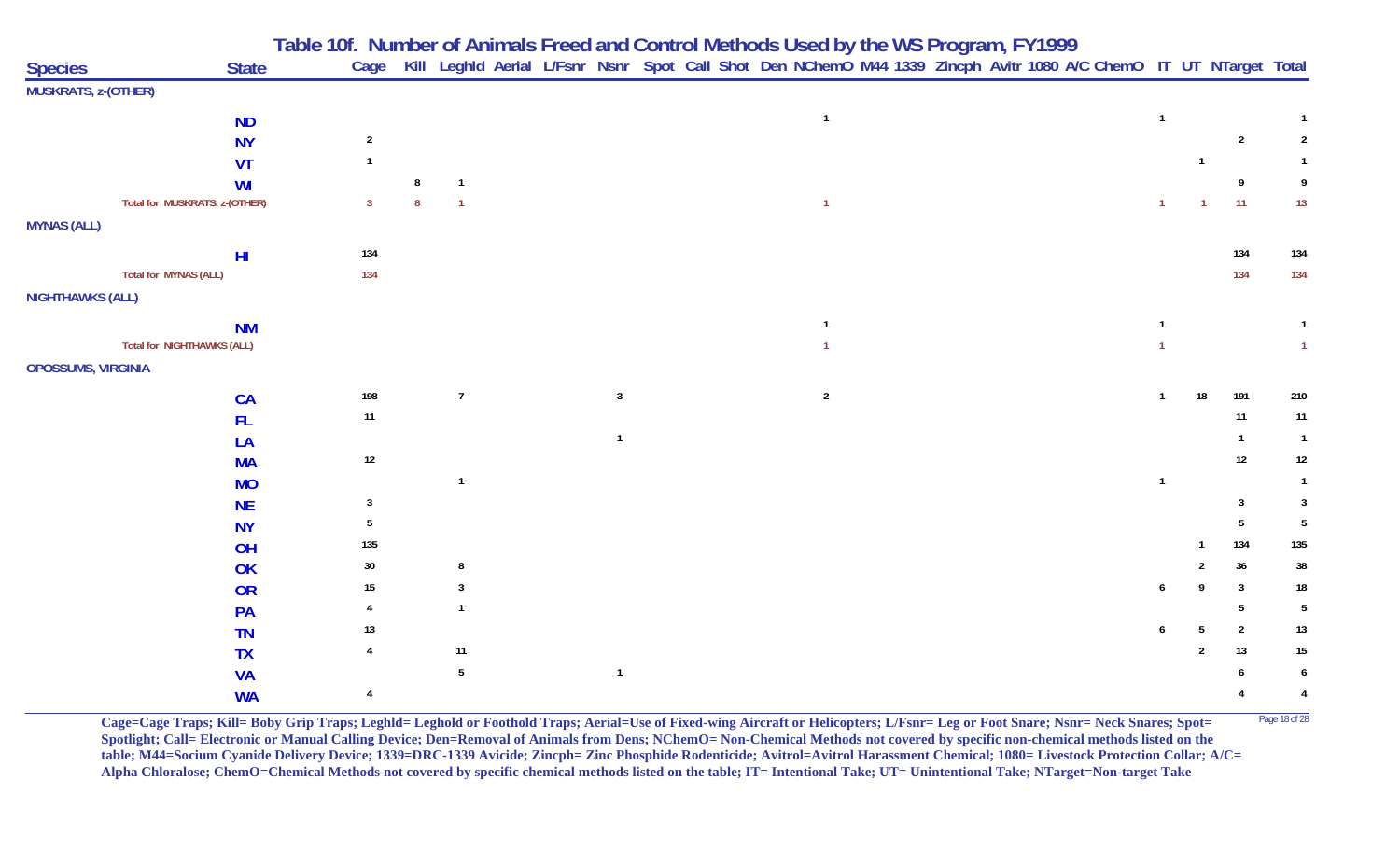|                           |                                                | Table 10f. Number of Animals Freed and Control Methods Used by the WS Program, FY1999 |   |                |  |                         |                                                                                                                        |                |  |  |              |                |                |                 |
|---------------------------|------------------------------------------------|---------------------------------------------------------------------------------------|---|----------------|--|-------------------------|------------------------------------------------------------------------------------------------------------------------|----------------|--|--|--------------|----------------|----------------|-----------------|
| <b>Species</b>            | <b>State</b>                                   |                                                                                       |   |                |  |                         | Cage Kill Leghld Aerial L/Fsnr Nsnr Spot Call Shot Den NChemO M44 1339 Zincph Avitr 1080 A/C ChemO IT UT NTarget Total |                |  |  |              |                |                |                 |
| MUSKRATS, z-(OTHER)       |                                                |                                                                                       |   |                |  |                         |                                                                                                                        |                |  |  |              |                |                |                 |
|                           | <b>ND</b>                                      |                                                                                       |   |                |  |                         |                                                                                                                        | $\overline{1}$ |  |  | $\mathbf{1}$ |                |                | $\mathbf{1}$    |
|                           | <b>NY</b>                                      | $\sqrt{2}$                                                                            |   |                |  |                         |                                                                                                                        |                |  |  |              |                | $\overline{2}$ | $\overline{2}$  |
|                           | VT                                             | $\mathbf{1}$                                                                          |   |                |  |                         |                                                                                                                        |                |  |  |              | $\overline{1}$ |                |                 |
|                           | <b>WI</b>                                      |                                                                                       | 8 | $\mathbf{1}$   |  |                         |                                                                                                                        |                |  |  |              |                | 9              | 9               |
|                           | Total for MUSKRATS, z-(OTHER)                  | $\mathbf{3}$                                                                          | 8 | $\overline{1}$ |  |                         |                                                                                                                        | $\overline{1}$ |  |  | $\mathbf{1}$ |                | 11             | 13              |
| <b>MYNAS (ALL)</b>        |                                                |                                                                                       |   |                |  |                         |                                                                                                                        |                |  |  |              |                |                |                 |
|                           |                                                | 134                                                                                   |   |                |  |                         |                                                                                                                        |                |  |  |              |                | 134            | 134             |
|                           | H <sub>l</sub><br><b>Total for MYNAS (ALL)</b> | 134                                                                                   |   |                |  |                         |                                                                                                                        |                |  |  |              |                | 134            | 134             |
| <b>NIGHTHAWKS (ALL)</b>   |                                                |                                                                                       |   |                |  |                         |                                                                                                                        |                |  |  |              |                |                |                 |
|                           |                                                |                                                                                       |   |                |  |                         |                                                                                                                        |                |  |  |              |                |                |                 |
|                           | <b>NM</b>                                      |                                                                                       |   |                |  |                         |                                                                                                                        |                |  |  | $\mathbf{1}$ |                |                |                 |
|                           | Total for NIGHTHAWKS (ALL)                     |                                                                                       |   |                |  |                         |                                                                                                                        |                |  |  |              |                |                | $\vert$ 1       |
| <b>OPOSSUMS, VIRGINIA</b> |                                                |                                                                                       |   |                |  |                         |                                                                                                                        |                |  |  |              |                |                |                 |
|                           | CA                                             | 198                                                                                   |   | $\overline{7}$ |  | $\overline{\mathbf{3}}$ |                                                                                                                        | $\overline{2}$ |  |  | $\mathbf{1}$ | 18             | 191            | 210             |
|                           | <b>FL</b>                                      | 11                                                                                    |   |                |  |                         |                                                                                                                        |                |  |  |              |                | 11             | 11              |
|                           | LA                                             |                                                                                       |   |                |  |                         |                                                                                                                        |                |  |  |              |                |                | $\overline{1}$  |
|                           | <b>MA</b>                                      | $12\,$                                                                                |   |                |  |                         |                                                                                                                        |                |  |  |              |                | 12             | $12\,$          |
|                           | <b>MO</b>                                      |                                                                                       |   | $\overline{1}$ |  |                         |                                                                                                                        |                |  |  | $\mathbf{1}$ |                |                | $\overline{1}$  |
|                           | <b>NE</b>                                      | $\mathbf{3}$                                                                          |   |                |  |                         |                                                                                                                        |                |  |  |              |                | $\mathbf{3}$   | $\overline{3}$  |
|                           | <b>NY</b>                                      | 5                                                                                     |   |                |  |                         |                                                                                                                        |                |  |  |              |                | 5              | $5\phantom{.0}$ |
|                           | OH                                             | 135                                                                                   |   |                |  |                         |                                                                                                                        |                |  |  |              |                | 134            | 135             |
|                           | OK                                             | $30\,$                                                                                |   | 8              |  |                         |                                                                                                                        |                |  |  |              |                | 36             | $38\,$          |
|                           | OR                                             | 15                                                                                    |   | 3              |  |                         |                                                                                                                        |                |  |  | 6            | 9              | $\mathbf{3}$   | $18\,$          |
|                           | PA                                             | 4                                                                                     |   | $\mathbf{1}$   |  |                         |                                                                                                                        |                |  |  |              |                | 5              | $5\phantom{.0}$ |
|                           | <b>TN</b>                                      | 13                                                                                    |   |                |  |                         |                                                                                                                        |                |  |  |              | 5              | $\overline{2}$ | $13$            |
|                           | <b>TX</b>                                      |                                                                                       |   | 11             |  |                         |                                                                                                                        |                |  |  |              | $\overline{2}$ | 13             | $15\,$          |
|                           | <b>VA</b>                                      |                                                                                       |   | 5              |  | $\overline{1}$          |                                                                                                                        |                |  |  |              |                |                | 6               |
|                           | <b>WA</b>                                      | 4                                                                                     |   |                |  |                         |                                                                                                                        |                |  |  |              |                |                | 4               |

**Cage=Cage Traps; Kill= Boby Grip Traps; Leghld= Leghold or Foothold Traps; Aerial=Use of Fixed-wing Aircraft or Helicopters; L/Fsnr= Leg or Foot Snare; Nsnr= Neck Snares; Spot=** Page 18 of 28 **Spotlight; Call= Electronic or Manual Calling Device; Den=Removal of Animals from Dens; NChemO= Non-Chemical Methods not covered by specific non-chemical methods listed on the table; M44=Socium Cyanide Delivery Device; 1339=DRC-1339 Avicide; Zincph= Zinc Phosphide Rodenticide; Avitrol=Avitrol Harassment Chemical; 1080= Livestock Protection Collar; A/C= Alpha Chloralose; ChemO=Chemical Methods not covered by specific chemical methods listed on the table; IT= Intentional Take; UT= Unintentional Take; NTarget=Non-target Take**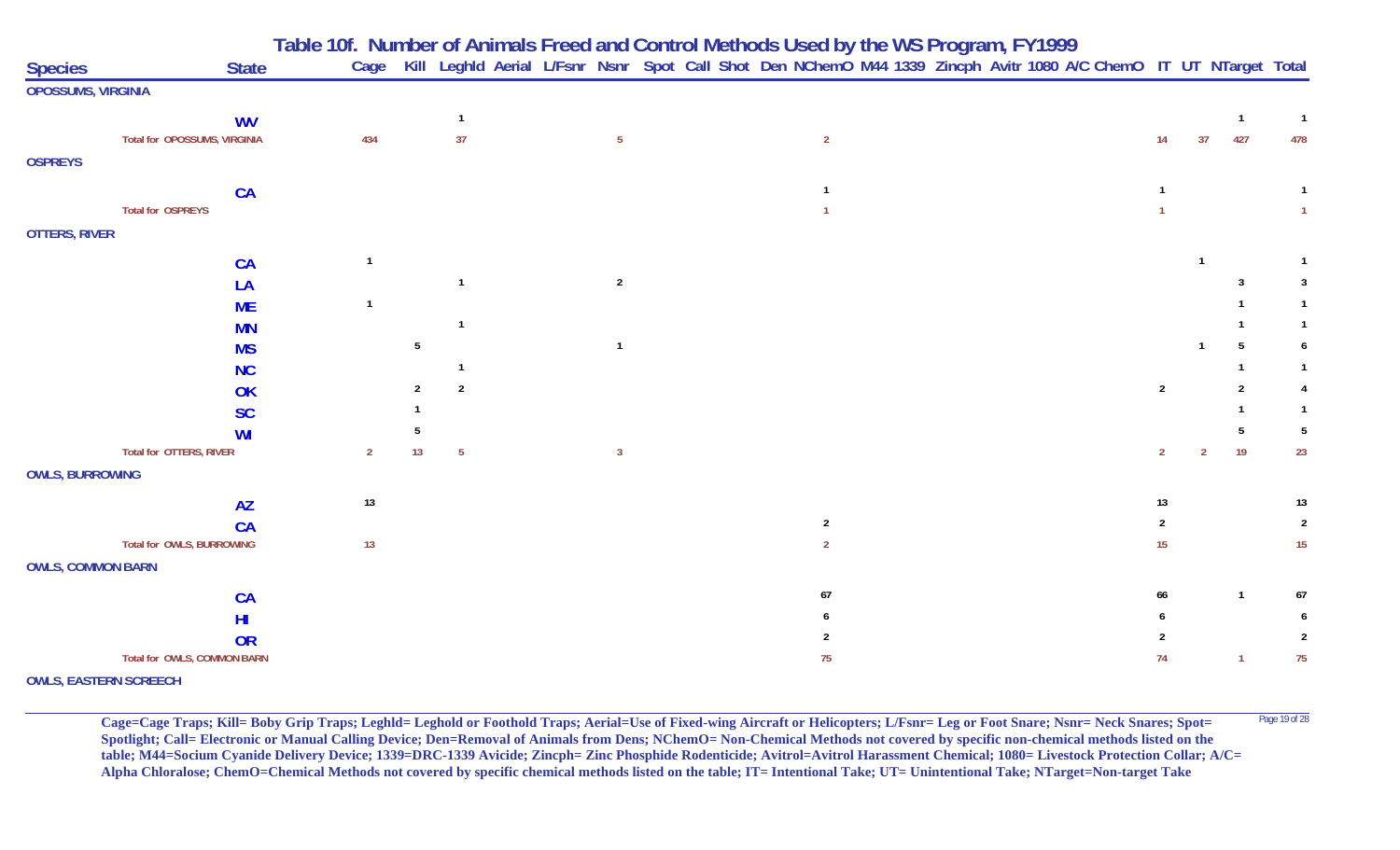| <b>Species</b>            | <b>State</b>                 | Table 10f. Number of Animals Freed and Control Methods Used by the WS Program, FY1999<br>Cage Kill Leghld Aerial L/Fsnr Nsnr Spot Call Shot Den NChemO M44 1339 Zincph Avitr 1080 A/C ChemO IT UT NTarget Total |                |    |                 |  |                 |  |                |  |  |  |                |                |                |                |
|---------------------------|------------------------------|-----------------------------------------------------------------------------------------------------------------------------------------------------------------------------------------------------------------|----------------|----|-----------------|--|-----------------|--|----------------|--|--|--|----------------|----------------|----------------|----------------|
| <b>OPOSSUMS, VIRGINIA</b> |                              |                                                                                                                                                                                                                 |                |    |                 |  |                 |  |                |  |  |  |                |                |                |                |
|                           | <b>WV</b>                    |                                                                                                                                                                                                                 |                |    | $\overline{1}$  |  |                 |  |                |  |  |  |                |                | $\overline{1}$ | $\overline{1}$ |
|                           | Total for OPOSSUMS, VIRGINIA |                                                                                                                                                                                                                 | 434            |    | 37              |  | $5\phantom{.0}$ |  | $\overline{2}$ |  |  |  | 14             | 37             | 427            | 478            |
| <b>OSPREYS</b>            |                              |                                                                                                                                                                                                                 |                |    |                 |  |                 |  |                |  |  |  |                |                |                |                |
|                           | <b>CA</b>                    |                                                                                                                                                                                                                 |                |    |                 |  |                 |  |                |  |  |  |                |                |                | $\mathbf{1}$   |
|                           | <b>Total for OSPREYS</b>     |                                                                                                                                                                                                                 |                |    |                 |  |                 |  |                |  |  |  |                |                |                | $\mathbf{1}$   |
| <b>OTTERS, RIVER</b>      |                              |                                                                                                                                                                                                                 |                |    |                 |  |                 |  |                |  |  |  |                |                |                |                |
|                           | CA                           |                                                                                                                                                                                                                 |                |    |                 |  |                 |  |                |  |  |  |                |                |                | $\overline{1}$ |
|                           | LA                           |                                                                                                                                                                                                                 |                |    |                 |  | $\overline{2}$  |  |                |  |  |  |                |                |                | 3              |
|                           | <b>ME</b>                    |                                                                                                                                                                                                                 | $\mathbf{1}$   |    |                 |  |                 |  |                |  |  |  |                |                |                |                |
|                           | <b>MN</b>                    |                                                                                                                                                                                                                 |                |    |                 |  |                 |  |                |  |  |  |                |                |                |                |
|                           | <b>MS</b>                    |                                                                                                                                                                                                                 |                | 5  |                 |  | $\mathbf{1}$    |  |                |  |  |  |                |                |                |                |
|                           | <b>NC</b>                    |                                                                                                                                                                                                                 |                |    |                 |  |                 |  |                |  |  |  |                |                |                |                |
|                           | OK                           |                                                                                                                                                                                                                 |                | 2  | $\overline{2}$  |  |                 |  |                |  |  |  | $\overline{2}$ |                | -2             |                |
|                           | <b>SC</b>                    |                                                                                                                                                                                                                 |                |    |                 |  |                 |  |                |  |  |  |                |                |                |                |
|                           | WI                           |                                                                                                                                                                                                                 |                |    |                 |  |                 |  |                |  |  |  |                |                |                | 5              |
|                           | Total for OTTERS, RIVER      |                                                                                                                                                                                                                 | $\overline{2}$ | 13 | $5\phantom{.0}$ |  | $\mathbf{3}$    |  |                |  |  |  | $\overline{2}$ | $\overline{2}$ | 19             | 23             |
| <b>OWLS, BURROWING</b>    |                              |                                                                                                                                                                                                                 |                |    |                 |  |                 |  |                |  |  |  |                |                |                |                |
|                           | <b>AZ</b>                    |                                                                                                                                                                                                                 | 13             |    |                 |  |                 |  |                |  |  |  | 13             |                |                | 13             |
|                           | <b>CA</b>                    |                                                                                                                                                                                                                 |                |    |                 |  |                 |  | $\overline{2}$ |  |  |  | $\overline{2}$ |                |                | $\sqrt{2}$     |
|                           | Total for OWLS, BURROWING    |                                                                                                                                                                                                                 | 13             |    |                 |  |                 |  | $\overline{2}$ |  |  |  | 15             |                |                | 15             |
| <b>OWLS, COMMON BARN</b>  |                              |                                                                                                                                                                                                                 |                |    |                 |  |                 |  |                |  |  |  |                |                |                |                |
|                           | CA                           |                                                                                                                                                                                                                 |                |    |                 |  |                 |  | 67             |  |  |  | 66             |                |                | 67             |
|                           | HI                           |                                                                                                                                                                                                                 |                |    |                 |  |                 |  |                |  |  |  |                |                |                |                |
|                           | <b>OR</b>                    |                                                                                                                                                                                                                 |                |    |                 |  |                 |  |                |  |  |  | 2              |                |                |                |
|                           | Total for OWLS, COMMON BARN  |                                                                                                                                                                                                                 |                |    |                 |  |                 |  | 75             |  |  |  | 74             |                | $\overline{1}$ | 75             |
|                           | <b>OWLS, EASTERN SCREECH</b> |                                                                                                                                                                                                                 |                |    |                 |  |                 |  |                |  |  |  |                |                |                |                |

Cage=Cage Traps; Kill= Boby Grip Traps; Leghld= Leghold or Foothold Traps; Aerial=Use of Fixed-wing Aircraft or Helicopters; L/Fsnr= Leg or Foot Snare; Nsnr= Neck Snares; Spot= <sup>Page 19 of 28</sup> **Spotlight; Call= Electronic or Manual Calling Device; Den=Removal of Animals from Dens; NChemO= Non-Chemical Methods not covered by specific non-chemical methods listed on the table; M44=Socium Cyanide Delivery Device; 1339=DRC-1339 Avicide; Zincph= Zinc Phosphide Rodenticide; Avitrol=Avitrol Harassment Chemical; 1080= Livestock Protection Collar; A/C= Alpha Chloralose; ChemO=Chemical Methods not covered by specific chemical methods listed on the table; IT= Intentional Take; UT= Unintentional Take; NTarget=Non-target Take**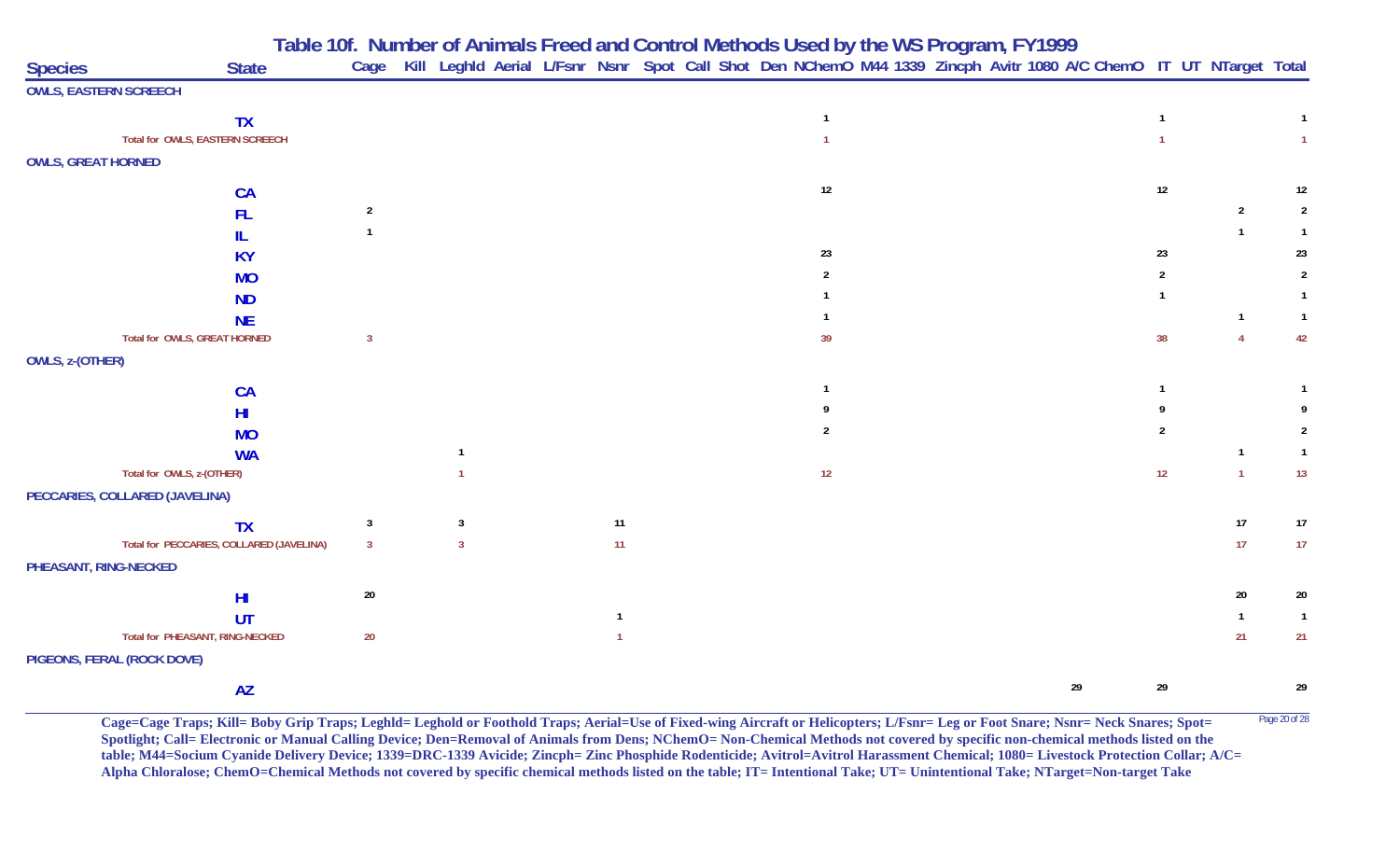|                           |                                          |                |   |    | Table 10f. Number of Animals Freed and Control Methods Used by the WS Program, FY1999                                  |    |                |                |                |
|---------------------------|------------------------------------------|----------------|---|----|------------------------------------------------------------------------------------------------------------------------|----|----------------|----------------|----------------|
| <b>Species</b>            | <b>State</b>                             |                |   |    | Cage Kill Leghld Aerial L/Fsnr Nsnr Spot Call Shot Den NChemO M44 1339 Zincph Avitr 1080 A/C ChemO IT UT NTarget Total |    |                |                |                |
|                           | <b>OWLS, EASTERN SCREECH</b>             |                |   |    |                                                                                                                        |    |                |                |                |
|                           | <b>TX</b>                                |                |   |    | $\overline{1}$                                                                                                         |    | $\mathbf{1}$   |                | $\mathbf{1}$   |
|                           | Total for OWLS, EASTERN SCREECH          |                |   |    |                                                                                                                        |    |                |                | $\mathbf{1}$   |
| <b>OWLS, GREAT HORNED</b> |                                          |                |   |    |                                                                                                                        |    |                |                |                |
|                           | CA                                       |                |   |    | 12                                                                                                                     |    | 12             |                | 12             |
|                           | <b>FL</b>                                | $\overline{2}$ |   |    |                                                                                                                        |    |                | $\overline{2}$ |                |
|                           | IL.                                      | $\mathbf{1}$   |   |    |                                                                                                                        |    |                |                | -1             |
|                           | <b>KY</b>                                |                |   |    | 23                                                                                                                     |    | 23             |                | 23             |
|                           | <b>MO</b>                                |                |   |    | $\mathfrak{p}$                                                                                                         |    | $\overline{2}$ |                | 2              |
|                           | <b>ND</b>                                |                |   |    |                                                                                                                        |    |                |                |                |
|                           | <b>NE</b>                                |                |   |    |                                                                                                                        |    |                | $\overline{1}$ |                |
|                           | Total for OWLS, GREAT HORNED             | $\overline{3}$ |   |    | 39                                                                                                                     |    | 38             | $\overline{4}$ | 42             |
| OWLS, z-(OTHER)           |                                          |                |   |    |                                                                                                                        |    |                |                |                |
|                           | CA                                       |                |   |    |                                                                                                                        |    |                |                |                |
|                           | H <sub>II</sub>                          |                |   |    |                                                                                                                        |    |                |                |                |
|                           | <b>MO</b>                                |                |   |    |                                                                                                                        |    | 2              |                |                |
|                           | <b>WA</b>                                |                |   |    |                                                                                                                        |    |                |                | $\overline{1}$ |
|                           | Total for OWLS, z-(OTHER)                |                |   |    | 12                                                                                                                     |    | 12             | $\overline{1}$ | 13             |
|                           | PECCARIES, COLLARED (JAVELINA)           |                |   |    |                                                                                                                        |    |                |                |                |
|                           | <b>TX</b>                                | $\mathbf{3}$   | 3 | 11 |                                                                                                                        |    |                | 17             | 17             |
|                           | Total for PECCARIES, COLLARED (JAVELINA) | $\overline{3}$ |   | 11 |                                                                                                                        |    |                | 17             | 17             |
| PHEASANT, RING-NECKED     |                                          |                |   |    |                                                                                                                        |    |                |                |                |
|                           | H <sub>II</sub>                          | $20\,$         |   |    |                                                                                                                        |    |                | 20             | 20             |
|                           | UT                                       |                |   |    |                                                                                                                        |    |                |                | $\overline{1}$ |
|                           | Total for PHEASANT, RING-NECKED          | $20\,$         |   |    |                                                                                                                        |    |                | 21             | 21             |
|                           | PIGEONS, FERAL (ROCK DOVE)               |                |   |    |                                                                                                                        |    |                |                |                |
|                           | <b>AZ</b>                                |                |   |    |                                                                                                                        | 29 | 29             |                | 29             |

Cage=Cage Traps; Kill= Boby Grip Traps; Leghld= Leghold or Foothold Traps; Aerial=Use of Fixed-wing Aircraft or Helicopters; L/Fsnr= Leg or Foot Snare; Nsnr= Neck Snares; Spot= <sup>Page 20 of 28</sup> **Spotlight; Call= Electronic or Manual Calling Device; Den=Removal of Animals from Dens; NChemO= Non-Chemical Methods not covered by specific non-chemical methods listed on the table; M44=Socium Cyanide Delivery Device; 1339=DRC-1339 Avicide; Zincph= Zinc Phosphide Rodenticide; Avitrol=Avitrol Harassment Chemical; 1080= Livestock Protection Collar; A/C= Alpha Chloralose; ChemO=Chemical Methods not covered by specific chemical methods listed on the table; IT= Intentional Take; UT= Unintentional Take; NTarget=Non-target Take**

**Table 10f. Number of Animals Freed and Control Methods Used by the WS Program, FY 1999**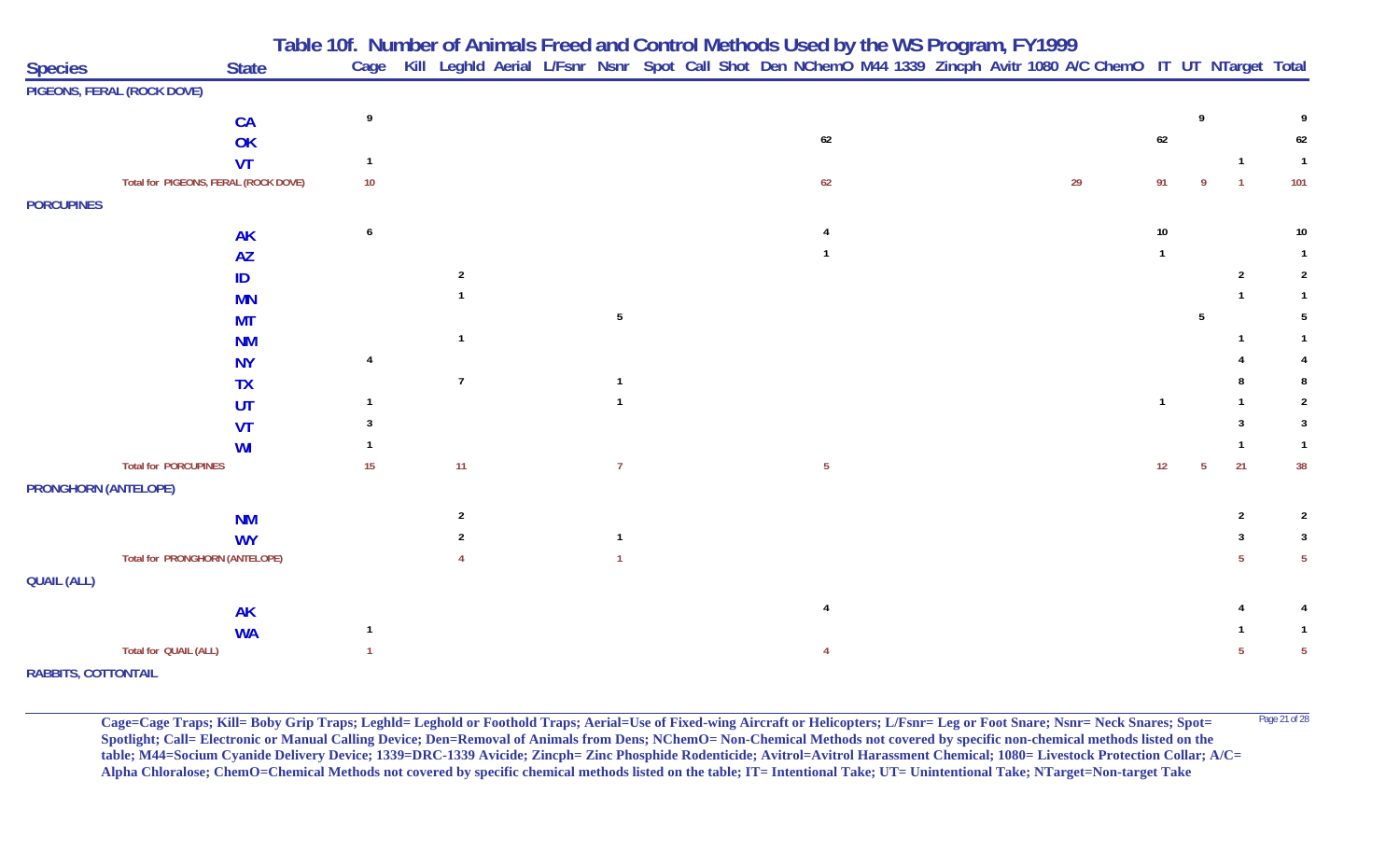|                             |                                      |    |                |                |  | Table 10f. Number of Animals Freed and Control Methods Used by the WS Program, FY1999                                  |  |    |        |             |                |                 |
|-----------------------------|--------------------------------------|----|----------------|----------------|--|------------------------------------------------------------------------------------------------------------------------|--|----|--------|-------------|----------------|-----------------|
| <b>Species</b>              | <b>State</b>                         |    |                |                |  | Cage Kill Leghld Aerial L/Fsnr Nsnr Spot Call Shot Den NChemO M44 1339 Zincph Avitr 1080 A/C ChemO IT UT NTarget Total |  |    |        |             |                |                 |
|                             | PIGEONS, FERAL (ROCK DOVE)           |    |                |                |  |                                                                                                                        |  |    |        |             |                |                 |
|                             | <b>CA</b>                            |    |                |                |  |                                                                                                                        |  |    |        |             |                |                 |
|                             | OK                                   |    |                |                |  | 62                                                                                                                     |  |    | $62\,$ |             |                | 62              |
|                             | <b>VT</b>                            |    |                |                |  |                                                                                                                        |  |    |        |             |                | $\overline{1}$  |
|                             | Total for PIGEONS, FERAL (ROCK DOVE) | 10 |                |                |  | 62                                                                                                                     |  | 29 | 91     |             | $\overline{1}$ | 101             |
| <b>PORCUPINES</b>           |                                      |    |                |                |  |                                                                                                                        |  |    |        |             |                |                 |
|                             | <b>AK</b>                            | 6  |                |                |  |                                                                                                                        |  |    | 10     |             |                | 10 <sub>1</sub> |
|                             | <b>AZ</b>                            |    |                |                |  |                                                                                                                        |  |    |        |             |                |                 |
|                             | ID                                   |    | $\overline{2}$ |                |  |                                                                                                                        |  |    |        |             | $\overline{2}$ | $\overline{2}$  |
|                             | <b>MN</b>                            |    |                |                |  |                                                                                                                        |  |    |        |             |                |                 |
|                             | <b>MT</b>                            |    |                | -5             |  |                                                                                                                        |  |    |        | 5           |                |                 |
|                             | <b>NM</b>                            |    |                |                |  |                                                                                                                        |  |    |        |             |                |                 |
|                             | <b>NY</b>                            |    |                |                |  |                                                                                                                        |  |    |        |             |                |                 |
|                             | <b>TX</b>                            |    | $\overline{7}$ |                |  |                                                                                                                        |  |    |        |             |                |                 |
|                             | UT                                   |    |                |                |  |                                                                                                                        |  |    |        |             |                | $\overline{2}$  |
|                             | VT                                   |    |                |                |  |                                                                                                                        |  |    |        |             |                | 3               |
|                             | WI                                   |    |                |                |  |                                                                                                                        |  |    |        |             |                | -1              |
|                             | <b>Total for PORCUPINES</b>          | 15 | 11             | $\overline{7}$ |  | $\overline{5}$                                                                                                         |  |    | 12     | $5^{\circ}$ | 21             | 38              |
| <b>PRONGHORN (ANTELOPE)</b> |                                      |    |                |                |  |                                                                                                                        |  |    |        |             |                |                 |
|                             | <b>NM</b>                            |    | $\overline{2}$ |                |  |                                                                                                                        |  |    |        |             | $\overline{2}$ | $\overline{2}$  |
|                             | <b>WY</b>                            |    |                |                |  |                                                                                                                        |  |    |        |             |                | 3               |
|                             | Total for PRONGHORN (ANTELOPE)       |    |                |                |  |                                                                                                                        |  |    |        |             |                | $5\phantom{.0}$ |
| <b>QUAIL (ALL)</b>          |                                      |    |                |                |  |                                                                                                                        |  |    |        |             |                |                 |
|                             | <b>AK</b>                            |    |                |                |  |                                                                                                                        |  |    |        |             |                |                 |
|                             | <b>WA</b>                            |    |                |                |  |                                                                                                                        |  |    |        |             |                | -1              |
|                             | Total for QUAIL (ALL)                |    |                |                |  |                                                                                                                        |  |    |        |             |                | 5               |
| <b>RABBITS, COTTONTAIL</b>  |                                      |    |                |                |  |                                                                                                                        |  |    |        |             |                |                 |

**Cage=Cage Traps; Kill= Boby Grip Traps; Leghld= Leghold or Foothold Traps; Aerial=Use of Fixed-wing Aircraft or Helicopters; L/Fsnr= Leg or Foot Snare; Nsnr= Neck Snares; Spot=** <sup>Page 21 of 28</sup> Spotlight; Call= Electronic or Manual Calling Device; Den=Removal of Animals from Dens; NChemO= Non-Chemical Methods not covered by specific non-chemical methods listed on the **table; M44=Socium Cyanide Delivery Device; 1339=DRC-1339 Avicide; Zincph= Zinc Phosphide Rodenticide; Avitrol=Avitrol Harassment Chemical; 1080= Livestock Protection Collar; A/C= Alpha Chloralose; ChemO=Chemical Methods not covered by specific chemical methods listed on the table; IT= Intentional Take; UT= Unintentional Take; NTarget=Non-target Take**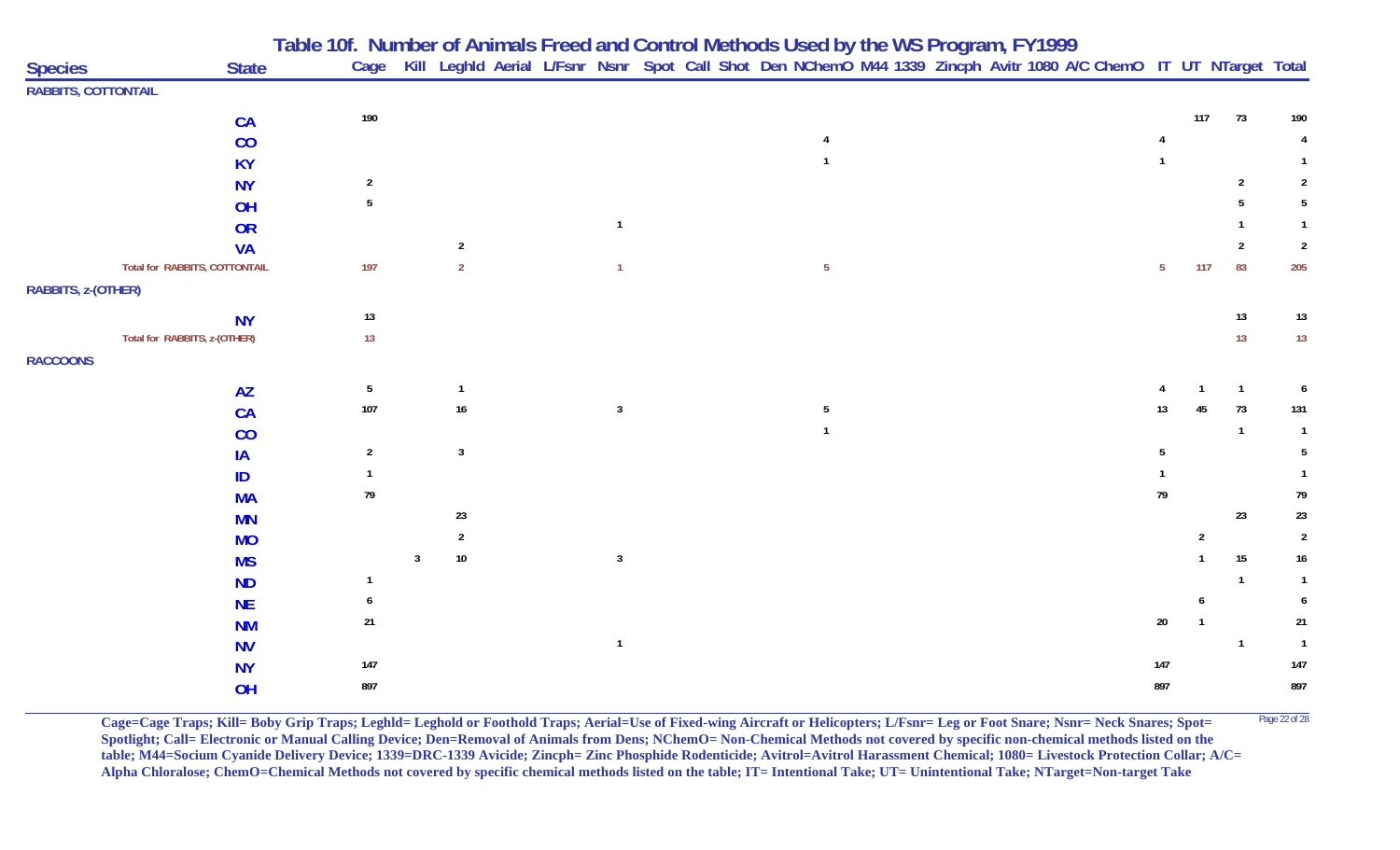|                            |                               | Table 10f. Number of Animals Freed and Control Methods Used by the WS Program, FY1999 |   |                |  |                |                                                                                                                        |                |  |  |  |                |                |                |                |
|----------------------------|-------------------------------|---------------------------------------------------------------------------------------|---|----------------|--|----------------|------------------------------------------------------------------------------------------------------------------------|----------------|--|--|--|----------------|----------------|----------------|----------------|
| <b>Species</b>             | <b>State</b>                  |                                                                                       |   |                |  |                | Cage Kill Leghld Aerial L/Fsnr Nsnr Spot Call Shot Den NChemO M44 1339 Zincph Avitr 1080 A/C ChemO IT UT NTarget Total |                |  |  |  |                |                |                |                |
| <b>RABBITS, COTTONTAIL</b> |                               |                                                                                       |   |                |  |                |                                                                                                                        |                |  |  |  |                |                |                |                |
|                            | CA                            | 190                                                                                   |   |                |  |                |                                                                                                                        |                |  |  |  |                | 117            | 73             | 190            |
|                            | CO                            |                                                                                       |   |                |  |                |                                                                                                                        |                |  |  |  |                |                |                |                |
|                            | <b>KY</b>                     |                                                                                       |   |                |  |                |                                                                                                                        |                |  |  |  |                |                |                |                |
|                            | <b>NY</b>                     | $\overline{2}$                                                                        |   |                |  |                |                                                                                                                        |                |  |  |  |                |                | $\overline{2}$ | $\overline{2}$ |
|                            | OH                            | $\sqrt{5}$                                                                            |   |                |  |                |                                                                                                                        |                |  |  |  |                |                |                | -5             |
|                            | OR                            |                                                                                       |   |                |  | $\overline{1}$ |                                                                                                                        |                |  |  |  |                |                |                |                |
|                            | <b>VA</b>                     |                                                                                       |   | $\overline{2}$ |  |                |                                                                                                                        |                |  |  |  |                |                | $\overline{2}$ | $\overline{2}$ |
|                            | Total for RABBITS, COTTONTAIL | 197                                                                                   |   | $\overline{2}$ |  | $\mathbf{1}$   |                                                                                                                        | 5 <sub>5</sub> |  |  |  | 5 <sub>1</sub> | 117            | 83             | 205            |
| RABBITS, z-(OTHER)         |                               |                                                                                       |   |                |  |                |                                                                                                                        |                |  |  |  |                |                |                |                |
|                            | <b>NY</b>                     | 13                                                                                    |   |                |  |                |                                                                                                                        |                |  |  |  |                |                | 13             | 13             |
|                            | Total for RABBITS, z-(OTHER)  | 13                                                                                    |   |                |  |                |                                                                                                                        |                |  |  |  |                |                | 13             | 13             |
| <b>RACCOONS</b>            |                               |                                                                                       |   |                |  |                |                                                                                                                        |                |  |  |  |                |                |                |                |
|                            | <b>AZ</b>                     | 5                                                                                     |   | $\overline{1}$ |  |                |                                                                                                                        |                |  |  |  |                |                | $\overline{1}$ | 6              |
|                            | CA                            | 107                                                                                   |   | 16             |  | $\mathbf{3}$   |                                                                                                                        | 5              |  |  |  | 13             |                | 73             | 131            |
|                            | CO                            |                                                                                       |   |                |  |                |                                                                                                                        |                |  |  |  |                |                | $\overline{1}$ |                |
|                            | IA                            | $\overline{2}$                                                                        |   | $\overline{3}$ |  |                |                                                                                                                        |                |  |  |  |                |                |                | 5              |
|                            | ID                            |                                                                                       |   |                |  |                |                                                                                                                        |                |  |  |  |                |                |                |                |
|                            | <b>MA</b>                     | 79                                                                                    |   |                |  |                |                                                                                                                        |                |  |  |  | 79             |                |                | 79             |
|                            | <b>MN</b>                     |                                                                                       |   | 23             |  |                |                                                                                                                        |                |  |  |  |                |                | 23             | 23             |
|                            | <b>MO</b>                     |                                                                                       |   | $\overline{2}$ |  |                |                                                                                                                        |                |  |  |  |                | $\overline{2}$ |                | $\overline{2}$ |
|                            | <b>MS</b>                     |                                                                                       | 3 | $10\,$         |  | $\mathbf{3}$   |                                                                                                                        |                |  |  |  |                |                | 15             | 16             |
|                            | <b>ND</b>                     | -1                                                                                    |   |                |  |                |                                                                                                                        |                |  |  |  |                |                | $\mathbf 1$    |                |
|                            | <b>NE</b>                     |                                                                                       |   |                |  |                |                                                                                                                        |                |  |  |  |                | 6              |                | 6              |
|                            | <b>NM</b>                     | 21                                                                                    |   |                |  |                |                                                                                                                        |                |  |  |  | $20\,$         |                |                | 21             |
|                            | <b>NV</b>                     |                                                                                       |   |                |  | $\mathbf{1}$   |                                                                                                                        |                |  |  |  |                |                | $\overline{1}$ | $\overline{1}$ |
|                            | <b>NY</b>                     | $147$                                                                                 |   |                |  |                |                                                                                                                        |                |  |  |  | 147            |                |                | 147            |
|                            | OH                            | 897                                                                                   |   |                |  |                |                                                                                                                        |                |  |  |  | 897            |                |                | 897            |

**Cage=Cage Traps; Kill= Boby Grip Traps; Leghld= Leghold or Foothold Traps; Aerial=Use of Fixed-wing Aircraft or Helicopters; L/Fsnr= Leg or Foot Snare; Nsnr= Neck Snares; Spot=** Page 22 of 28 Spotlight; Call= Electronic or Manual Calling Device; Den=Removal of Animals from Dens; NChemO= Non-Chemical Methods not covered by specific non-chemical methods listed on the **table; M44=Socium Cyanide Delivery Device; 1339=DRC-1339 Avicide; Zincph= Zinc Phosphide Rodenticide; Avitrol=Avitrol Harassment Chemical; 1080= Livestock Protection Collar; A/C= Alpha Chloralose; ChemO=Chemical Methods not covered by specific chemical methods listed on the table; IT= Intentional Take; UT= Unintentional Take; NTarget=Non-target Take**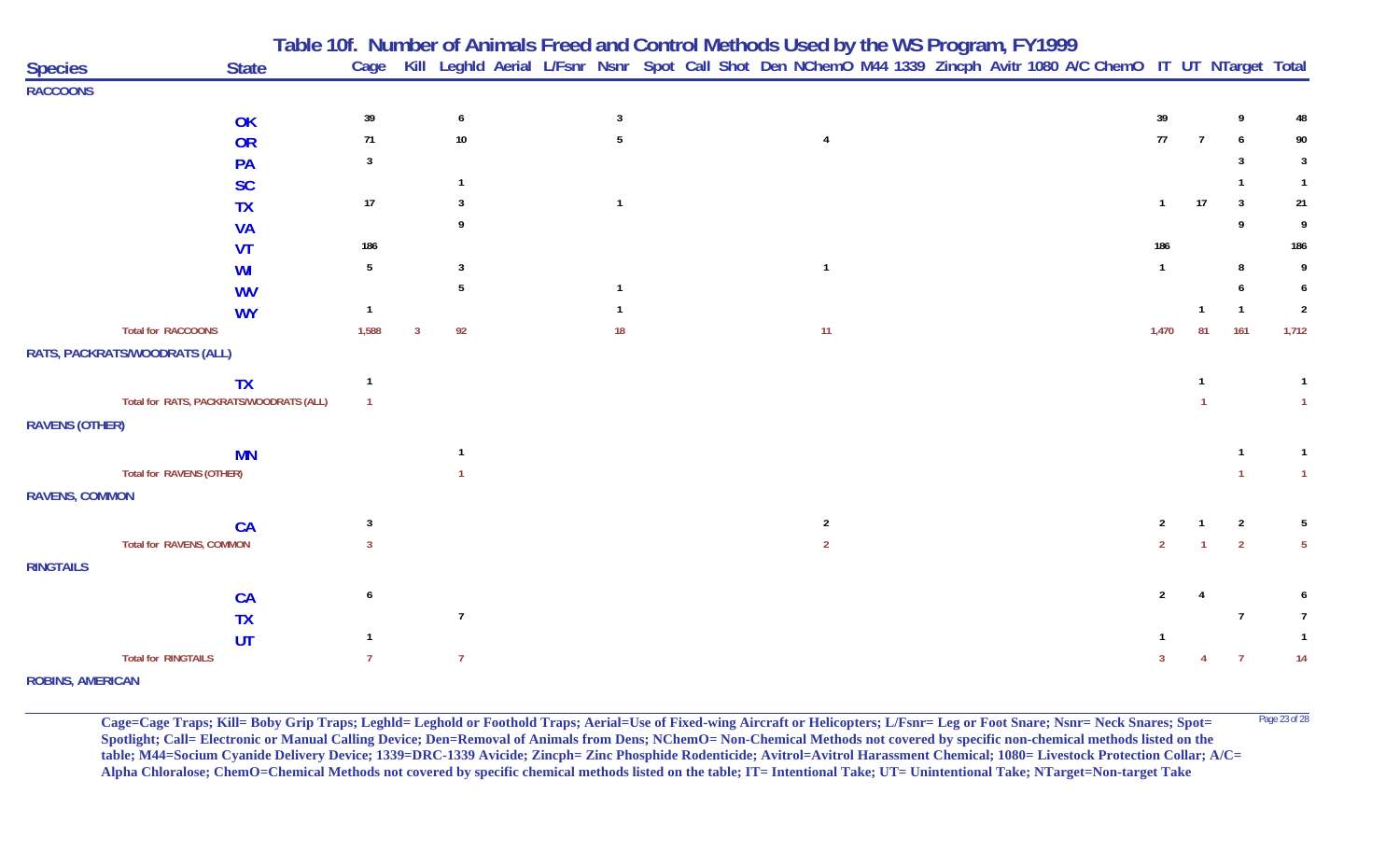| <b>Species</b>          | <b>State</b>                                 |                |    |                |              |                | Table 10f. Number of Animals Freed and Control Methods Used by the WS Program, FY1999<br>Cage Kill Leghld Aerial L/Fsnr Nsnr Spot Call Shot Den NChemO M44 1339 Zincph Avitr 1080 A/C ChemO IT UT NTarget Total |                |                |                |                |
|-------------------------|----------------------------------------------|----------------|----|----------------|--------------|----------------|-----------------------------------------------------------------------------------------------------------------------------------------------------------------------------------------------------------------|----------------|----------------|----------------|----------------|
| <b>RACCOONS</b>         |                                              |                |    |                |              |                |                                                                                                                                                                                                                 |                |                |                |                |
|                         | OK                                           | 39             |    | 6              | 3            |                |                                                                                                                                                                                                                 | 39             |                | 9              | 48             |
|                         | <b>OR</b>                                    | $71$           |    | $10\,$         | 5            | 4              |                                                                                                                                                                                                                 | $77\,$         | $\overline{7}$ | 6              | 90             |
|                         | PA                                           | 3              |    |                |              |                |                                                                                                                                                                                                                 |                |                | 3              | 3              |
|                         | <b>SC</b>                                    |                |    |                |              |                |                                                                                                                                                                                                                 |                |                |                |                |
|                         | <b>TX</b>                                    | 17             |    |                | $\mathbf{1}$ |                |                                                                                                                                                                                                                 | $\mathbf{1}$   | 17             | $\overline{3}$ | 21             |
|                         | <b>VA</b>                                    |                |    |                |              |                |                                                                                                                                                                                                                 |                |                | 9              | 9              |
|                         | <b>VT</b>                                    | 186            |    |                |              |                |                                                                                                                                                                                                                 | 186            |                |                | 186            |
|                         | WI                                           | 5              |    | $\mathbf{3}$   |              | $\mathbf{1}$   |                                                                                                                                                                                                                 | $\mathbf{1}$   |                | 8              | 9              |
|                         | <b>WV</b>                                    |                |    | 5              | $\mathbf{1}$ |                |                                                                                                                                                                                                                 |                |                |                |                |
|                         | <b>WY</b>                                    | -1             |    |                |              |                |                                                                                                                                                                                                                 |                |                |                | $\overline{2}$ |
|                         | <b>Total for RACCOONS</b>                    | 1,588          | -3 | 92             | 18           | 11             |                                                                                                                                                                                                                 | 1,470          | 81             | 161            | 1,712          |
|                         | RATS, PACKRATS/WOODRATS (ALL)                |                |    |                |              |                |                                                                                                                                                                                                                 |                |                |                |                |
|                         | <b>TX</b>                                    | $\mathbf{1}$   |    |                |              |                |                                                                                                                                                                                                                 |                |                |                | $\overline{1}$ |
|                         | Total for RATS, PACKRATS/WOODRATS (ALL)      | $\mathbf{1}$   |    |                |              |                |                                                                                                                                                                                                                 |                |                |                | $\overline{1}$ |
| <b>RAVENS (OTHER)</b>   |                                              |                |    |                |              |                |                                                                                                                                                                                                                 |                |                |                |                |
|                         | <b>MN</b>                                    |                |    |                |              |                |                                                                                                                                                                                                                 |                |                |                | $\mathbf{1}$   |
|                         | Total for RAVENS (OTHER)                     |                |    |                |              |                |                                                                                                                                                                                                                 |                |                |                | $\overline{1}$ |
| <b>RAVENS, COMMON</b>   |                                              |                |    |                |              |                |                                                                                                                                                                                                                 |                |                |                |                |
|                         |                                              | 3              |    |                |              | $\overline{2}$ |                                                                                                                                                                                                                 | $\overline{2}$ |                | $\overline{2}$ | 5              |
|                         | <b>CA</b><br><b>Total for RAVENS, COMMON</b> | 3              |    |                |              | $\overline{2}$ |                                                                                                                                                                                                                 | $\overline{2}$ |                | $\overline{2}$ | $5^{\circ}$    |
| <b>RINGTAILS</b>        |                                              |                |    |                |              |                |                                                                                                                                                                                                                 |                |                |                |                |
|                         |                                              |                |    |                |              |                |                                                                                                                                                                                                                 |                |                |                |                |
|                         | <b>CA</b>                                    | 6              |    |                |              |                |                                                                                                                                                                                                                 | $\overline{2}$ |                |                |                |
|                         | <b>TX</b>                                    |                |    | $\overline{7}$ |              |                |                                                                                                                                                                                                                 |                |                | 7              | $\overline{7}$ |
|                         | UT                                           |                |    |                |              |                |                                                                                                                                                                                                                 |                |                |                |                |
|                         | <b>Total for RINGTAILS</b>                   | $\overline{7}$ |    | $\overline{7}$ |              |                |                                                                                                                                                                                                                 | 3              |                | $\overline{7}$ | 14             |
| <b>ROBINS, AMERICAN</b> |                                              |                |    |                |              |                |                                                                                                                                                                                                                 |                |                |                |                |

**Cage=Cage Traps; Kill= Boby Grip Traps; Leghld= Leghold or Foothold Traps; Aerial=Use of Fixed-wing Aircraft or Helicopters; L/Fsnr= Leg or Foot Snare; Nsnr= Neck Snares; Spot=** Page 23 of 28 **Spotlight; Call= Electronic or Manual Calling Device; Den=Removal of Animals from Dens; NChemO= Non-Chemical Methods not covered by specific non-chemical methods listed on the table; M44=Socium Cyanide Delivery Device; 1339=DRC-1339 Avicide; Zincph= Zinc Phosphide Rodenticide; Avitrol=Avitrol Harassment Chemical; 1080= Livestock Protection Collar; A/C= Alpha Chloralose; ChemO=Chemical Methods not covered by specific chemical methods listed on the table; IT= Intentional Take; UT= Unintentional Take; NTarget=Non-target Take**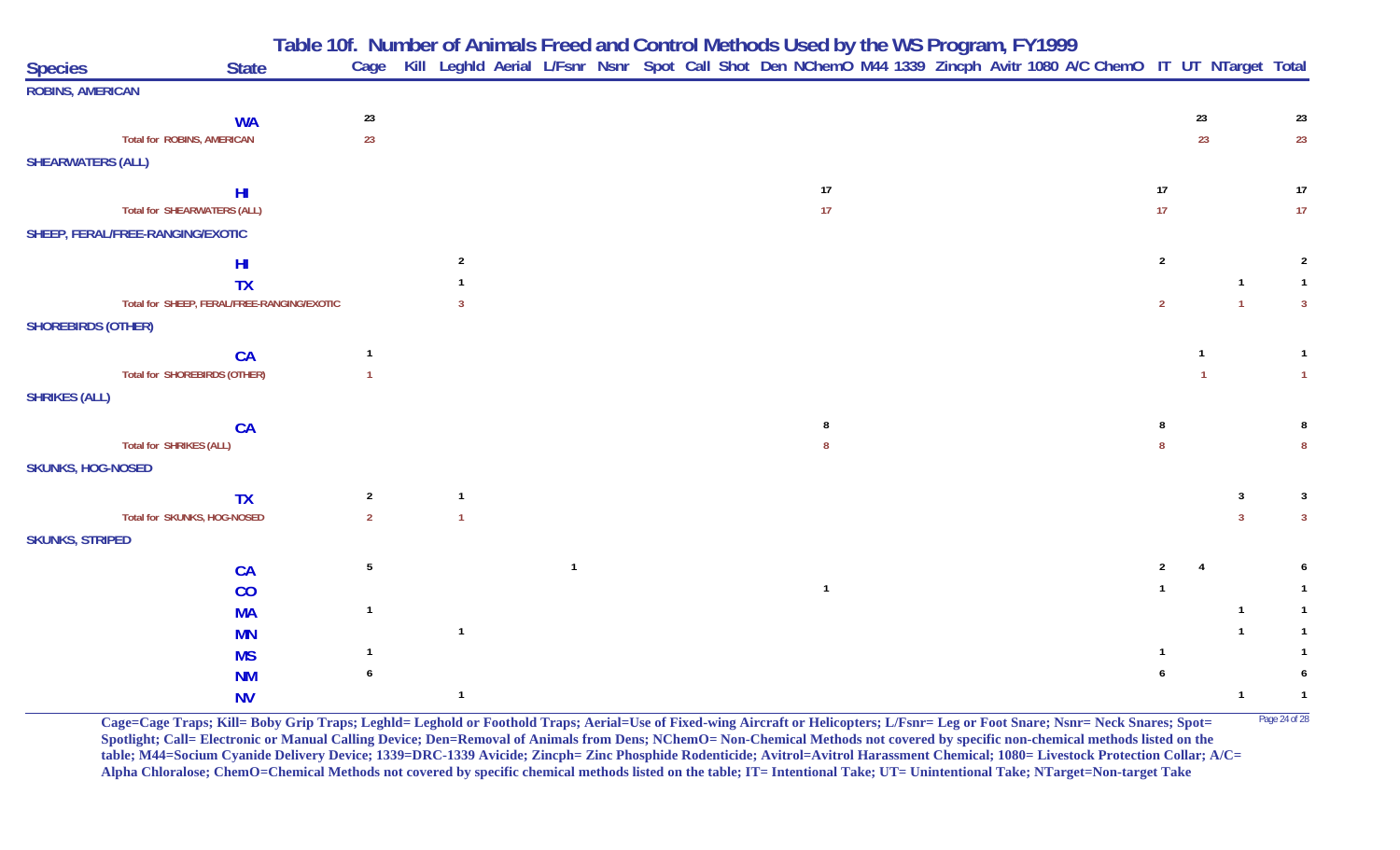| <b>Species</b>            | <b>State</b>                               |                 | Table 10f. Number of Animals Freed and Control Methods Used by the WS Program, FY1999<br>Cage Kill Leghld Aerial L/Fsnr Nsnr Spot Call Shot Den NChemO M44 1339 Zincph Avitr 1080 A/C ChemO IT UT NTarget Total |  |  |  |                |  |  |  |                |    |                |                |
|---------------------------|--------------------------------------------|-----------------|-----------------------------------------------------------------------------------------------------------------------------------------------------------------------------------------------------------------|--|--|--|----------------|--|--|--|----------------|----|----------------|----------------|
| <b>ROBINS, AMERICAN</b>   |                                            |                 |                                                                                                                                                                                                                 |  |  |  |                |  |  |  |                |    |                |                |
|                           | <b>WA</b>                                  | $23\,$          |                                                                                                                                                                                                                 |  |  |  |                |  |  |  |                | 23 |                | 23             |
|                           | <b>Total for ROBINS, AMERICAN</b>          | 23              |                                                                                                                                                                                                                 |  |  |  |                |  |  |  |                | 23 |                | 23             |
| <b>SHEARWATERS (ALL)</b>  |                                            |                 |                                                                                                                                                                                                                 |  |  |  |                |  |  |  |                |    |                |                |
|                           | H <sub>l</sub>                             |                 |                                                                                                                                                                                                                 |  |  |  | 17             |  |  |  | 17             |    |                | 17             |
|                           | <b>Total for SHEARWATERS (ALL)</b>         |                 |                                                                                                                                                                                                                 |  |  |  | 17             |  |  |  | 17             |    |                | 17             |
|                           | SHEEP, FERAL/FREE-RANGING/EXOTIC           |                 |                                                                                                                                                                                                                 |  |  |  |                |  |  |  |                |    |                |                |
|                           | HI                                         |                 | $\overline{2}$                                                                                                                                                                                                  |  |  |  |                |  |  |  | $\overline{2}$ |    |                | 2              |
|                           | <b>TX</b>                                  |                 |                                                                                                                                                                                                                 |  |  |  |                |  |  |  |                |    | $\mathbf{1}$   |                |
|                           | Total for SHEEP, FERAL/FREE-RANGING/EXOTIC |                 |                                                                                                                                                                                                                 |  |  |  |                |  |  |  | $2^{\circ}$    |    | $\overline{1}$ | $\overline{3}$ |
| <b>SHOREBIRDS (OTHER)</b> |                                            |                 |                                                                                                                                                                                                                 |  |  |  |                |  |  |  |                |    |                |                |
|                           | <b>CA</b>                                  | $\overline{1}$  |                                                                                                                                                                                                                 |  |  |  |                |  |  |  |                |    |                |                |
|                           | <b>Total for SHOREBIRDS (OTHER)</b>        | $\mathbf{1}$    |                                                                                                                                                                                                                 |  |  |  |                |  |  |  |                |    |                |                |
| <b>SHRIKES (ALL)</b>      |                                            |                 |                                                                                                                                                                                                                 |  |  |  |                |  |  |  |                |    |                |                |
|                           | CA                                         |                 |                                                                                                                                                                                                                 |  |  |  |                |  |  |  |                |    |                |                |
|                           | Total for SHRIKES (ALL)                    |                 |                                                                                                                                                                                                                 |  |  |  |                |  |  |  |                |    |                |                |
| <b>SKUNKS, HOG-NOSED</b>  |                                            |                 |                                                                                                                                                                                                                 |  |  |  |                |  |  |  |                |    |                |                |
|                           | <b>TX</b>                                  | $\overline{2}$  |                                                                                                                                                                                                                 |  |  |  |                |  |  |  |                |    | 3              |                |
|                           | Total for SKUNKS, HOG-NOSED                | $\overline{2}$  |                                                                                                                                                                                                                 |  |  |  |                |  |  |  |                |    |                | -3             |
| <b>SKUNKS, STRIPED</b>    |                                            |                 |                                                                                                                                                                                                                 |  |  |  |                |  |  |  |                |    |                |                |
|                           | CA                                         | $5\phantom{.0}$ |                                                                                                                                                                                                                 |  |  |  |                |  |  |  |                |    |                |                |
|                           | CO                                         |                 |                                                                                                                                                                                                                 |  |  |  | $\overline{1}$ |  |  |  |                |    |                |                |
|                           | <b>MA</b>                                  |                 |                                                                                                                                                                                                                 |  |  |  |                |  |  |  |                |    | $\mathbf{1}$   |                |
|                           | <b>MN</b>                                  |                 | $\overline{1}$                                                                                                                                                                                                  |  |  |  |                |  |  |  |                |    | $\mathbf{1}$   |                |
|                           | <b>MS</b>                                  |                 |                                                                                                                                                                                                                 |  |  |  |                |  |  |  |                |    |                |                |
|                           | <b>NM</b>                                  |                 |                                                                                                                                                                                                                 |  |  |  |                |  |  |  |                |    |                |                |
|                           | <b>NV</b>                                  |                 |                                                                                                                                                                                                                 |  |  |  |                |  |  |  |                |    | $\mathbf{1}$   |                |

Cage=Cage Traps; Kill= Boby Grip Traps; Leghld= Leghold or Foothold Traps; Aerial=Use of Fixed-wing Aircraft or Helicopters; L/Fsnr= Leg or Foot Snare; Nsnr= Neck Snares; Spot= <sup>Page 24 of 28</sup> **Spotlight; Call= Electronic or Manual Calling Device; Den=Removal of Animals from Dens; NChemO= Non-Chemical Methods not covered by specific non-chemical methods listed on the table; M44=Socium Cyanide Delivery Device; 1339=DRC-1339 Avicide; Zincph= Zinc Phosphide Rodenticide; Avitrol=Avitrol Harassment Chemical; 1080= Livestock Protection Collar; A/C= Alpha Chloralose; ChemO=Chemical Methods not covered by specific chemical methods listed on the table; IT= Intentional Take; UT= Unintentional Take; NTarget=Non-target Take**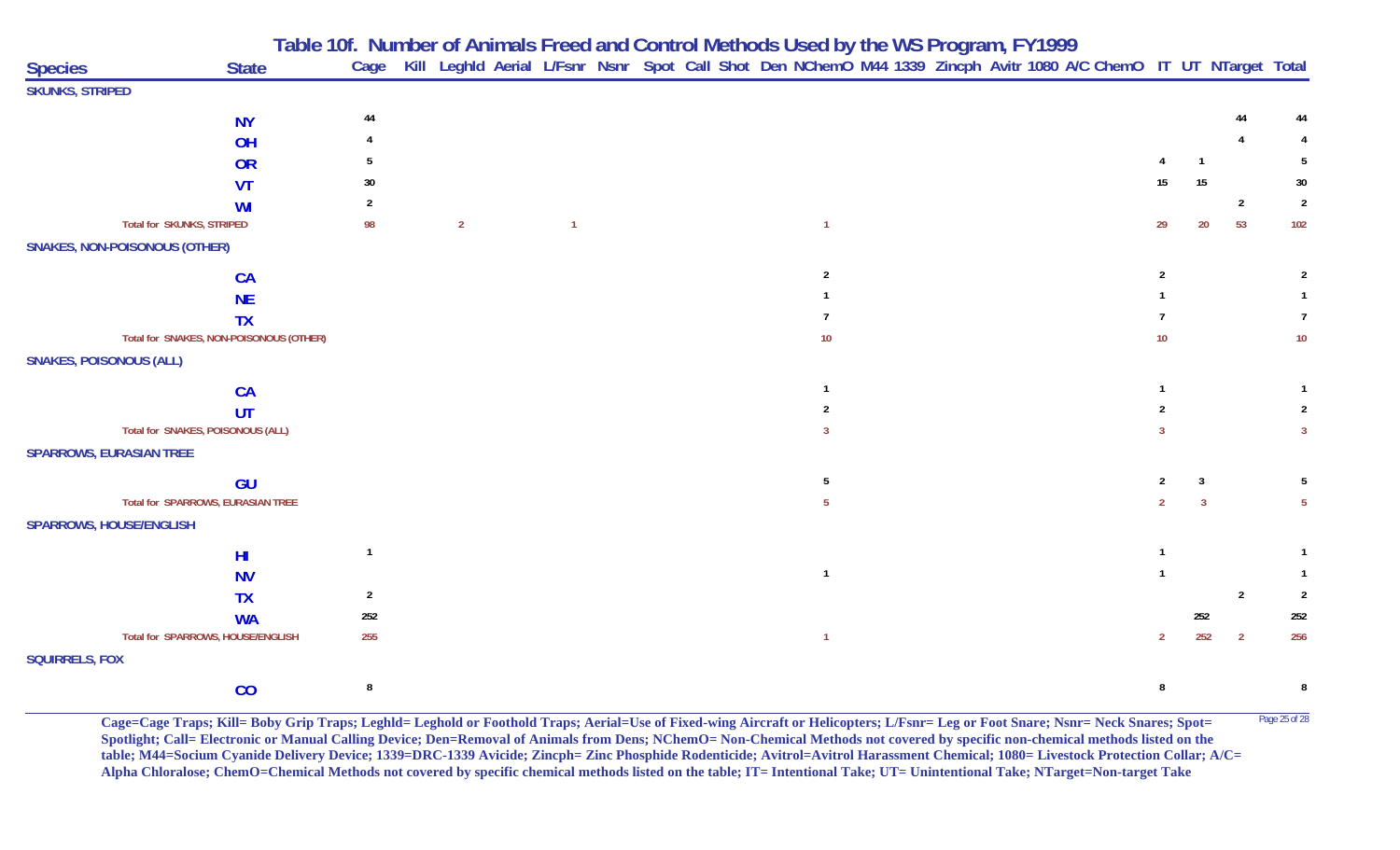|                                      |                                         |                |                |                |  | Table 10f. Number of Animals Freed and Control Methods Used by the WS Program, FY1999<br>Cage Kill Leghld Aerial L/Fsnr Nsnr Spot Call Shot Den NChemO M44 1339 Zincph Avitr 1080 A/C ChemO IT UT NTarget Total |                |  |  |                 |              |                |                |
|--------------------------------------|-----------------------------------------|----------------|----------------|----------------|--|-----------------------------------------------------------------------------------------------------------------------------------------------------------------------------------------------------------------|----------------|--|--|-----------------|--------------|----------------|----------------|
| <b>Species</b>                       | <b>State</b>                            |                |                |                |  |                                                                                                                                                                                                                 |                |  |  |                 |              |                |                |
| <b>SKUNKS, STRIPED</b>               |                                         |                |                |                |  |                                                                                                                                                                                                                 |                |  |  |                 |              |                |                |
|                                      | <b>NY</b>                               | 44             |                |                |  |                                                                                                                                                                                                                 |                |  |  |                 |              |                |                |
|                                      | OH                                      |                |                |                |  |                                                                                                                                                                                                                 |                |  |  |                 |              |                |                |
|                                      | OR                                      |                |                |                |  |                                                                                                                                                                                                                 |                |  |  |                 | $\mathbf{1}$ |                |                |
|                                      | <b>VT</b>                               | 30             |                |                |  |                                                                                                                                                                                                                 |                |  |  | 15              | 15           |                | 30             |
|                                      | WI                                      |                |                |                |  |                                                                                                                                                                                                                 |                |  |  |                 |              | $\overline{2}$ | $\overline{2}$ |
|                                      | <b>Total for SKUNKS, STRIPED</b>        | 98             | $\overline{2}$ | $\overline{1}$ |  |                                                                                                                                                                                                                 | $\overline{1}$ |  |  | 29              | 20           | 53             | 102            |
| <b>SNAKES, NON-POISONOUS (OTHER)</b> |                                         |                |                |                |  |                                                                                                                                                                                                                 |                |  |  |                 |              |                |                |
|                                      | CA                                      |                |                |                |  |                                                                                                                                                                                                                 | $\mathfrak{p}$ |  |  | $\overline{2}$  |              |                |                |
|                                      | <b>NE</b>                               |                |                |                |  |                                                                                                                                                                                                                 |                |  |  |                 |              |                |                |
|                                      | <b>TX</b>                               |                |                |                |  |                                                                                                                                                                                                                 |                |  |  |                 |              |                |                |
|                                      | Total for SNAKES, NON-POISONOUS (OTHER) |                |                |                |  |                                                                                                                                                                                                                 | 10             |  |  | 10 <sup>°</sup> |              |                | 10             |
| <b>SNAKES, POISONOUS (ALL)</b>       |                                         |                |                |                |  |                                                                                                                                                                                                                 |                |  |  |                 |              |                |                |
|                                      | <b>CA</b>                               |                |                |                |  |                                                                                                                                                                                                                 |                |  |  |                 |              |                |                |
|                                      | UT                                      |                |                |                |  |                                                                                                                                                                                                                 |                |  |  |                 |              |                |                |
|                                      | Total for SNAKES, POISONOUS (ALL)       |                |                |                |  |                                                                                                                                                                                                                 |                |  |  |                 |              |                |                |
| <b>SPARROWS, EURASIAN TREE</b>       |                                         |                |                |                |  |                                                                                                                                                                                                                 |                |  |  |                 |              |                |                |
|                                      | GU                                      |                |                |                |  |                                                                                                                                                                                                                 | -5             |  |  | 2               | 3            |                |                |
|                                      | Total for SPARROWS, EURASIAN TREE       |                |                |                |  |                                                                                                                                                                                                                 |                |  |  |                 |              |                |                |
| <b>SPARROWS, HOUSE/ENGLISH</b>       |                                         |                |                |                |  |                                                                                                                                                                                                                 |                |  |  |                 |              |                |                |
|                                      | H <sub>l</sub>                          |                |                |                |  |                                                                                                                                                                                                                 |                |  |  |                 |              |                |                |
|                                      | <b>NV</b>                               |                |                |                |  |                                                                                                                                                                                                                 | $\overline{1}$ |  |  |                 |              |                |                |
|                                      | <b>TX</b>                               | $\overline{2}$ |                |                |  |                                                                                                                                                                                                                 |                |  |  |                 |              | $\overline{2}$ | $\overline{2}$ |
|                                      | <b>WA</b>                               | 252            |                |                |  |                                                                                                                                                                                                                 |                |  |  |                 | 252          |                | 252            |
|                                      | Total for SPARROWS, HOUSE/ENGLISH       | 255            |                |                |  |                                                                                                                                                                                                                 | $\mathbf{1}$   |  |  | 2               | 252          | $\overline{2}$ | 256            |
| <b>SQUIRRELS, FOX</b>                |                                         |                |                |                |  |                                                                                                                                                                                                                 |                |  |  |                 |              |                |                |
|                                      | CO                                      | 8              |                |                |  |                                                                                                                                                                                                                 |                |  |  | 8               |              |                | 8              |

Cage=Cage Traps; Kill= Boby Grip Traps; Leghld= Leghold or Foothold Traps; Aerial=Use of Fixed-wing Aircraft or Helicopters; L/Fsnr= Leg or Foot Snare; Nsnr= Neck Snares; Spot= <sup>Page 25 of 28</sup> **Spotlight; Call= Electronic or Manual Calling Device; Den=Removal of Animals from Dens; NChemO= Non-Chemical Methods not covered by specific non-chemical methods listed on the table; M44=Socium Cyanide Delivery Device; 1339=DRC-1339 Avicide; Zincph= Zinc Phosphide Rodenticide; Avitrol=Avitrol Harassment Chemical; 1080= Livestock Protection Collar; A/C= Alpha Chloralose; ChemO=Chemical Methods not covered by specific chemical methods listed on the table; IT= Intentional Take; UT= Unintentional Take; NTarget=Non-target Take**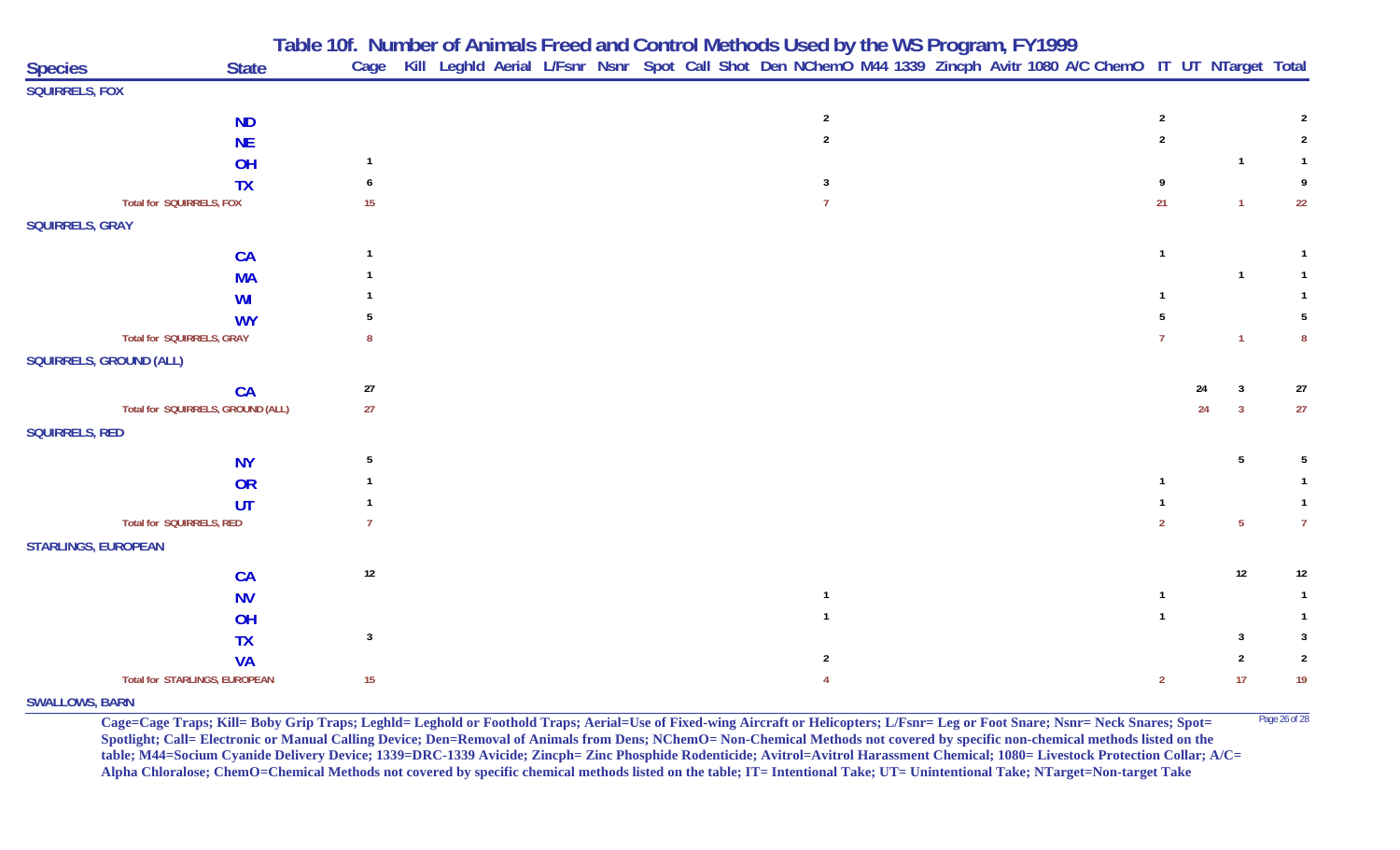|                            |                                        |                | Table Tol. Number of Animals Freed and Control Metricus used by the WS Program, FT 1999                                |  |                |  |  |                |    |                |                |
|----------------------------|----------------------------------------|----------------|------------------------------------------------------------------------------------------------------------------------|--|----------------|--|--|----------------|----|----------------|----------------|
| <b>Species</b>             | <b>State</b>                           |                | Cage Kill Leghld Aerial L/Fsnr Nsnr Spot Call Shot Den NChemO M44 1339 Zincph Avitr 1080 A/C ChemO IT UT NTarget Total |  |                |  |  |                |    |                |                |
| <b>SQUIRRELS, FOX</b>      |                                        |                |                                                                                                                        |  |                |  |  |                |    |                |                |
|                            | <b>ND</b>                              |                |                                                                                                                        |  | $\overline{2}$ |  |  | $\overline{2}$ |    |                |                |
|                            | <b>NE</b>                              |                |                                                                                                                        |  |                |  |  | $\overline{2}$ |    |                |                |
|                            | OH                                     |                |                                                                                                                        |  |                |  |  |                |    | $\overline{1}$ |                |
|                            | <b>TX</b>                              |                |                                                                                                                        |  | 3              |  |  | Q              |    |                | 9              |
|                            | Total for SQUIRRELS, FOX               | 15             |                                                                                                                        |  |                |  |  | 21             |    | $\overline{1}$ | 22             |
| <b>SQUIRRELS, GRAY</b>     |                                        |                |                                                                                                                        |  |                |  |  |                |    |                |                |
|                            |                                        |                |                                                                                                                        |  |                |  |  |                |    |                |                |
|                            | CA                                     |                |                                                                                                                        |  |                |  |  |                |    |                |                |
|                            | <b>MA</b>                              |                |                                                                                                                        |  |                |  |  |                |    |                |                |
|                            | <b>WI</b>                              |                |                                                                                                                        |  |                |  |  |                |    |                |                |
|                            | <b>WY</b><br>Total for SQUIRRELS, GRAY |                |                                                                                                                        |  |                |  |  |                |    |                | 8              |
| SQUIRRELS, GROUND (ALL)    |                                        |                |                                                                                                                        |  |                |  |  |                |    |                |                |
|                            |                                        |                |                                                                                                                        |  |                |  |  |                |    |                |                |
|                            | CA                                     | 27             |                                                                                                                        |  |                |  |  |                | 24 | 3              | 27             |
|                            | Total for SQUIRRELS, GROUND (ALL)      | 27             |                                                                                                                        |  |                |  |  |                | 24 | $\overline{3}$ | 27             |
| <b>SQUIRRELS, RED</b>      |                                        |                |                                                                                                                        |  |                |  |  |                |    |                |                |
|                            | <b>NY</b>                              | 5              |                                                                                                                        |  |                |  |  |                |    | -5             | 5              |
|                            | OR                                     |                |                                                                                                                        |  |                |  |  |                |    |                |                |
|                            | UT                                     |                |                                                                                                                        |  |                |  |  |                |    |                | $\mathbf{1}$   |
|                            | Total for SQUIRRELS, RED               |                |                                                                                                                        |  |                |  |  | $\overline{2}$ |    | $\overline{5}$ | $\overline{7}$ |
| <b>STARLINGS, EUROPEAN</b> |                                        |                |                                                                                                                        |  |                |  |  |                |    |                |                |
|                            | <b>CA</b>                              | $12\,$         |                                                                                                                        |  |                |  |  |                |    | 12             | 12             |
|                            | <b>NV</b>                              |                |                                                                                                                        |  |                |  |  |                |    |                |                |
|                            | OH                                     |                |                                                                                                                        |  |                |  |  |                |    |                | -1             |
|                            | <b>TX</b>                              | $\overline{3}$ |                                                                                                                        |  |                |  |  |                |    | 3              | 3              |
|                            | <b>VA</b>                              |                |                                                                                                                        |  |                |  |  |                |    |                | $\overline{2}$ |
|                            | Total for STARLINGS, EUROPEAN          | 15             |                                                                                                                        |  |                |  |  | $\overline{2}$ |    | 17             | 19             |
|                            |                                        |                |                                                                                                                        |  |                |  |  |                |    |                |                |

## **Table 10f. Number of Animals Freed and Control Methods Used by the WS Program, FY 1999**

**SWALLOWS, BARN**

**Cage=Cage Traps; Kill= Boby Grip Traps; Leghld= Leghold or Foothold Traps; Aerial=Use of Fixed-wing Aircraft or Helicopters; L/Fsnr= Leg or Foot Snare; Nsnr= Neck Snares; Spot=** Page 26 of 28 **Spotlight; Call= Electronic or Manual Calling Device; Den=Removal of Animals from Dens; NChemO= Non-Chemical Methods not covered by specific non-chemical methods listed on the table; M44=Socium Cyanide Delivery Device; 1339=DRC-1339 Avicide; Zincph= Zinc Phosphide Rodenticide; Avitrol=Avitrol Harassment Chemical; 1080= Livestock Protection Collar; A/C= Alpha Chloralose; ChemO=Chemical Methods not covered by specific chemical methods listed on the table; IT= Intentional Take; UT= Unintentional Take; NTarget=Non-target Take**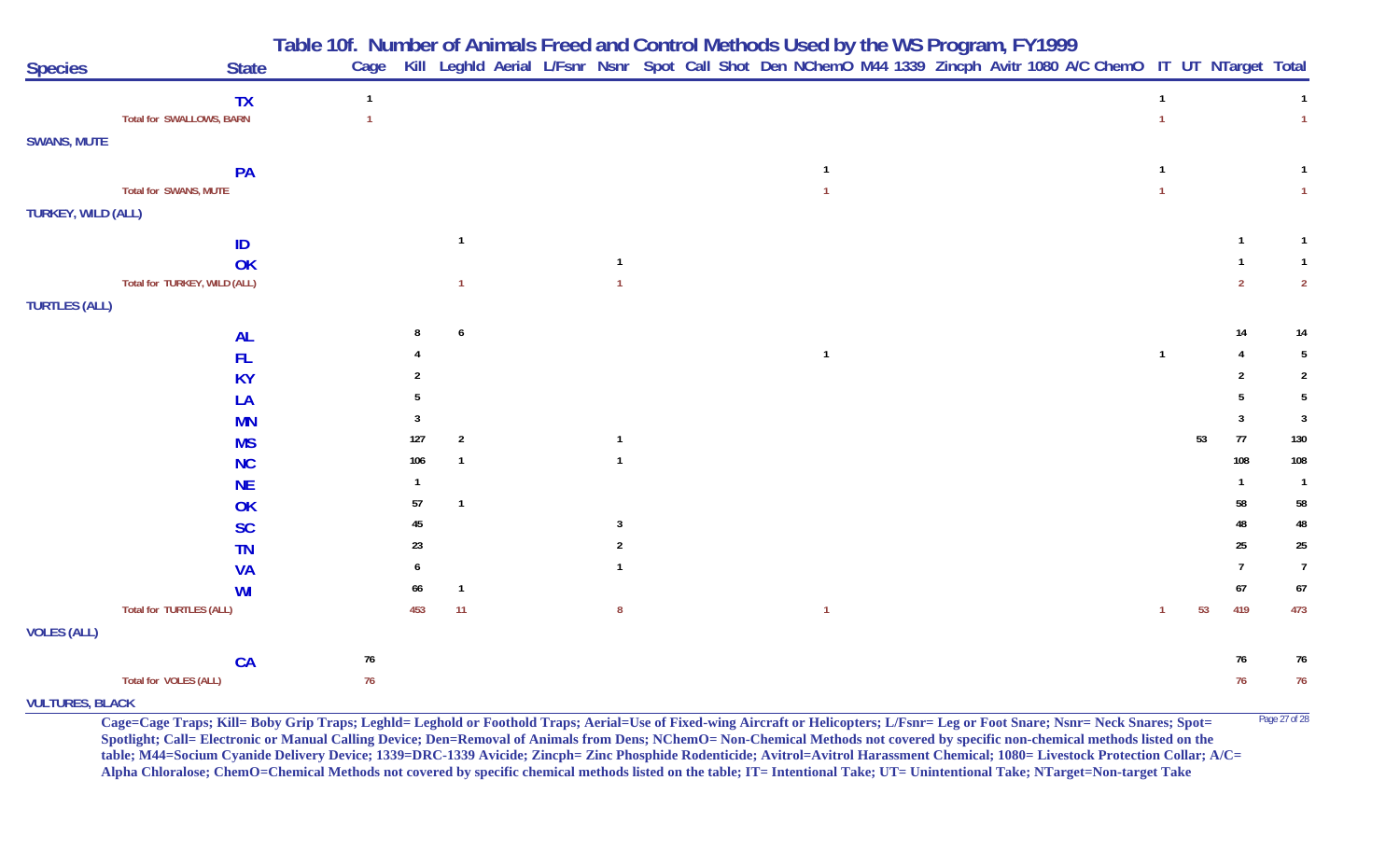|                      |                                 | Table 10f. Number of Animals Freed and Control Methods Used by the WS Program, FY1999<br>Cage Kill Leghld Aerial L/Fsnr Nsnr Spot Call Shot Den NChemO M44 1339 Zincph Avitr 1080 A/C ChemO IT UT NTarget Total |     |                         |  |                |  |                |  |  |  |    |    |                |                |
|----------------------|---------------------------------|-----------------------------------------------------------------------------------------------------------------------------------------------------------------------------------------------------------------|-----|-------------------------|--|----------------|--|----------------|--|--|--|----|----|----------------|----------------|
| <b>Species</b>       | <b>State</b>                    |                                                                                                                                                                                                                 |     |                         |  |                |  |                |  |  |  |    |    |                |                |
|                      | <b>TX</b>                       | $\mathbf{1}$                                                                                                                                                                                                    |     |                         |  |                |  |                |  |  |  |    |    |                | $\overline{1}$ |
|                      | <b>Total for SWALLOWS, BARN</b> |                                                                                                                                                                                                                 |     |                         |  |                |  |                |  |  |  |    |    |                | $\mathbf{1}$   |
| <b>SWANS, MUTE</b>   |                                 |                                                                                                                                                                                                                 |     |                         |  |                |  |                |  |  |  |    |    |                |                |
|                      | PA                              |                                                                                                                                                                                                                 |     |                         |  |                |  |                |  |  |  |    |    |                |                |
|                      | Total for SWANS, MUTE           |                                                                                                                                                                                                                 |     |                         |  |                |  |                |  |  |  |    |    |                | $\mathbf{1}$   |
| TURKEY, WILD (ALL)   |                                 |                                                                                                                                                                                                                 |     |                         |  |                |  |                |  |  |  |    |    |                |                |
|                      | ID                              |                                                                                                                                                                                                                 |     | $\overline{1}$          |  |                |  |                |  |  |  |    |    | $\mathbf{1}$   | $\mathbf{1}$   |
|                      | OK                              |                                                                                                                                                                                                                 |     |                         |  | -1             |  |                |  |  |  |    |    |                | $\mathbf{1}$   |
|                      | Total for TURKEY, WILD (ALL)    |                                                                                                                                                                                                                 |     | $\overline{1}$          |  |                |  |                |  |  |  |    |    | 2              | $\overline{2}$ |
| <b>TURTLES (ALL)</b> |                                 |                                                                                                                                                                                                                 |     |                         |  |                |  |                |  |  |  |    |    |                |                |
|                      | <b>AL</b>                       |                                                                                                                                                                                                                 |     | 6                       |  |                |  |                |  |  |  |    |    | 14             | 14             |
|                      | <b>FL</b>                       |                                                                                                                                                                                                                 |     |                         |  |                |  | $\overline{1}$ |  |  |  |    |    | 4              | 5              |
|                      | <b>KY</b>                       |                                                                                                                                                                                                                 |     |                         |  |                |  |                |  |  |  |    |    |                | $\overline{2}$ |
|                      | LA                              |                                                                                                                                                                                                                 |     |                         |  |                |  |                |  |  |  |    |    |                | 5              |
|                      | <b>MN</b>                       |                                                                                                                                                                                                                 |     |                         |  |                |  |                |  |  |  |    |    | 3              | $\overline{3}$ |
|                      | <b>MS</b>                       |                                                                                                                                                                                                                 | 127 | $\overline{2}$          |  | $\overline{1}$ |  |                |  |  |  |    | 53 | 77             | 130            |
|                      | <b>NC</b>                       |                                                                                                                                                                                                                 | 106 |                         |  |                |  |                |  |  |  |    |    | 108            | 108            |
|                      | <b>NE</b>                       |                                                                                                                                                                                                                 | 1   |                         |  |                |  |                |  |  |  |    |    |                | $\overline{1}$ |
|                      | OK                              |                                                                                                                                                                                                                 | 57  | $\overline{\mathbf{1}}$ |  |                |  |                |  |  |  |    |    | 58             | 58             |
|                      | <b>SC</b>                       |                                                                                                                                                                                                                 | 45  |                         |  | -3             |  |                |  |  |  |    |    | 48             | 48             |
|                      | <b>TN</b>                       |                                                                                                                                                                                                                 | 23  |                         |  |                |  |                |  |  |  |    |    | 25             | 25             |
|                      | <b>VA</b>                       |                                                                                                                                                                                                                 | 6   |                         |  |                |  |                |  |  |  |    |    | $\overline{7}$ | $\overline{7}$ |
|                      | <b>WI</b>                       |                                                                                                                                                                                                                 | 66  | $\overline{1}$          |  |                |  |                |  |  |  |    |    | 67             | 67             |
|                      | Total for TURTLES (ALL)         |                                                                                                                                                                                                                 | 453 | 11                      |  | 8              |  | $\mathbf{1}$   |  |  |  | -1 | 53 | 419            | 473            |
| <b>VOLES (ALL)</b>   |                                 |                                                                                                                                                                                                                 |     |                         |  |                |  |                |  |  |  |    |    |                |                |
|                      | <b>CA</b>                       | $76\,$                                                                                                                                                                                                          |     |                         |  |                |  |                |  |  |  |    |    | 76             | 76             |
|                      | Total for VOLES (ALL)           | 76                                                                                                                                                                                                              |     |                         |  |                |  |                |  |  |  |    |    | 76             | 76             |

**VULTURES, BLACK**

**Cage=Cage Traps; Kill= Boby Grip Traps; Leghld= Leghold or Foothold Traps; Aerial=Use of Fixed-wing Aircraft or Helicopters; L/Fsnr= Leg or Foot Snare; Nsnr= Neck Snares; Spot=** Page 27 of 28 **Spotlight; Call= Electronic or Manual Calling Device; Den=Removal of Animals from Dens; NChemO= Non-Chemical Methods not covered by specific non-chemical methods listed on the table; M44=Socium Cyanide Delivery Device; 1339=DRC-1339 Avicide; Zincph= Zinc Phosphide Rodenticide; Avitrol=Avitrol Harassment Chemical; 1080= Livestock Protection Collar; A/C= Alpha Chloralose; ChemO=Chemical Methods not covered by specific chemical methods listed on the table; IT= Intentional Take; UT= Unintentional Take; NTarget=Non-target Take**